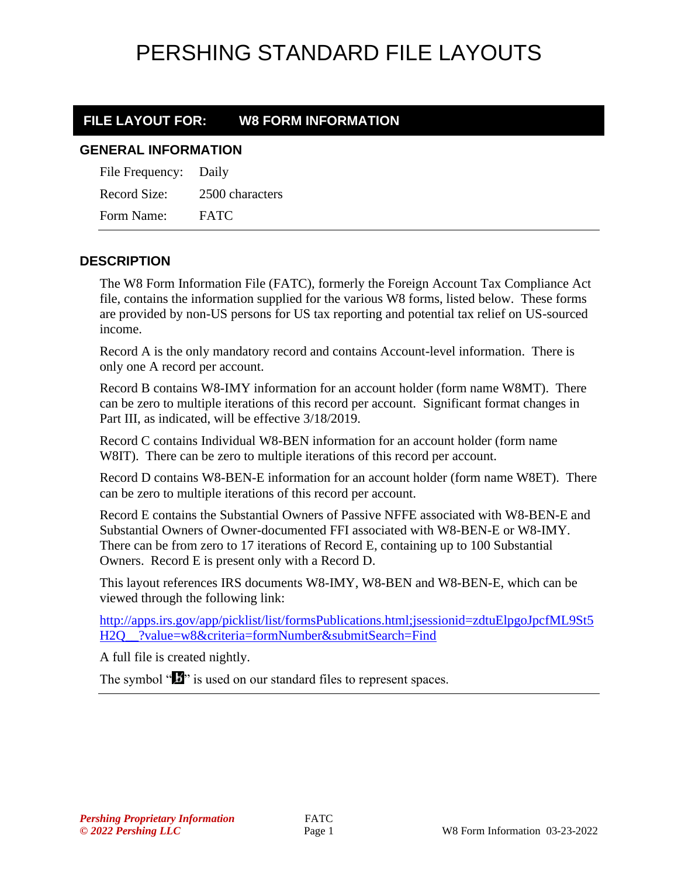#### **FILE LAYOUT FOR: W8 FORM INFORMATION**

#### **GENERAL INFORMATION**

| File Frequency: | Daily           |
|-----------------|-----------------|
| Record Size:    | 2500 characters |
| Form Name:      | <b>FATC</b>     |

#### **DESCRIPTION**

The W8 Form Information File (FATC), formerly the Foreign Account Tax Compliance Act file, contains the information supplied for the various W8 forms, listed below. These forms are provided by non-US persons for US tax reporting and potential tax relief on US-sourced income.

Record A is the only mandatory record and contains Account-level information. There is only one A record per account.

Record B contains W8-IMY information for an account holder (form name W8MT). There can be zero to multiple iterations of this record per account. Significant format changes in Part III, as indicated, will be effective 3/18/2019.

Record C contains Individual W8-BEN information for an account holder (form name W8IT). There can be zero to multiple iterations of this record per account.

Record D contains W8-BEN-E information for an account holder (form name W8ET). There can be zero to multiple iterations of this record per account.

Record E contains the Substantial Owners of Passive NFFE associated with W8-BEN-E and Substantial Owners of Owner-documented FFI associated with W8-BEN-E or W8-IMY. There can be from zero to 17 iterations of Record E, containing up to 100 Substantial Owners. Record E is present only with a Record D.

This layout references IRS documents W8-IMY, W8-BEN and W8-BEN-E, which can be viewed through the following link:

[http://apps.irs.gov/app/picklist/list/formsPublications.html;jsessionid=zdtuElpgoJpcfML9St5](http://apps.irs.gov/app/picklist/list/formsPublications.html;jsessionid=zdtuElpgoJpcfML9St5H2Q__?value=w8&criteria=formNumber&submitSearch=Find) [H2Q\\_\\_?value=w8&criteria=formNumber&submitSearch=Find](http://apps.irs.gov/app/picklist/list/formsPublications.html;jsessionid=zdtuElpgoJpcfML9St5H2Q__?value=w8&criteria=formNumber&submitSearch=Find)

A full file is created nightly.

The symbol " $\mathbf{I}$ " is used on our standard files to represent spaces.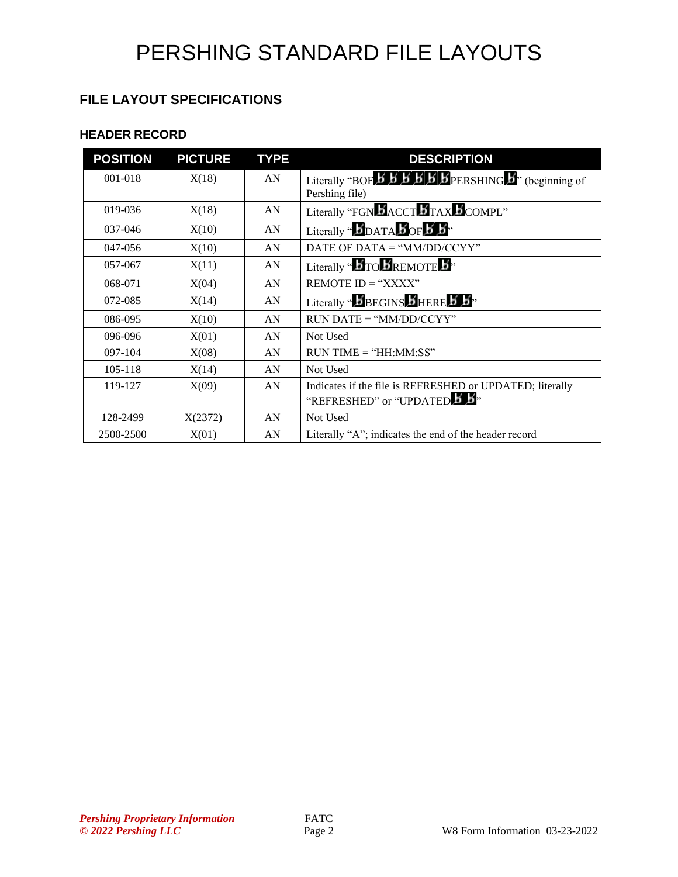#### **FILE LAYOUT SPECIFICATIONS**

#### **HEADER RECORD**

| <b>POSITION</b> | <b>PICTURE</b> | <b>TYPE</b> | <b>DESCRIPTION</b>                                                                                                                               |
|-----------------|----------------|-------------|--------------------------------------------------------------------------------------------------------------------------------------------------|
| 001-018         | X(18)          | AN          | Literally "BOF $\overline{B}$ $\overline{B}$ $\overline{B}$ $\overline{B}$ $\overline{B}$ $\overline{B}$ PERSHING $\overline{B}$ " (beginning of |
|                 |                |             | Pershing file)                                                                                                                                   |
| 019-036         | X(18)          | AN          | Literally "FGN <b>B</b> ACCT <b>B</b> TAX <b>B</b> COMPL"                                                                                        |
| 037-046         | X(10)          | AN          | Literally " $\bm{5}$ DATA $\bm{5}$ OF $\bm{5}$ $\bm{5}$ "                                                                                        |
| 047-056         | X(10)          | AN          | DATE OF DATA = " $MM/DD/CCYY"$                                                                                                                   |
| 057-067         | X(11)          | AN          | Literally " $\bm{B}$ TO $\bm{B}$ REMOTE $\bm{B}$ "                                                                                               |
| 068-071         | X(04)          | AN          | REMOTE $ID = "XXX"$                                                                                                                              |
| 072-085         | X(14)          | AN          | Literally " $\boldsymbol{b}$ BEGINS $\boldsymbol{b}$ HERE $\boldsymbol{b}$ $\boldsymbol{b}$ "                                                    |
| 086-095         | X(10)          | AN          | $RUN\ DATE = "MM/DD/CCYY"$                                                                                                                       |
| 096-096         | X(01)          | AN          | Not Used                                                                                                                                         |
| 097-104         | X(08)          | AN          | $RUN TIME = "HH:MM:SS"$                                                                                                                          |
| 105-118         | X(14)          | AN          | Not Used                                                                                                                                         |
| 119-127         | X(09)          | AN          | Indicates if the file is REFRESHED or UPDATED; literally                                                                                         |
|                 |                |             | "REFRESHED" or "UPDATED 3                                                                                                                        |
| 128-2499        | X(2372)        | AN          | Not Used                                                                                                                                         |
| 2500-2500       | X(01)          | AN          | Literally "A"; indicates the end of the header record                                                                                            |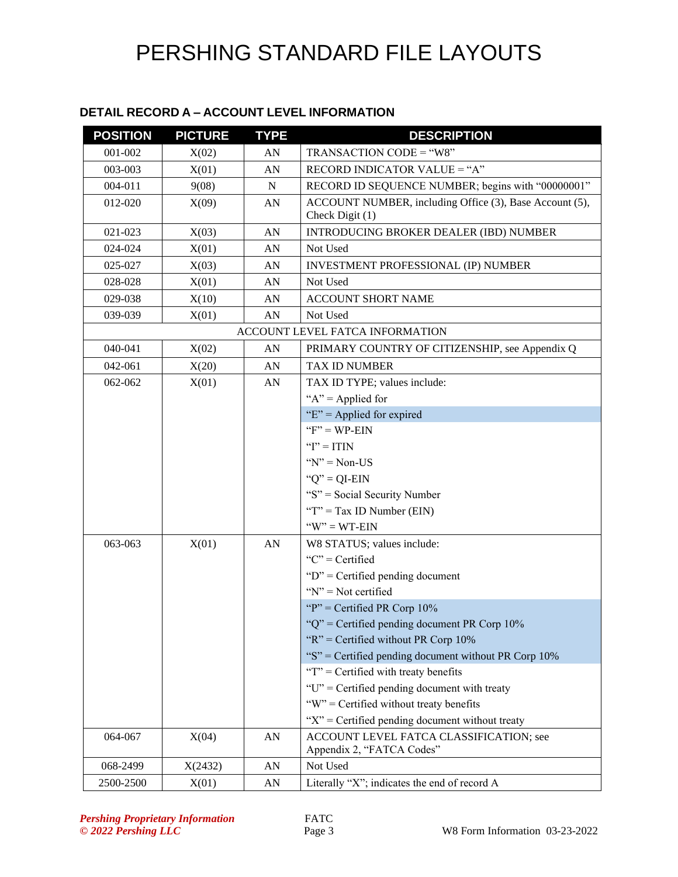#### **DETAIL RECORD A – ACCOUNT LEVEL INFORMATION**

| <b>POSITION</b> | <b>PICTURE</b> | <b>TYPE</b> | <b>DESCRIPTION</b>                                                         |
|-----------------|----------------|-------------|----------------------------------------------------------------------------|
| 001-002         | X(02)          | AN          | TRANSACTION CODE = "W8"                                                    |
| 003-003         | X(01)          | AN          | RECORD INDICATOR VALUE = "A"                                               |
| 004-011         | 9(08)          | ${\bf N}$   | RECORD ID SEQUENCE NUMBER; begins with "00000001"                          |
| 012-020         | X(09)          | AN          | ACCOUNT NUMBER, including Office (3), Base Account (5),<br>Check Digit (1) |
| 021-023         | X(03)          | AN          | <b>INTRODUCING BROKER DEALER (IBD) NUMBER</b>                              |
| 024-024         | X(01)          | AN          | Not Used                                                                   |
| 025-027         | X(03)          | AN          | <b>INVESTMENT PROFESSIONAL (IP) NUMBER</b>                                 |
| 028-028         | X(01)          | AN          | Not Used                                                                   |
| 029-038         | X(10)          | AN          | <b>ACCOUNT SHORT NAME</b>                                                  |
| 039-039         | X(01)          | AN          | Not Used                                                                   |
|                 |                |             | ACCOUNT LEVEL FATCA INFORMATION                                            |
| 040-041         | X(02)          | AN          | PRIMARY COUNTRY OF CITIZENSHIP, see Appendix Q                             |
| 042-061         | X(20)          | AN          | <b>TAX ID NUMBER</b>                                                       |
| 062-062         | X(01)          | AN          | TAX ID TYPE; values include:                                               |
|                 |                |             | " $A$ " = Applied for                                                      |
|                 |                |             | " $E$ " = Applied for expired                                              |
|                 |                |             | $"F" = WP-EIN$                                                             |
|                 |                |             | " $I$ " = ITIN                                                             |
|                 |                |             | $Y' = Non-US$                                                              |
|                 |                |             | " $Q$ " = QI-EIN                                                           |
|                 |                |             | "S" = Social Security Number                                               |
|                 |                |             | "T" = Tax ID Number (EIN)                                                  |
|                 |                |             | $W'' = WT-EIN$                                                             |
| 063-063         | X(01)          | AN          | W8 STATUS; values include:                                                 |
|                 |                |             | " $C$ " = Certified                                                        |
|                 |                |             | " $D$ " = Certified pending document                                       |
|                 |                |             | " $N$ " = Not certified                                                    |
|                 |                |             | "P" = Certified PR Corp $10\%$                                             |
|                 |                |             | " $Q$ " = Certified pending document PR Corp 10%                           |
|                 |                |             | " $R$ " = Certified without PR Corp 10%                                    |
|                 |                |             | "S" = Certified pending document without PR Corp $10\%$                    |
|                 |                |             | " $T$ " = Certified with treaty benefits                                   |
|                 |                |             | "U" = Certified pending document with treaty                               |
|                 |                |             | "W" = Certified without treaty benefits                                    |
|                 |                |             | " $X$ " = Certified pending document without treaty                        |
| 064-067         | X(04)          | AN          | ACCOUNT LEVEL FATCA CLASSIFICATION; see<br>Appendix 2, "FATCA Codes"       |
| 068-2499        | X(2432)        | AN          | Not Used                                                                   |
| 2500-2500       | X(01)          | AN          | Literally "X"; indicates the end of record A                               |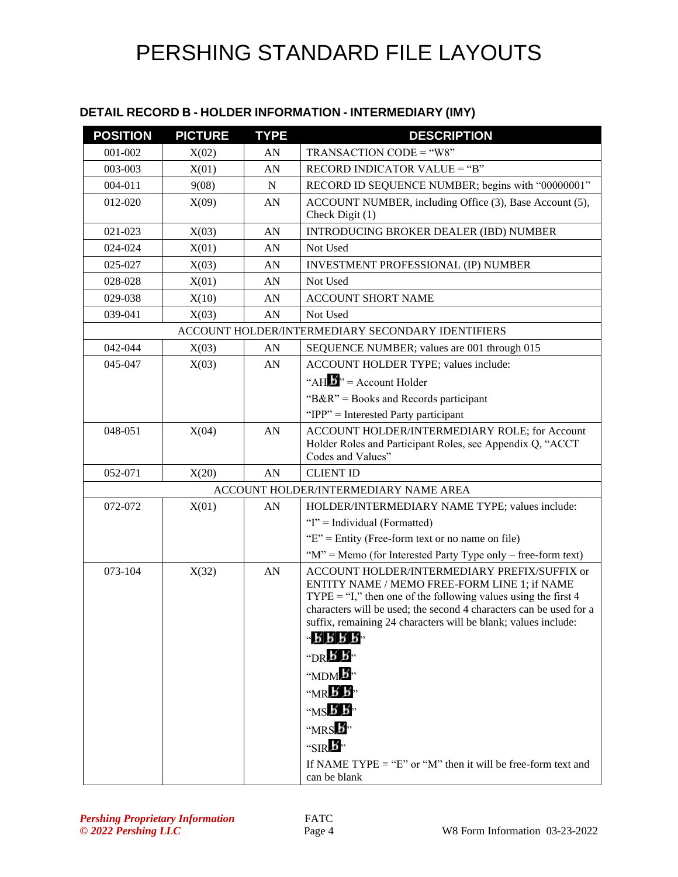#### **DETAIL RECORD B - HOLDER INFORMATION - INTERMEDIARY (IMY)**

| <b>POSITION</b> | <b>PICTURE</b> | <b>TYPE</b> | <b>DESCRIPTION</b>                                                                                                                                                                                                                                                                                                                                                                                                                                                           |
|-----------------|----------------|-------------|------------------------------------------------------------------------------------------------------------------------------------------------------------------------------------------------------------------------------------------------------------------------------------------------------------------------------------------------------------------------------------------------------------------------------------------------------------------------------|
| 001-002         | X(02)          | AN          | TRANSACTION CODE = "W8"                                                                                                                                                                                                                                                                                                                                                                                                                                                      |
| 003-003         | X(01)          | AN          | RECORD INDICATOR VALUE = "B"                                                                                                                                                                                                                                                                                                                                                                                                                                                 |
| 004-011         | 9(08)          | N           | RECORD ID SEQUENCE NUMBER; begins with "00000001"                                                                                                                                                                                                                                                                                                                                                                                                                            |
| 012-020         | X(09)          | AN          | ACCOUNT NUMBER, including Office (3), Base Account (5),<br>Check Digit (1)                                                                                                                                                                                                                                                                                                                                                                                                   |
| 021-023         | X(03)          | AN          | INTRODUCING BROKER DEALER (IBD) NUMBER                                                                                                                                                                                                                                                                                                                                                                                                                                       |
| 024-024         | X(01)          | AN          | Not Used                                                                                                                                                                                                                                                                                                                                                                                                                                                                     |
| 025-027         | X(03)          | AN          | <b>INVESTMENT PROFESSIONAL (IP) NUMBER</b>                                                                                                                                                                                                                                                                                                                                                                                                                                   |
| 028-028         | X(01)          | AN          | Not Used                                                                                                                                                                                                                                                                                                                                                                                                                                                                     |
| 029-038         | X(10)          | AN          | <b>ACCOUNT SHORT NAME</b>                                                                                                                                                                                                                                                                                                                                                                                                                                                    |
| 039-041         | X(03)          | AN          | Not Used                                                                                                                                                                                                                                                                                                                                                                                                                                                                     |
|                 |                |             | ACCOUNT HOLDER/INTERMEDIARY SECONDARY IDENTIFIERS                                                                                                                                                                                                                                                                                                                                                                                                                            |
| 042-044         | X(03)          | AN          | SEQUENCE NUMBER; values are 001 through 015                                                                                                                                                                                                                                                                                                                                                                                                                                  |
| 045-047         | X(03)          | AN          | ACCOUNT HOLDER TYPE; values include:                                                                                                                                                                                                                                                                                                                                                                                                                                         |
|                 |                |             | "AH $\mathbf{B}$ " = Account Holder                                                                                                                                                                                                                                                                                                                                                                                                                                          |
|                 |                |             | " $B\&R$ " = Books and Records participant                                                                                                                                                                                                                                                                                                                                                                                                                                   |
|                 |                |             | " $IPP"$ = Interested Party participant                                                                                                                                                                                                                                                                                                                                                                                                                                      |
| 048-051         | X(04)          | ${\rm AN}$  | ACCOUNT HOLDER/INTERMEDIARY ROLE; for Account<br>Holder Roles and Participant Roles, see Appendix Q, "ACCT<br>Codes and Values"                                                                                                                                                                                                                                                                                                                                              |
| 052-071         | X(20)          | AN          | <b>CLIENT ID</b>                                                                                                                                                                                                                                                                                                                                                                                                                                                             |
|                 |                |             | ACCOUNT HOLDER/INTERMEDIARY NAME AREA                                                                                                                                                                                                                                                                                                                                                                                                                                        |
| 072-072         | X(01)          | AN          | HOLDER/INTERMEDIARY NAME TYPE; values include:                                                                                                                                                                                                                                                                                                                                                                                                                               |
|                 |                |             | "I" = Individual (Formatted)                                                                                                                                                                                                                                                                                                                                                                                                                                                 |
|                 |                |             | " $E$ " = Entity (Free-form text or no name on file)                                                                                                                                                                                                                                                                                                                                                                                                                         |
|                 |                |             | " $M$ " = Memo (for Interested Party Type only – free-form text)                                                                                                                                                                                                                                                                                                                                                                                                             |
| 073-104         | X(32)          | AN          | <b>ACCOUNT HOLDER/INTERMEDIARY PREFIX/SUFFIX or</b><br>ENTITY NAME / MEMO FREE-FORM LINE 1; if NAME<br>TYPE = "I," then one of the following values using the first $4$<br>characters will be used; the second 4 characters can be used for a<br>suffix, remaining 24 characters will be blank; values include:<br>$-$ R R R R $-$<br>"DR $\bm{B}$ $\bm{B}$ "<br>" $MDM$ $\overline{B}$ "<br>$M_{\rm NR}$ $\overline{B}$ $\overline{B}$ ,<br>" $MS\cancel{B}$ $\cancel{B}$ " |
|                 |                |             | MRS<br>"SIR $\bm{B}$ "<br>If NAME TYPE = "E" or "M" then it will be free-form text and<br>can be blank                                                                                                                                                                                                                                                                                                                                                                       |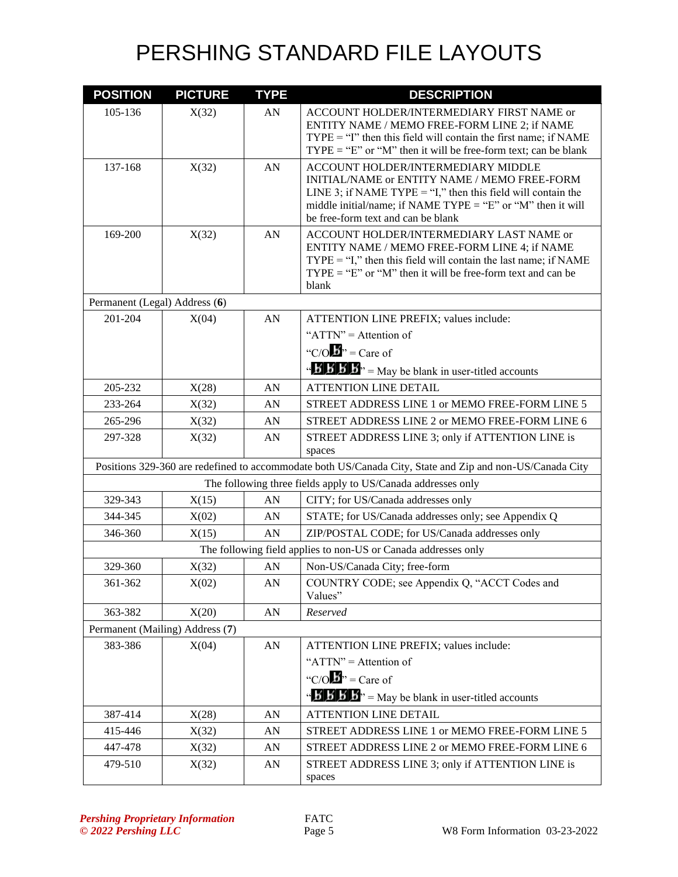| <b>POSITION</b>               | <b>PICTURE</b>                  | <b>TYPE</b>      | <b>DESCRIPTION</b>                                                                                                                                                                                                                                        |
|-------------------------------|---------------------------------|------------------|-----------------------------------------------------------------------------------------------------------------------------------------------------------------------------------------------------------------------------------------------------------|
| 105-136                       | X(32)                           | AN               | ACCOUNT HOLDER/INTERMEDIARY FIRST NAME or<br>ENTITY NAME / MEMO FREE-FORM LINE 2; if NAME<br>$TYPE = "I"$ then this field will contain the first name; if NAME<br>$TYPE = "E"$ or "M" then it will be free-form text; can be blank                        |
| 137-168                       | X(32)                           | AN               | ACCOUNT HOLDER/INTERMEDIARY MIDDLE<br>INITIAL/NAME or ENTITY NAME / MEMO FREE-FORM<br>LINE 3; if NAME TYPE = "I," then this field will contain the<br>middle initial/name; if NAME $TYPE = "E"$ or "M" then it will<br>be free-form text and can be blank |
| 169-200                       | X(32)                           | AN               | ACCOUNT HOLDER/INTERMEDIARY LAST NAME or<br>ENTITY NAME / MEMO FREE-FORM LINE 4; if NAME<br>$TYPE = "I,"$ then this field will contain the last name; if NAME<br>$TYPE = "E"$ or "M" then it will be free-form text and can be<br>blank                   |
| Permanent (Legal) Address (6) |                                 |                  |                                                                                                                                                                                                                                                           |
| 201-204                       | X(04)                           | ${\rm AN}$       | ATTENTION LINE PREFIX; values include:<br>" $ATTN" =$ Attention of<br>"C/O $\mathbf{B}$ " = Care of                                                                                                                                                       |
|                               |                                 |                  | $\mathbf{B}'$ <b>B</b> $\mathbf{B}'$ <b>B</b> $\mathbf{B}'$ = May be blank in user-titled accounts                                                                                                                                                        |
| 205-232                       | X(28)                           | AN               | <b>ATTENTION LINE DETAIL</b>                                                                                                                                                                                                                              |
| 233-264                       | X(32)                           | AN               | STREET ADDRESS LINE 1 or MEMO FREE-FORM LINE 5                                                                                                                                                                                                            |
| 265-296                       | X(32)                           | AN               | STREET ADDRESS LINE 2 or MEMO FREE-FORM LINE 6                                                                                                                                                                                                            |
| 297-328                       | X(32)                           | AN               | STREET ADDRESS LINE 3; only if ATTENTION LINE is<br>spaces                                                                                                                                                                                                |
|                               |                                 |                  | Positions 329-360 are redefined to accommodate both US/Canada City, State and Zip and non-US/Canada City                                                                                                                                                  |
|                               |                                 |                  | The following three fields apply to US/Canada addresses only                                                                                                                                                                                              |
| 329-343                       | X(15)                           | AN               | CITY; for US/Canada addresses only                                                                                                                                                                                                                        |
| 344-345                       | X(02)                           | AN               | STATE; for US/Canada addresses only; see Appendix Q                                                                                                                                                                                                       |
| 346-360                       | X(15)                           | AN               | ZIP/POSTAL CODE; for US/Canada addresses only                                                                                                                                                                                                             |
|                               |                                 |                  | The following field applies to non-US or Canada addresses only                                                                                                                                                                                            |
| 329-360                       | X(32)                           | AN               | Non-US/Canada City; free-form                                                                                                                                                                                                                             |
| 361-362                       | X(02)                           | ${\bf A}{\bf N}$ | COUNTRY CODE; see Appendix Q, "ACCT Codes and<br>Values"                                                                                                                                                                                                  |
| 363-382                       | X(20)                           | ${\rm AN}$       | Reserved                                                                                                                                                                                                                                                  |
|                               | Permanent (Mailing) Address (7) |                  |                                                                                                                                                                                                                                                           |
| 383-386                       | X(04)                           | ${\rm AN}$       | ATTENTION LINE PREFIX; values include:                                                                                                                                                                                                                    |
|                               |                                 |                  | " $ATTN" =$ Attention of                                                                                                                                                                                                                                  |
|                               |                                 |                  | "C/O $\mathbf{B}$ " = Care of                                                                                                                                                                                                                             |
|                               |                                 |                  | $\mathbf{B}'$ <b>B</b> $\mathbf{B}'$ <b>B</b> $\mathbf{B}''$ = May be blank in user-titled accounts                                                                                                                                                       |
| 387-414                       | X(28)                           | AN               | ATTENTION LINE DETAIL                                                                                                                                                                                                                                     |
| 415-446                       | X(32)                           | AN               | STREET ADDRESS LINE 1 or MEMO FREE-FORM LINE 5                                                                                                                                                                                                            |
| 447-478                       | X(32)                           | AN               | STREET ADDRESS LINE 2 or MEMO FREE-FORM LINE 6                                                                                                                                                                                                            |
| 479-510                       | X(32)                           | AN               | STREET ADDRESS LINE 3; only if ATTENTION LINE is<br>spaces                                                                                                                                                                                                |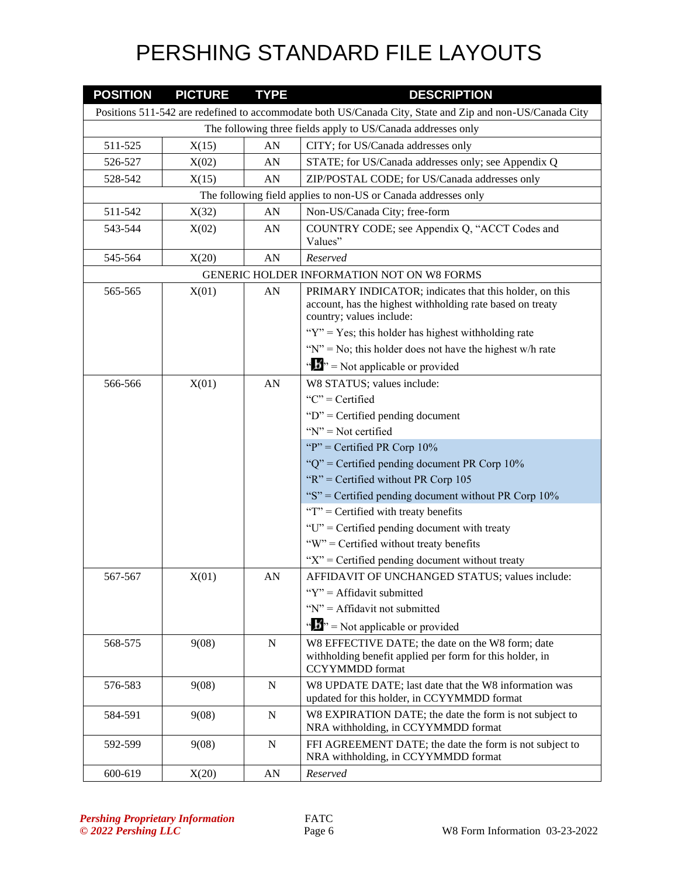| <b>POSITION</b> | <b>PICTURE</b>                                               | <b>TYPE</b> | <b>DESCRIPTION</b>                                                                                                                                                                                         |  |  |
|-----------------|--------------------------------------------------------------|-------------|------------------------------------------------------------------------------------------------------------------------------------------------------------------------------------------------------------|--|--|
|                 |                                                              |             | Positions 511-542 are redefined to accommodate both US/Canada City, State and Zip and non-US/Canada City                                                                                                   |  |  |
|                 | The following three fields apply to US/Canada addresses only |             |                                                                                                                                                                                                            |  |  |
| 511-525         | X(15)                                                        | AN          | CITY; for US/Canada addresses only                                                                                                                                                                         |  |  |
| 526-527         | X(02)                                                        | AN          | STATE; for US/Canada addresses only; see Appendix Q                                                                                                                                                        |  |  |
| 528-542         | X(15)                                                        | AN          | ZIP/POSTAL CODE; for US/Canada addresses only                                                                                                                                                              |  |  |
|                 |                                                              |             | The following field applies to non-US or Canada addresses only                                                                                                                                             |  |  |
| 511-542         | X(32)                                                        | AN          | Non-US/Canada City; free-form                                                                                                                                                                              |  |  |
| 543-544         | X(02)                                                        | ${\rm AN}$  | COUNTRY CODE; see Appendix Q, "ACCT Codes and<br>Values"                                                                                                                                                   |  |  |
| 545-564         | X(20)                                                        | AN          | Reserved                                                                                                                                                                                                   |  |  |
|                 |                                                              |             | GENERIC HOLDER INFORMATION NOT ON W8 FORMS                                                                                                                                                                 |  |  |
| 565-565         | X(01)                                                        | AN          | PRIMARY INDICATOR; indicates that this holder, on this<br>account, has the highest withholding rate based on treaty<br>country; values include:<br>" $Y$ " = Yes; this holder has highest withholding rate |  |  |
|                 |                                                              |             | " $N$ " = No; this holder does not have the highest w/h rate                                                                                                                                               |  |  |
|                 |                                                              |             | $\mathbf{w}$ $\mathbf{w}$ = Not applicable or provided                                                                                                                                                     |  |  |
| 566-566         | X(01)                                                        | AN          | W8 STATUS; values include:                                                                                                                                                                                 |  |  |
|                 |                                                              |             | " $C$ " = Certified                                                                                                                                                                                        |  |  |
|                 |                                                              |             | " $D$ " = Certified pending document                                                                                                                                                                       |  |  |
|                 |                                                              |             | " $N$ " = Not certified                                                                                                                                                                                    |  |  |
|                 |                                                              |             | "P" = Certified PR Corp $10\%$                                                                                                                                                                             |  |  |
|                 |                                                              |             | " $Q$ " = Certified pending document PR Corp 10%<br>" $R$ " = Certified without PR Corp 105                                                                                                                |  |  |
|                 |                                                              |             | "S" = Certified pending document without PR Corp $10\%$                                                                                                                                                    |  |  |
|                 |                                                              |             | " $T$ " = Certified with treaty benefits                                                                                                                                                                   |  |  |
|                 |                                                              |             | "U" = Certified pending document with treaty                                                                                                                                                               |  |  |
|                 |                                                              |             | "W" = Certified without treaty benefits                                                                                                                                                                    |  |  |
|                 |                                                              |             | " $X$ " = Certified pending document without treaty                                                                                                                                                        |  |  |
| 567-567         | X(01)                                                        | AN          | AFFIDAVIT OF UNCHANGED STATUS; values include:                                                                                                                                                             |  |  |
|                 |                                                              |             | "Y" = Affidavit submitted                                                                                                                                                                                  |  |  |
|                 |                                                              |             | " $N$ " = Affidavit not submitted                                                                                                                                                                          |  |  |
|                 |                                                              |             | $\mathbf{B}^{\prime\prime}$ = Not applicable or provided                                                                                                                                                   |  |  |
| 568-575         | 9(08)                                                        | ${\bf N}$   | W8 EFFECTIVE DATE; the date on the W8 form; date<br>withholding benefit applied per form for this holder, in<br><b>CCYYMMDD</b> format                                                                     |  |  |
| 576-583         | 9(08)                                                        | $\mathbf N$ | W8 UPDATE DATE; last date that the W8 information was<br>updated for this holder, in CCYYMMDD format                                                                                                       |  |  |
| 584-591         | 9(08)                                                        | $\mathbf N$ | W8 EXPIRATION DATE; the date the form is not subject to<br>NRA withholding, in CCYYMMDD format                                                                                                             |  |  |
| 592-599         | 9(08)                                                        | N           | FFI AGREEMENT DATE; the date the form is not subject to<br>NRA withholding, in CCYYMMDD format                                                                                                             |  |  |
| 600-619         | X(20)                                                        | ${\rm AN}$  | Reserved                                                                                                                                                                                                   |  |  |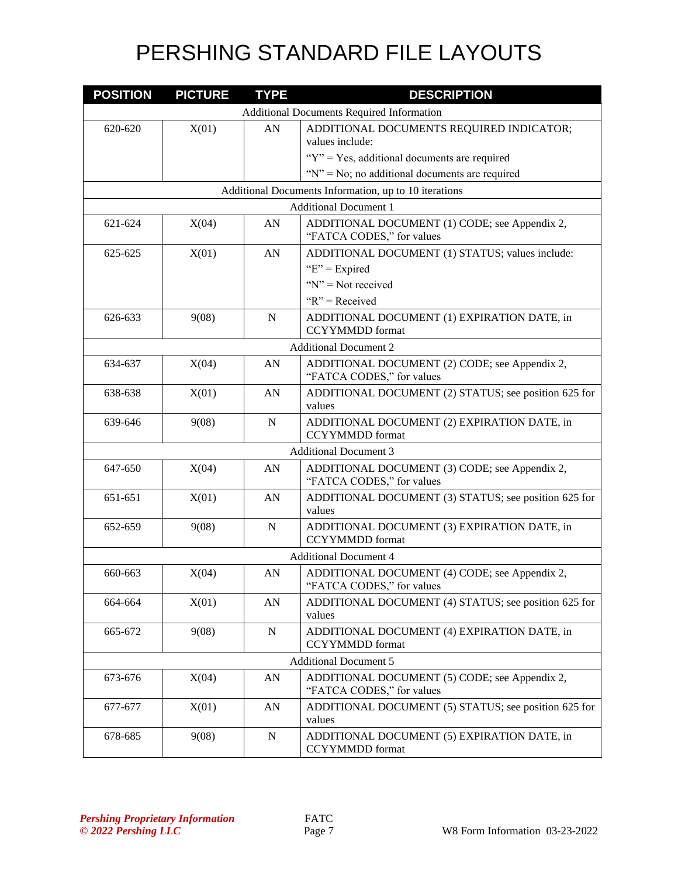| <b>POSITION</b>              | <b>PICTURE</b>                                   | <b>TYPE</b> | <b>DESCRIPTION</b>                                                         |  |  |
|------------------------------|--------------------------------------------------|-------------|----------------------------------------------------------------------------|--|--|
|                              | <b>Additional Documents Required Information</b> |             |                                                                            |  |  |
| 620-620                      | X(01)                                            | AN          | ADDITIONAL DOCUMENTS REQUIRED INDICATOR;<br>values include:                |  |  |
|                              |                                                  |             | " $Y$ " = Yes, additional documents are required                           |  |  |
|                              |                                                  |             | " $N$ " = No; no additional documents are required                         |  |  |
|                              |                                                  |             | Additional Documents Information, up to 10 iterations                      |  |  |
|                              |                                                  |             | <b>Additional Document 1</b>                                               |  |  |
| 621-624                      | X(04)                                            | AN          | ADDITIONAL DOCUMENT (1) CODE; see Appendix 2,<br>"FATCA CODES," for values |  |  |
| 625-625                      | X(01)                                            | AN          | ADDITIONAL DOCUMENT (1) STATUS; values include:                            |  |  |
|                              |                                                  |             | " $E$ " = Expired                                                          |  |  |
|                              |                                                  |             | " $N$ " = Not received                                                     |  |  |
|                              |                                                  |             | " $R$ " = Received                                                         |  |  |
| 626-633                      | 9(08)                                            | N           | ADDITIONAL DOCUMENT (1) EXPIRATION DATE, in<br><b>CCYYMMDD</b> format      |  |  |
|                              |                                                  |             | <b>Additional Document 2</b>                                               |  |  |
| 634-637                      | X(04)                                            | AN          | ADDITIONAL DOCUMENT (2) CODE; see Appendix 2,<br>"FATCA CODES," for values |  |  |
| 638-638                      | X(01)                                            | AN          | ADDITIONAL DOCUMENT (2) STATUS; see position 625 for<br>values             |  |  |
| 639-646                      | 9(08)                                            | N           | ADDITIONAL DOCUMENT (2) EXPIRATION DATE, in<br><b>CCYYMMDD</b> format      |  |  |
| <b>Additional Document 3</b> |                                                  |             |                                                                            |  |  |
| 647-650                      | X(04)                                            | AN          | ADDITIONAL DOCUMENT (3) CODE; see Appendix 2,<br>"FATCA CODES," for values |  |  |
| 651-651                      | X(01)                                            | AN          | ADDITIONAL DOCUMENT (3) STATUS; see position 625 for<br>values             |  |  |
| 652-659                      | 9(08)                                            | $\mathbf N$ | ADDITIONAL DOCUMENT (3) EXPIRATION DATE, in<br><b>CCYYMMDD</b> format      |  |  |
|                              |                                                  |             | <b>Additional Document 4</b>                                               |  |  |
| 660-663                      | X(04)                                            | AN          | ADDITIONAL DOCUMENT (4) CODE; see Appendix 2,<br>"FATCA CODES," for values |  |  |
| 664-664                      | X(01)                                            | AN          | ADDITIONAL DOCUMENT (4) STATUS; see position 625 for<br>values             |  |  |
| 665-672                      | 9(08)                                            | N           | ADDITIONAL DOCUMENT (4) EXPIRATION DATE, in<br><b>CCYYMMDD</b> format      |  |  |
|                              |                                                  |             | <b>Additional Document 5</b>                                               |  |  |
| 673-676                      | X(04)                                            | AN          | ADDITIONAL DOCUMENT (5) CODE; see Appendix 2,<br>"FATCA CODES," for values |  |  |
| 677-677                      | X(01)                                            | AN          | ADDITIONAL DOCUMENT (5) STATUS; see position 625 for<br>values             |  |  |
| 678-685                      | 9(08)                                            | ${\bf N}$   | ADDITIONAL DOCUMENT (5) EXPIRATION DATE, in<br><b>CCYYMMDD</b> format      |  |  |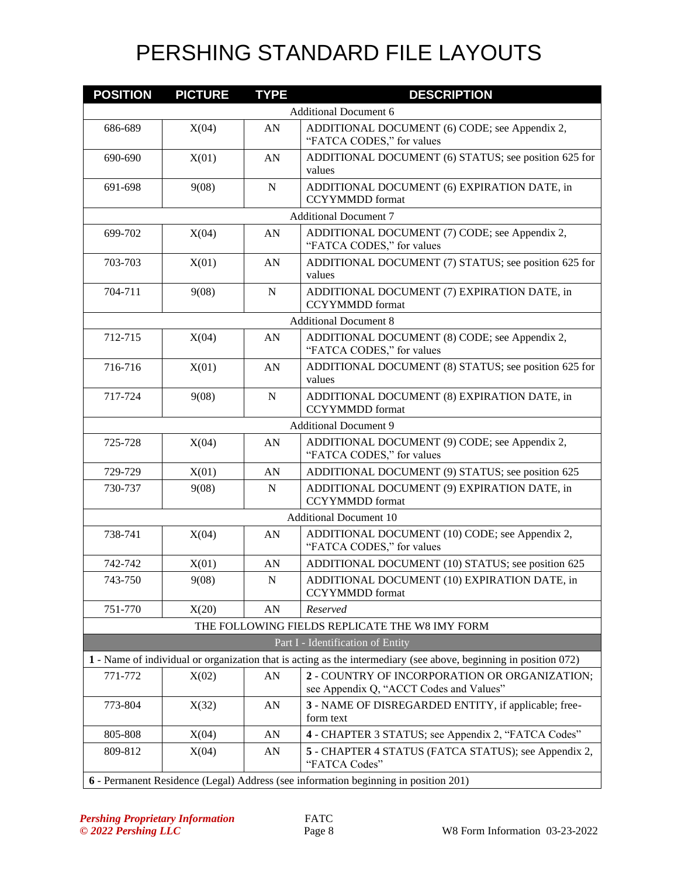| <b>POSITION</b>                                                                     | <b>PICTURE</b> | <b>TYPE</b> | <b>DESCRIPTION</b>                                                                                               |  |
|-------------------------------------------------------------------------------------|----------------|-------------|------------------------------------------------------------------------------------------------------------------|--|
|                                                                                     |                |             | <b>Additional Document 6</b>                                                                                     |  |
| 686-689                                                                             | X(04)          | ${\rm AN}$  | ADDITIONAL DOCUMENT (6) CODE; see Appendix 2,<br>"FATCA CODES," for values                                       |  |
| 690-690                                                                             | X(01)          | AN          | ADDITIONAL DOCUMENT (6) STATUS; see position 625 for<br>values                                                   |  |
| 691-698                                                                             | 9(08)          | N           | ADDITIONAL DOCUMENT (6) EXPIRATION DATE, in<br><b>CCYYMMDD</b> format                                            |  |
|                                                                                     |                |             | <b>Additional Document 7</b>                                                                                     |  |
| 699-702                                                                             | X(04)          | AN          | ADDITIONAL DOCUMENT (7) CODE; see Appendix 2,<br>"FATCA CODES," for values                                       |  |
| 703-703                                                                             | X(01)          | AN          | ADDITIONAL DOCUMENT (7) STATUS; see position 625 for<br>values                                                   |  |
| 704-711                                                                             | 9(08)          | N           | ADDITIONAL DOCUMENT (7) EXPIRATION DATE, in<br><b>CCYYMMDD</b> format                                            |  |
|                                                                                     |                |             | <b>Additional Document 8</b>                                                                                     |  |
| 712-715                                                                             | X(04)          | AN          | ADDITIONAL DOCUMENT (8) CODE; see Appendix 2,<br>"FATCA CODES," for values                                       |  |
| 716-716                                                                             | X(01)          | AN          | ADDITIONAL DOCUMENT (8) STATUS; see position 625 for<br>values                                                   |  |
| 717-724                                                                             | 9(08)          | $\mathbf N$ | ADDITIONAL DOCUMENT (8) EXPIRATION DATE, in<br><b>CCYYMMDD</b> format                                            |  |
| <b>Additional Document 9</b>                                                        |                |             |                                                                                                                  |  |
| 725-728                                                                             | X(04)          | AN          | ADDITIONAL DOCUMENT (9) CODE; see Appendix 2,<br>"FATCA CODES," for values                                       |  |
| 729-729                                                                             | X(01)          | AN          | ADDITIONAL DOCUMENT (9) STATUS; see position 625                                                                 |  |
| 730-737                                                                             | 9(08)          | N           | ADDITIONAL DOCUMENT (9) EXPIRATION DATE, in<br><b>CCYYMMDD</b> format                                            |  |
| <b>Additional Document 10</b>                                                       |                |             |                                                                                                                  |  |
| 738-741                                                                             | X(04)          | AN          | ADDITIONAL DOCUMENT (10) CODE; see Appendix 2,<br>"FATCA CODES," for values                                      |  |
| 742-742                                                                             | X(01)          | AN          | ADDITIONAL DOCUMENT (10) STATUS; see position 625                                                                |  |
| 743-750                                                                             | 9(08)          | N           | ADDITIONAL DOCUMENT (10) EXPIRATION DATE, in<br><b>CCYYMMDD</b> format                                           |  |
| 751-770                                                                             | X(20)          | AN          | Reserved                                                                                                         |  |
|                                                                                     |                |             | THE FOLLOWING FIELDS REPLICATE THE W8 IMY FORM                                                                   |  |
|                                                                                     |                |             | Part I - Identification of Entity                                                                                |  |
|                                                                                     |                |             | 1 - Name of individual or organization that is acting as the intermediary (see above, beginning in position 072) |  |
| 771-772                                                                             | X(02)          | AN          | 2 - COUNTRY OF INCORPORATION OR ORGANIZATION;<br>see Appendix Q, "ACCT Codes and Values"                         |  |
| 773-804                                                                             | X(32)          | AN          | 3 - NAME OF DISREGARDED ENTITY, if applicable; free-<br>form text                                                |  |
| 805-808                                                                             | X(04)          | AN          | 4 - CHAPTER 3 STATUS; see Appendix 2, "FATCA Codes"                                                              |  |
| 809-812                                                                             | X(04)          | AN          | 5 - CHAPTER 4 STATUS (FATCA STATUS); see Appendix 2,<br>"FATCA Codes"                                            |  |
| 6 - Permanent Residence (Legal) Address (see information beginning in position 201) |                |             |                                                                                                                  |  |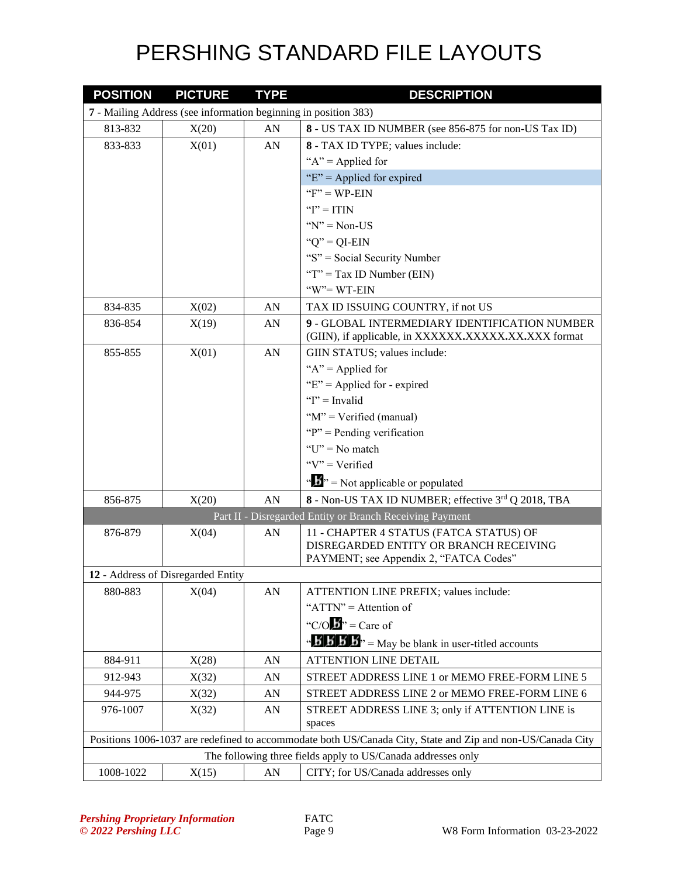| <b>POSITION</b> | <b>PICTURE</b>                                                  | <b>TYPE</b> | <b>DESCRIPTION</b>                                                                                                          |
|-----------------|-----------------------------------------------------------------|-------------|-----------------------------------------------------------------------------------------------------------------------------|
|                 | 7 - Mailing Address (see information beginning in position 383) |             |                                                                                                                             |
| 813-832         | X(20)                                                           | ${\rm AN}$  | 8 - US TAX ID NUMBER (see 856-875 for non-US Tax ID)                                                                        |
| 833-833         | X(01)                                                           | ${\rm AN}$  | 8 - TAX ID TYPE; values include:                                                                                            |
|                 |                                                                 |             | " $A$ " = Applied for                                                                                                       |
|                 |                                                                 |             | " $E$ " = Applied for expired                                                                                               |
|                 |                                                                 |             | " $F$ " = WP-EIN                                                                                                            |
|                 |                                                                 |             | " $I$ " = ITIN                                                                                                              |
|                 |                                                                 |             | $Y' = Non-US$                                                                                                               |
|                 |                                                                 |             | " $Q$ " = QI-EIN                                                                                                            |
|                 |                                                                 |             | "S" = Social Security Number                                                                                                |
|                 |                                                                 |             | "T" = Tax ID Number (EIN)                                                                                                   |
|                 |                                                                 |             | " $W$ "= WT-EIN                                                                                                             |
| 834-835         | X(02)                                                           | AN          | TAX ID ISSUING COUNTRY, if not US                                                                                           |
| 836-854         | X(19)                                                           | AN          | 9 - GLOBAL INTERMEDIARY IDENTIFICATION NUMBER<br>(GIIN), if applicable, in XXXXXX.XXXXX.XX.XXX format                       |
| 855-855         | X(01)                                                           | AN          | GIIN STATUS; values include:                                                                                                |
|                 |                                                                 |             | " $A$ " = Applied for                                                                                                       |
|                 |                                                                 |             | " $E$ " = Applied for - expired                                                                                             |
|                 |                                                                 |             | " $I$ " = Invalid                                                                                                           |
|                 |                                                                 |             | " $M$ " = Verified (manual)                                                                                                 |
|                 |                                                                 |             | " $P$ " = Pending verification                                                                                              |
|                 |                                                                 |             | " $U$ " = No match                                                                                                          |
|                 |                                                                 |             | " $V$ " = Verified                                                                                                          |
|                 |                                                                 |             | $\mathbf{A}^{\mathbf{A}}$ $\mathbf{B}^{\mathbf{B}}$ = Not applicable or populated                                           |
| 856-875         | X(20)                                                           | AN          | 8 - Non-US TAX ID NUMBER; effective 3rd Q 2018, TBA                                                                         |
|                 |                                                                 |             | Part II - Disregarded Entity or Branch Receiving Payment                                                                    |
| 876-879         | X(04)                                                           | AN          | 11 - CHAPTER 4 STATUS (FATCA STATUS) OF<br>DISREGARDED ENTITY OR BRANCH RECEIVING<br>PAYMENT; see Appendix 2, "FATCA Codes" |
|                 | 12 - Address of Disregarded Entity                              |             |                                                                                                                             |
| 880-883         | X(04)                                                           | AN          | ATTENTION LINE PREFIX; values include:                                                                                      |
|                 |                                                                 |             | " $ATTN" =$ Attention of                                                                                                    |
|                 |                                                                 |             | "C/O $\mathbf{b}$ " = Care of                                                                                               |
|                 |                                                                 |             | $\mathbf{B}'$ <b>B</b> $\mathbf{B}'$ <b>B</b> $\mathbf{B}''$ = May be blank in user-titled accounts                         |
| 884-911         | X(28)                                                           | AN          | ATTENTION LINE DETAIL                                                                                                       |
| 912-943         | X(32)                                                           | AN          | STREET ADDRESS LINE 1 or MEMO FREE-FORM LINE 5                                                                              |
| 944-975         | X(32)                                                           | ${\rm AN}$  | STREET ADDRESS LINE 2 or MEMO FREE-FORM LINE 6                                                                              |
| 976-1007        | X(32)                                                           | ${\rm AN}$  | STREET ADDRESS LINE 3; only if ATTENTION LINE is<br>spaces                                                                  |
|                 |                                                                 |             | Positions 1006-1037 are redefined to accommodate both US/Canada City, State and Zip and non-US/Canada City                  |
|                 |                                                                 |             | The following three fields apply to US/Canada addresses only                                                                |
| 1008-1022       | X(15)                                                           | ${\rm AN}$  | CITY; for US/Canada addresses only                                                                                          |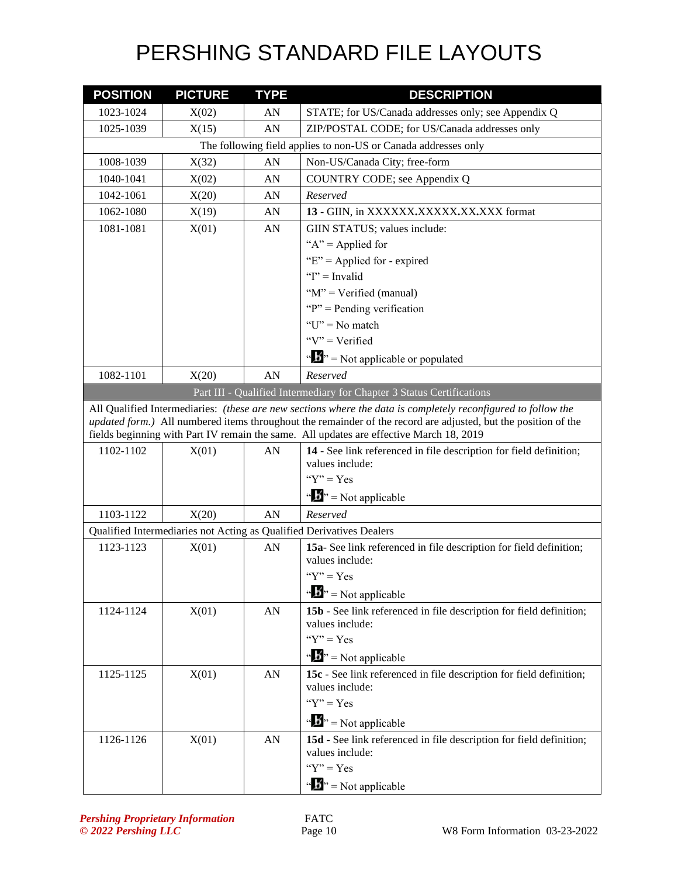| <b>POSITION</b> | <b>PICTURE</b> | <b>TYPE</b> | <b>DESCRIPTION</b>                                                                                                                                                                                                                                                                                                         |
|-----------------|----------------|-------------|----------------------------------------------------------------------------------------------------------------------------------------------------------------------------------------------------------------------------------------------------------------------------------------------------------------------------|
| 1023-1024       | X(02)          | AN          | STATE; for US/Canada addresses only; see Appendix Q                                                                                                                                                                                                                                                                        |
| 1025-1039       | X(15)          | AN          | ZIP/POSTAL CODE; for US/Canada addresses only                                                                                                                                                                                                                                                                              |
|                 |                |             | The following field applies to non-US or Canada addresses only                                                                                                                                                                                                                                                             |
| 1008-1039       | X(32)          | AN          | Non-US/Canada City; free-form                                                                                                                                                                                                                                                                                              |
| 1040-1041       | X(02)          | AN          | COUNTRY CODE; see Appendix Q                                                                                                                                                                                                                                                                                               |
| 1042-1061       | X(20)          | AN          | Reserved                                                                                                                                                                                                                                                                                                                   |
| 1062-1080       | X(19)          | AN          | 13 - GIIN, in XXXXXX,XXXXX,XX,XXX format                                                                                                                                                                                                                                                                                   |
| 1081-1081       | X(01)          | AN          | GIIN STATUS; values include:                                                                                                                                                                                                                                                                                               |
|                 |                |             | " $A$ " = Applied for                                                                                                                                                                                                                                                                                                      |
|                 |                |             | " $E$ " = Applied for - expired                                                                                                                                                                                                                                                                                            |
|                 |                |             | " $I$ " = Invalid                                                                                                                                                                                                                                                                                                          |
|                 |                |             | " $M$ " = Verified (manual)                                                                                                                                                                                                                                                                                                |
|                 |                |             | " $P$ " = Pending verification                                                                                                                                                                                                                                                                                             |
|                 |                |             | " $U$ " = No match"                                                                                                                                                                                                                                                                                                        |
|                 |                |             | " $V$ " = Verified                                                                                                                                                                                                                                                                                                         |
|                 |                |             | $\mathbf{B}^{\prime\prime}$ = Not applicable or populated                                                                                                                                                                                                                                                                  |
| 1082-1101       | X(20)          | AN          | Reserved                                                                                                                                                                                                                                                                                                                   |
|                 |                |             | Part III - Qualified Intermediary for Chapter 3 Status Certifications                                                                                                                                                                                                                                                      |
|                 |                |             | All Qualified Intermediaries: (these are new sections where the data is completely reconfigured to follow the<br>updated form.) All numbered items throughout the remainder of the record are adjusted, but the position of the<br>fields beginning with Part IV remain the same. All updates are effective March 18, 2019 |
| 1102-1102       | X(01)          | AN          | 14 - See link referenced in file description for field definition;<br>values include:                                                                                                                                                                                                                                      |
|                 |                |             | " $Y$ " = Yes<br>$\mathbf{A}^{\prime\prime}$ = Not applicable                                                                                                                                                                                                                                                              |
| 1103-1122       |                | AN          | Reserved                                                                                                                                                                                                                                                                                                                   |
|                 | X(20)          |             | Qualified Intermediaries not Acting as Qualified Derivatives Dealers                                                                                                                                                                                                                                                       |
| 1123-1123       | X(01)          | AN          | 15a-See link referenced in file description for field definition;                                                                                                                                                                                                                                                          |
|                 |                |             | values include:                                                                                                                                                                                                                                                                                                            |
|                 |                |             | " $Y$ " = Yes                                                                                                                                                                                                                                                                                                              |
|                 |                |             | $\mathbf{A}^{\bullet}$ $\mathbf{B}^{\bullet}$ = Not applicable                                                                                                                                                                                                                                                             |
| 1124-1124       | X(01)          | AN          | 15b - See link referenced in file description for field definition;<br>values include:                                                                                                                                                                                                                                     |
|                 |                |             | " $Y$ " = Yes                                                                                                                                                                                                                                                                                                              |
|                 |                |             | $\mathbf{B}^{\prime\prime}$ = Not applicable                                                                                                                                                                                                                                                                               |
| 1125-1125       | X(01)          | AN          | 15c - See link referenced in file description for field definition;                                                                                                                                                                                                                                                        |
|                 |                |             | values include:                                                                                                                                                                                                                                                                                                            |
|                 |                |             | " $Y$ " = Yes                                                                                                                                                                                                                                                                                                              |
|                 |                |             | $\mathbf{B}^{\prime\prime}$ = Not applicable                                                                                                                                                                                                                                                                               |
| 1126-1126       | X(01)          | AN          | 15d - See link referenced in file description for field definition;<br>values include:                                                                                                                                                                                                                                     |
|                 |                |             | " $Y$ " = Yes                                                                                                                                                                                                                                                                                                              |
|                 |                |             | $\mathbf{A}^{\bullet}$ = Not applicable                                                                                                                                                                                                                                                                                    |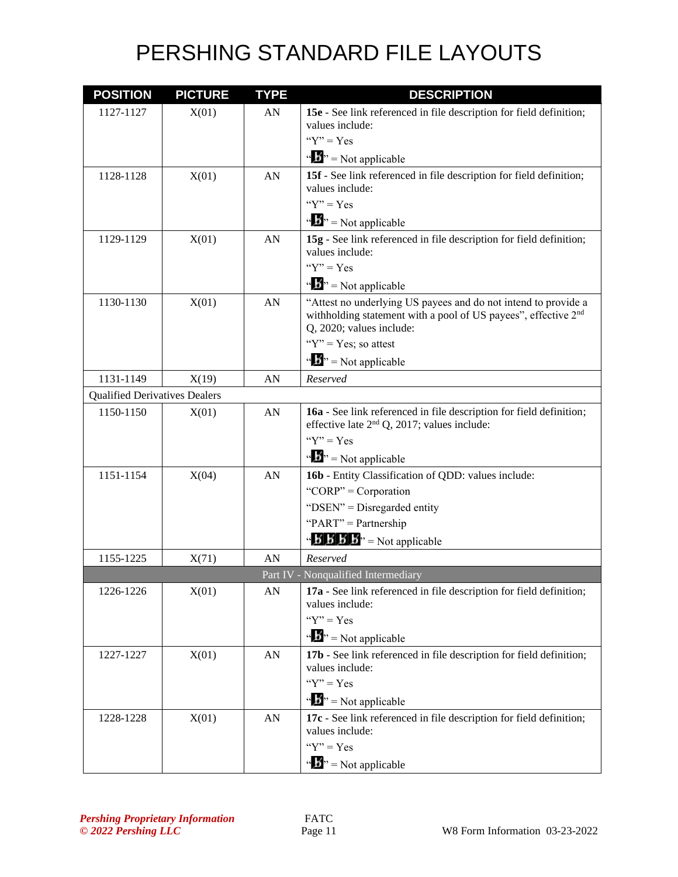| <b>POSITION</b>                      | <b>PICTURE</b> | <b>TYPE</b> | <b>DESCRIPTION</b>                                                                                                                                                       |
|--------------------------------------|----------------|-------------|--------------------------------------------------------------------------------------------------------------------------------------------------------------------------|
| 1127-1127                            | X(01)          | AN          | 15e - See link referenced in file description for field definition;<br>values include:                                                                                   |
|                                      |                |             | " $Y$ " = Yes                                                                                                                                                            |
|                                      |                |             | $\mathbf{A}^{\mathbf{B}}$ = Not applicable                                                                                                                               |
| 1128-1128                            | X(01)          | AN          | 15f - See link referenced in file description for field definition;<br>values include:<br>" $Y$ " = $Yes$                                                                |
|                                      |                |             | $\mathbf{A}^{\prime\prime}$ = Not applicable                                                                                                                             |
| 1129-1129                            | X(01)          | AN          | 15g - See link referenced in file description for field definition;<br>values include:                                                                                   |
|                                      |                |             | " $Y$ " = $Yes$                                                                                                                                                          |
|                                      |                |             | $\mathbf{B}^{\prime\prime}$ = Not applicable                                                                                                                             |
| 1130-1130                            | X(01)          | AN          | "Attest no underlying US payees and do not intend to provide a<br>withholding statement with a pool of US payees", effective 2 <sup>nd</sup><br>Q, 2020; values include: |
|                                      |                |             | " $Y$ " = Yes; so attest                                                                                                                                                 |
|                                      |                |             | $\mathbf{A}^{\mathbf{B}}$ = Not applicable                                                                                                                               |
| 1131-1149                            | X(19)          | AN          | Reserved                                                                                                                                                                 |
| <b>Qualified Derivatives Dealers</b> |                |             |                                                                                                                                                                          |
| 1150-1150                            | X(01)          | AN          | 16a - See link referenced in file description for field definition;<br>effective late $2nd Q$ , 2017; values include:                                                    |
|                                      |                |             | " $Y$ " = Yes                                                                                                                                                            |
|                                      |                |             | $\mathbf{B}^{\prime\prime}$ = Not applicable                                                                                                                             |
| 1151-1154                            | X(04)          | AN          | 16b - Entity Classification of QDD: values include:                                                                                                                      |
|                                      |                |             | "CORP" = Corporation                                                                                                                                                     |
|                                      |                |             | "DSEN" = Disregarded entity                                                                                                                                              |
|                                      |                |             | "PART" = Partnership                                                                                                                                                     |
|                                      |                |             | $\mathbf{B} \times \mathbf{B} \times \mathbf{B}$ <sup>3</sup> = Not applicable                                                                                           |
| 1155-1225                            | X(71)          | AN          | Reserved                                                                                                                                                                 |
|                                      |                |             | Part IV - Nonqualified Intermediary                                                                                                                                      |
| 1226-1226                            | X(01)          | AN          | 17a - See link referenced in file description for field definition;<br>values include:                                                                                   |
|                                      |                |             | " $Y$ " = Yes                                                                                                                                                            |
|                                      |                |             | $\mathbf{B}^{\prime\prime}$ = Not applicable                                                                                                                             |
| 1227-1227                            | X(01)          | AN          | 17b - See link referenced in file description for field definition;<br>values include:                                                                                   |
|                                      |                |             | " $Y$ " = Yes                                                                                                                                                            |
|                                      |                |             | $\mathbf{A}^{\mathbf{B}}$ = Not applicable                                                                                                                               |
| 1228-1228                            | X(01)          | AN          | 17c - See link referenced in file description for field definition;                                                                                                      |
|                                      |                |             | values include:                                                                                                                                                          |
|                                      |                |             | " $Y$ " = Yes                                                                                                                                                            |
|                                      |                |             | $\mathbf{B}^{\prime\prime}$ = Not applicable                                                                                                                             |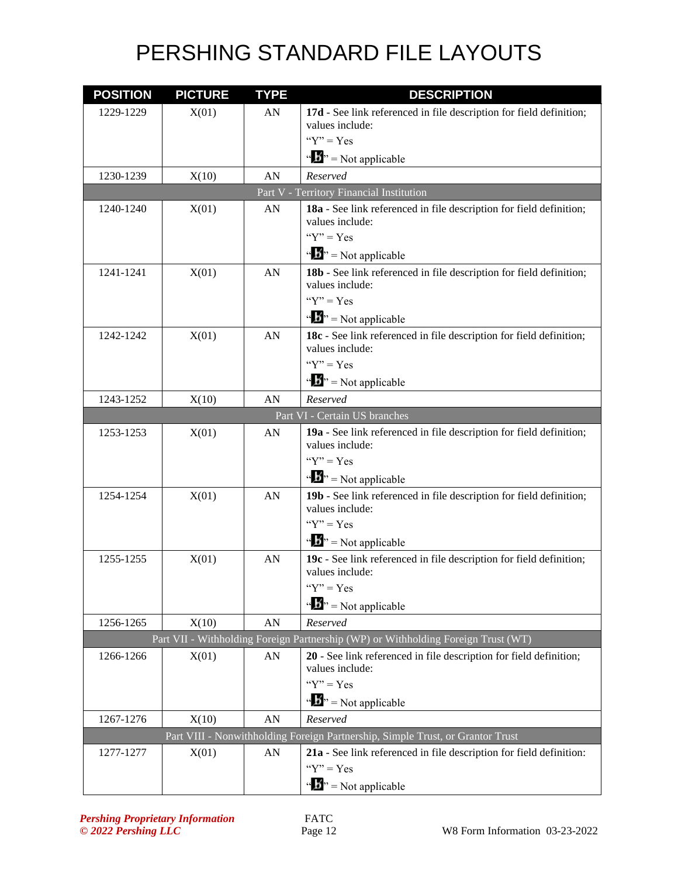| <b>POSITION</b> | <b>PICTURE</b>                | <b>TYPE</b> | <b>DESCRIPTION</b>                                                                     |  |  |
|-----------------|-------------------------------|-------------|----------------------------------------------------------------------------------------|--|--|
| 1229-1229       | X(01)                         | AN          | 17d - See link referenced in file description for field definition;                    |  |  |
|                 |                               |             | values include:                                                                        |  |  |
|                 |                               |             | " $Y$ " = Yes                                                                          |  |  |
|                 |                               |             | $\mathbf{A}^{\bullet}$ = Not applicable                                                |  |  |
| 1230-1239       | X(10)                         | AN          | Reserved                                                                               |  |  |
|                 |                               |             | Part V - Territory Financial Institution                                               |  |  |
| 1240-1240       | X(01)                         | AN          | 18a - See link referenced in file description for field definition;<br>values include: |  |  |
|                 |                               |             | " $Y$ " = $Yes$                                                                        |  |  |
|                 |                               |             | $\mathbf{B}^{\prime\prime}$ = Not applicable                                           |  |  |
| 1241-1241       | X(01)                         | AN          | 18b - See link referenced in file description for field definition;                    |  |  |
|                 |                               |             | values include:                                                                        |  |  |
|                 |                               |             | " $Y$ " = Yes                                                                          |  |  |
|                 |                               |             | $\mathbf{A}^{\mathbf{B}}$ = Not applicable                                             |  |  |
| 1242-1242       | X(01)                         | AN          | 18c - See link referenced in file description for field definition;<br>values include: |  |  |
|                 |                               |             | " $Y$ " = Yes                                                                          |  |  |
|                 |                               |             | $\mathbf{B}^{\prime\prime}$ = Not applicable                                           |  |  |
| 1243-1252       | X(10)                         | AN          | Reserved                                                                               |  |  |
|                 | Part VI - Certain US branches |             |                                                                                        |  |  |
| 1253-1253       | X(01)                         | AN          | 19a - See link referenced in file description for field definition;<br>values include: |  |  |
|                 |                               |             | " $Y$ " = $Yes$                                                                        |  |  |
|                 |                               |             | $\mathbf{w} = \mathbf{N}$ = Not applicable                                             |  |  |
| 1254-1254       | X(01)                         | AN          | 19b - See link referenced in file description for field definition;                    |  |  |
|                 |                               |             | values include:                                                                        |  |  |
|                 |                               |             | " $Y$ " = Yes                                                                          |  |  |
|                 |                               |             | $\mathbf{B}^{\prime\prime}$ = Not applicable                                           |  |  |
| 1255-1255       | X(01)                         | AN          | 19c - See link referenced in file description for field definition;<br>values include: |  |  |
|                 |                               |             | " $Y$ " = Yes                                                                          |  |  |
|                 |                               |             | $\mathbf{A}^{\prime\prime}$ = Not applicable                                           |  |  |
| 1256-1265       | X(10)                         | ${\rm AN}$  | Reserved                                                                               |  |  |
|                 |                               |             | Part VII - Withholding Foreign Partnership (WP) or Withholding Foreign Trust (WT)      |  |  |
| 1266-1266       | X(01)                         | AN          | 20 - See link referenced in file description for field definition;                     |  |  |
|                 |                               |             | values include:                                                                        |  |  |
|                 |                               |             | " $Y$ " = Yes                                                                          |  |  |
|                 |                               |             | $\mathbf{B}^{\prime\prime}$ = Not applicable                                           |  |  |
| 1267-1276       | X(10)                         | AN          | Reserved                                                                               |  |  |
|                 |                               |             | Part VIII - Nonwithholding Foreign Partnership, Simple Trust, or Grantor Trust         |  |  |
| 1277-1277       | X(01)                         | AN          | 21a - See link referenced in file description for field definition:                    |  |  |
|                 |                               |             | " $Y$ " = Yes                                                                          |  |  |
|                 |                               |             | $\mathbf{A}^{\mathbf{B}}$ = Not applicable                                             |  |  |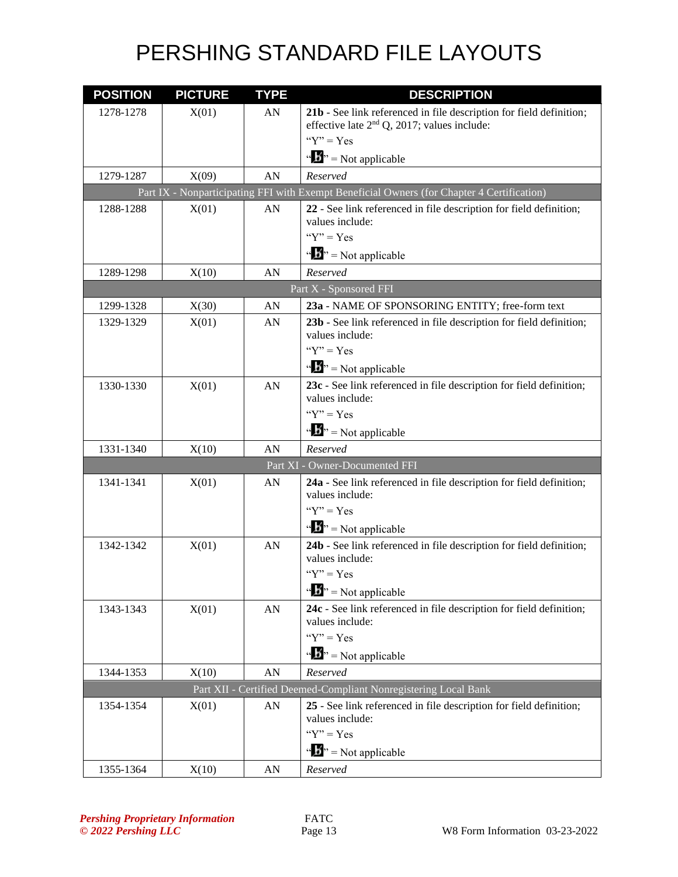| <b>POSITION</b> | <b>PICTURE</b> | <b>TYPE</b>      | <b>DESCRIPTION</b>                                                                                                    |
|-----------------|----------------|------------------|-----------------------------------------------------------------------------------------------------------------------|
| 1278-1278       | X(01)          | AN               | 21b - See link referenced in file description for field definition;<br>effective late $2nd Q$ , 2017; values include: |
|                 |                |                  | " $Y$ " = $Yes$                                                                                                       |
|                 |                |                  | $\mathbf{B}^{\prime\prime}$ = Not applicable                                                                          |
| 1279-1287       | X(09)          | AN               | Reserved                                                                                                              |
|                 |                |                  | Part IX - Nonparticipating FFI with Exempt Beneficial Owners (for Chapter 4 Certification)                            |
| 1288-1288       | X(01)          | AN               | 22 - See link referenced in file description for field definition;                                                    |
|                 |                |                  | values include:<br>" $Y$ " = $Yes$                                                                                    |
|                 |                |                  |                                                                                                                       |
| 1289-1298       | X(10)          | AN               | $\mathbf{A}^{\mathbf{B}}$ = Not applicable<br>Reserved                                                                |
|                 |                |                  | Part X - Sponsored FFI                                                                                                |
| 1299-1328       | X(30)          | AN               | 23a - NAME OF SPONSORING ENTITY; free-form text                                                                       |
| 1329-1329       | X(01)          | AN               | 23b - See link referenced in file description for field definition;                                                   |
|                 |                |                  | values include:<br>" $Y$ " = Yes                                                                                      |
|                 |                |                  |                                                                                                                       |
|                 |                |                  | $\mathbf{A}^{\bullet}$ = Not applicable                                                                               |
| 1330-1330       | X(01)          | AN               | 23c - See link referenced in file description for field definition;<br>values include:                                |
|                 |                |                  | " $Y$ " = Yes                                                                                                         |
|                 |                |                  | $\mathbf{B}^{\prime\prime}$ = Not applicable                                                                          |
| 1331-1340       | X(10)          | AN               | Reserved                                                                                                              |
|                 |                |                  | Part XI - Owner-Documented FFI                                                                                        |
| 1341-1341       | X(01)          | AN               | 24a - See link referenced in file description for field definition;<br>values include:                                |
|                 |                |                  | " $Y$ " = Yes                                                                                                         |
|                 |                |                  | $\mathbf{A}^{\mathbf{B}}$ = Not applicable                                                                            |
| 1342-1342       | X(01)          | AN               | 24b - See link referenced in file description for field definition;<br>values include:                                |
|                 |                |                  | " $Y$ " = Yes                                                                                                         |
|                 |                |                  | $\mathbf{B}^{\prime\prime}$ = Not applicable                                                                          |
| 1343-1343       | X(01)          | AN               | 24c - See link referenced in file description for field definition;<br>values include:                                |
|                 |                |                  | " $Y$ " = Yes                                                                                                         |
|                 |                |                  | $\mathbf{B}^{\prime\prime}$ = Not applicable                                                                          |
| 1344-1353       | X(10)          | ${\bf A}{\bf N}$ | Reserved                                                                                                              |
|                 |                |                  | Part XII - Certified Deemed-Compliant Nonregistering Local Bank                                                       |
| 1354-1354       | X(01)          | AN               | 25 - See link referenced in file description for field definition;<br>values include:                                 |
|                 |                |                  | " $Y$ " = Yes                                                                                                         |
|                 |                |                  | $\mathbf{A}^{\mathbf{B}}$ = Not applicable                                                                            |
| 1355-1364       | X(10)          | ${\rm AN}$       | Reserved                                                                                                              |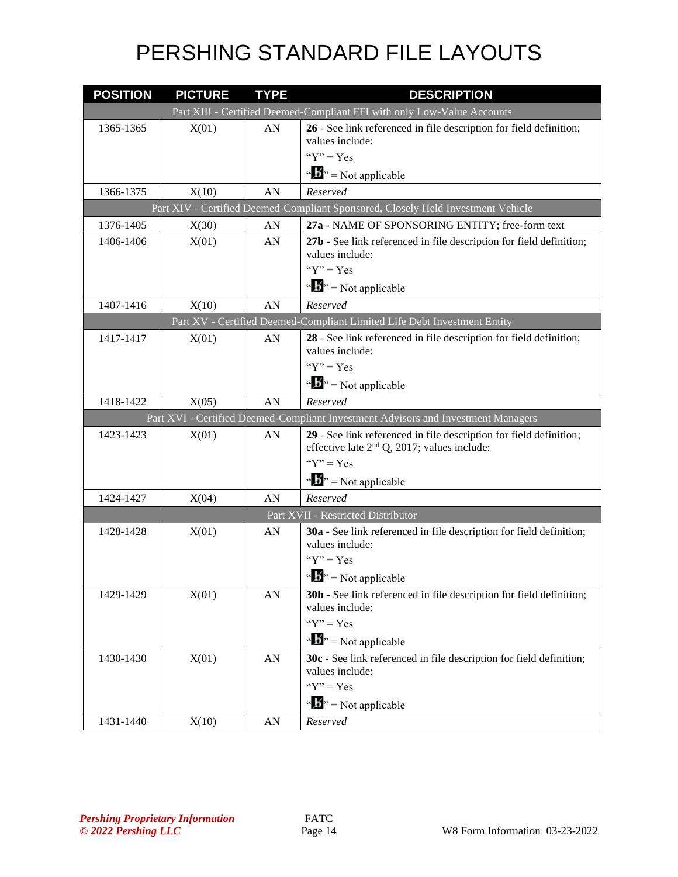| <b>POSITION</b> | <b>PICTURE</b> | <b>TYPE</b> | <b>DESCRIPTION</b>                                                                                                  |
|-----------------|----------------|-------------|---------------------------------------------------------------------------------------------------------------------|
|                 |                |             | Part XIII - Certified Deemed-Compliant FFI with only Low-Value Accounts                                             |
| 1365-1365       | X(01)          | AN          | 26 - See link referenced in file description for field definition;                                                  |
|                 |                |             | values include:<br>" $Y$ " = $Yes$                                                                                  |
|                 |                |             | $\mathbf{A}^{\prime\prime}$ = Not applicable                                                                        |
| 1366-1375       |                | AN          | Reserved                                                                                                            |
|                 | X(10)          |             | Part XIV - Certified Deemed-Compliant Sponsored, Closely Held Investment Vehicle                                    |
| 1376-1405       | X(30)          | AN          | 27a - NAME OF SPONSORING ENTITY; free-form text                                                                     |
| 1406-1406       | X(01)          | AN          | 27b - See link referenced in file description for field definition;                                                 |
|                 |                |             | values include:                                                                                                     |
|                 |                |             | " $Y$ " = Yes                                                                                                       |
|                 |                |             | $\mathbf{B}^{\prime\prime}$ = Not applicable                                                                        |
| 1407-1416       | X(10)          | AN          | Reserved                                                                                                            |
|                 |                |             | Part XV - Certified Deemed-Compliant Limited Life Debt Investment Entity                                            |
| 1417-1417       | X(01)          | AN          | 28 - See link referenced in file description for field definition;                                                  |
|                 |                |             | values include:                                                                                                     |
|                 |                |             | " $Y$ " = $Yes$                                                                                                     |
|                 |                |             | $\mathbf{B}^{\prime\prime}$ = Not applicable                                                                        |
| 1418-1422       | X(05)          | AN          | Reserved                                                                                                            |
|                 |                |             | Part XVI - Certified Deemed-Compliant Investment Advisors and Investment Managers                                   |
| 1423-1423       | X(01)          | AN          | 29 - See link referenced in file description for field definition;<br>effective late $2nd$ Q, 2017; values include: |
|                 |                |             | " $Y$ " = Yes                                                                                                       |
|                 |                |             | $\mathbf{B}^{\prime\prime}$ = Not applicable                                                                        |
| 1424-1427       | X(04)          | AN          | Reserved                                                                                                            |
|                 |                |             | Part XVII - Restricted Distributor                                                                                  |
| 1428-1428       | X(01)          | AN          | 30a - See link referenced in file description for field definition;<br>values include:                              |
|                 |                |             | " $Y$ " = Yes                                                                                                       |
|                 |                |             | $\mathbf{A}^{\prime\prime}$ > Not applicable                                                                        |
| 1429-1429       | X(01)          | AN          | 30b - See link referenced in file description for field definition;                                                 |
|                 |                |             | values include:                                                                                                     |
|                 |                |             | " $Y$ " = Yes                                                                                                       |
|                 |                |             | $\mathbf{A}^{\prime\prime}$ = Not applicable                                                                        |
| 1430-1430       | X(01)          | AN          | 30c - See link referenced in file description for field definition;                                                 |
|                 |                |             | values include:<br>" $Y$ " = Yes                                                                                    |
|                 |                |             |                                                                                                                     |
|                 |                |             | $\mathbf{B}^{\prime\prime}$ = Not applicable                                                                        |
| 1431-1440       | X(10)          | AN          | Reserved                                                                                                            |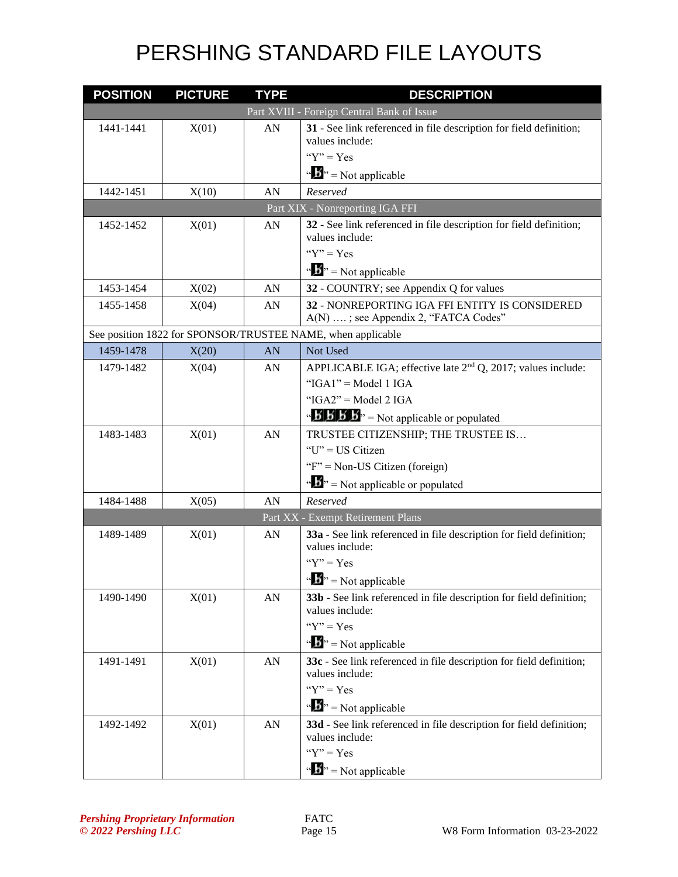| <b>POSITION</b> | <b>PICTURE</b> | <b>TYPE</b> | <b>DESCRIPTION</b>                                                                     |
|-----------------|----------------|-------------|----------------------------------------------------------------------------------------|
|                 |                |             | Part XVIII - Foreign Central Bank of Issue                                             |
| 1441-1441       | X(01)          | ${\rm AN}$  | 31 - See link referenced in file description for field definition;<br>values include:  |
|                 |                |             | " $Y$ " = $Yes$                                                                        |
|                 |                |             | $\mathbf{A}^{\mathbf{B}}$ = Not applicable                                             |
| 1442-1451       | X(10)          | AN          | Reserved                                                                               |
|                 |                |             | Part XIX - Nonreporting IGA FFI                                                        |
| 1452-1452       | X(01)          | AN          | 32 - See link referenced in file description for field definition;                     |
|                 |                |             | values include:                                                                        |
|                 |                |             | " $Y$ " = Yes                                                                          |
|                 |                |             | $\mathbf{A}^{\bullet}$ = Not applicable                                                |
| 1453-1454       | X(02)          | AN          | 32 - COUNTRY; see Appendix Q for values                                                |
| 1455-1458       | X(04)          | AN          | 32 - NONREPORTING IGA FFI ENTITY IS CONSIDERED<br>A(N) ; see Appendix 2, "FATCA Codes" |
|                 |                |             | See position 1822 for SPONSOR/TRUSTEE NAME, when applicable                            |
| 1459-1478       | X(20)          | AN          | Not Used                                                                               |
| 1479-1482       | X(04)          | AN          | APPLICABLE IGA; effective late 2 <sup>nd</sup> Q, 2017; values include:                |
|                 |                |             | " $IGA1" = Model 1 IGA$                                                                |
|                 |                |             | " $IGA2" = Model 2 IGA$                                                                |
|                 |                |             | " $\mathbf{B}'\mathbf{B}'\mathbf{B}'$ " = Not applicable or populated                  |
| 1483-1483       | X(01)          | AN          | TRUSTEE CITIZENSHIP; THE TRUSTEE IS                                                    |
|                 |                |             | "U" = US Citizen                                                                       |
|                 |                |             | "F" = Non-US Citizen (foreign)                                                         |
|                 |                |             | $\mathbf{A}^{\prime\prime}$ = Not applicable or populated                              |
| 1484-1488       | X(05)          | AN          | Reserved                                                                               |
|                 |                |             | Part XX - Exempt Retirement Plans                                                      |
| 1489-1489       | X(01)          | AN          | 33a - See link referenced in file description for field definition;<br>values include: |
|                 |                |             | " $Y$ " = Yes                                                                          |
|                 |                |             | $\mathbf{B}^{\prime\prime}$ = Not applicable                                           |
| 1490-1490       | X(01)          | AN          | 33b - See link referenced in file description for field definition;<br>values include: |
|                 |                |             | " $Y$ " = Yes                                                                          |
|                 |                |             | $\mathbf{B}^{\prime\prime}$ = Not applicable                                           |
| 1491-1491       | X(01)          | AN          | 33c - See link referenced in file description for field definition;<br>values include: |
|                 |                |             | " $Y$ " = Yes                                                                          |
|                 |                |             | $\mathbf{B}^{\prime\prime}$ = Not applicable                                           |
| 1492-1492       | X(01)          | ${\rm AN}$  | 33d - See link referenced in file description for field definition;<br>values include: |
|                 |                |             | " $Y$ " = Yes                                                                          |
|                 |                |             | $\mathbf{B}^{\prime\prime}$ = Not applicable                                           |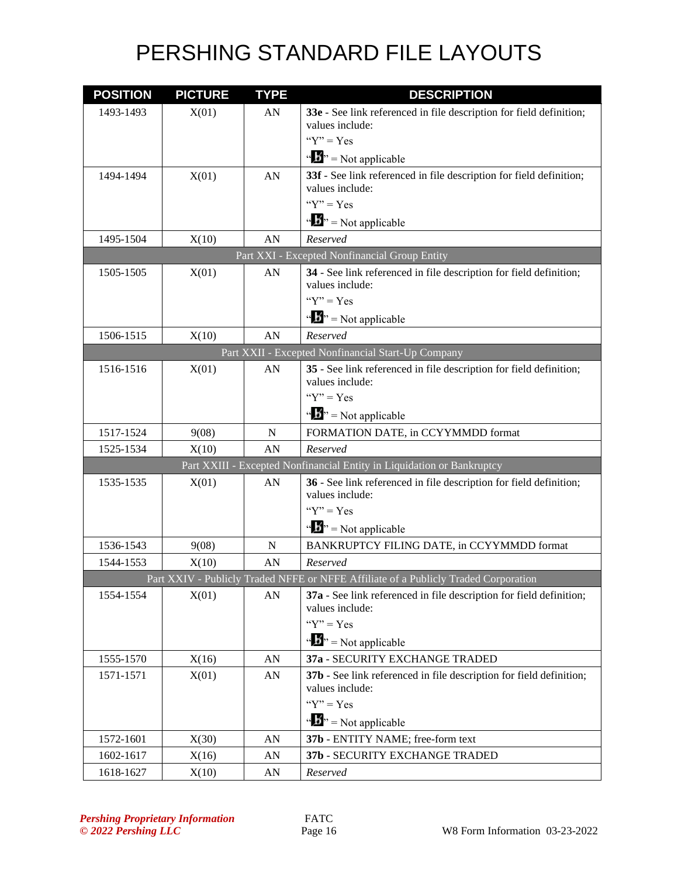| <b>POSITION</b> | <b>PICTURE</b> | <b>TYPE</b> | <b>DESCRIPTION</b>                                                                    |
|-----------------|----------------|-------------|---------------------------------------------------------------------------------------|
| 1493-1493       | X(01)          | AN          | 33e - See link referenced in file description for field definition;                   |
|                 |                |             | values include:                                                                       |
|                 |                |             | " $Y$ " = Yes                                                                         |
|                 |                |             | $\mathbf{A}^{\mathbf{B}}$ = Not applicable                                            |
| 1494-1494       | X(01)          | AN          | 33f - See link referenced in file description for field definition;                   |
|                 |                |             | values include:<br>" $Y$ " = Yes                                                      |
|                 |                |             |                                                                                       |
|                 |                |             | $\mathbf{B}^{\prime\prime}$ = Not applicable                                          |
| 1495-1504       | X(10)          | AN          | Reserved                                                                              |
|                 |                |             | Part XXI - Excepted Nonfinancial Group Entity                                         |
| 1505-1505       | X(01)          | AN          | 34 - See link referenced in file description for field definition;<br>values include: |
|                 |                |             | " $Y$ " = $Yes$                                                                       |
|                 |                |             | $\mathbf{B}^{\prime\prime}$ = Not applicable                                          |
| 1506-1515       | X(10)          | AN          | Reserved                                                                              |
|                 |                |             | Part XXII - Excepted Nonfinancial Start-Up Company                                    |
| 1516-1516       | X(01)          | AN          | 35 - See link referenced in file description for field definition;                    |
|                 |                |             | values include:                                                                       |
|                 |                |             | " $Y$ " = Yes                                                                         |
|                 |                |             | $\mathbf{B}^{\prime\prime}$ = Not applicable                                          |
| 1517-1524       | 9(08)          | N           | FORMATION DATE, in CCYYMMDD format                                                    |
| 1525-1534       | X(10)          | AN          | Reserved                                                                              |
|                 |                |             | Part XXIII - Excepted Nonfinancial Entity in Liquidation or Bankruptcy                |
| 1535-1535       | X(01)          | AN          | 36 - See link referenced in file description for field definition;<br>values include: |
|                 |                |             | " $Y$ " = Yes                                                                         |
|                 |                |             | $\mathbf{B}^{\prime\prime}$ = Not applicable                                          |
| 1536-1543       | 9(08)          | N           | BANKRUPTCY FILING DATE, in CCYYMMDD format                                            |
| 1544-1553       | X(10)          | AN          | Reserved                                                                              |
|                 |                |             | Part XXIV - Publicly Traded NFFE or NFFE Affiliate of a Publicly Traded Corporation   |
| 1554-1554       | X(01)          | AN          | 37a - See link referenced in file description for field definition;                   |
|                 |                |             | values include:                                                                       |
|                 |                |             | " $Y$ " = Yes                                                                         |
|                 |                |             | $\mathbf{A}^{\mathbf{B}}$ = Not applicable                                            |
| 1555-1570       | X(16)          | AN          | 37a - SECURITY EXCHANGE TRADED                                                        |
| 1571-1571       | X(01)          | AN          | 37b - See link referenced in file description for field definition;                   |
|                 |                |             | values include:<br>" $Y$ " = Yes                                                      |
|                 |                |             |                                                                                       |
|                 |                |             | $\mathbf{a} \cdot \mathbf{B}$ <sup>3</sup> = Not applicable                           |
| 1572-1601       | X(30)          | AN          | 37b - ENTITY NAME; free-form text                                                     |
| 1602-1617       | X(16)          | AN          | 37b - SECURITY EXCHANGE TRADED                                                        |
| 1618-1627       | X(10)          | AN          | Reserved                                                                              |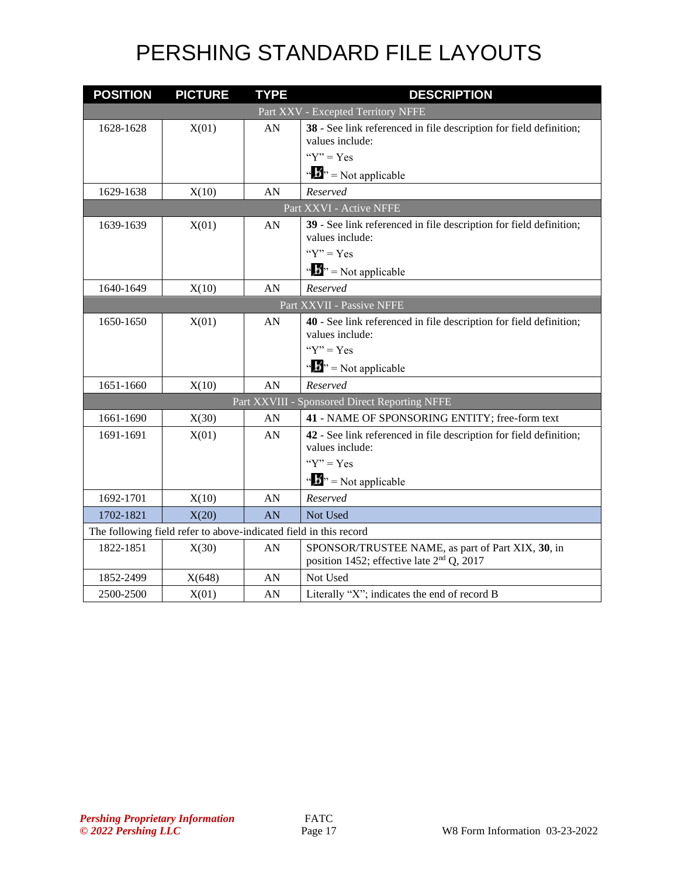| <b>POSITION</b> | <b>PICTURE</b>                                                    | <b>TYPE</b> | <b>DESCRIPTION</b>                                                                                         |
|-----------------|-------------------------------------------------------------------|-------------|------------------------------------------------------------------------------------------------------------|
|                 |                                                                   |             | Part XXV - Excepted Territory NFFE                                                                         |
| 1628-1628       | X(01)                                                             | AN          | 38 - See link referenced in file description for field definition;<br>values include:                      |
|                 |                                                                   |             | " $Y$ " = Yes                                                                                              |
|                 |                                                                   |             | $\mathbf{B}^{\prime\prime}$ = Not applicable                                                               |
| 1629-1638       | X(10)                                                             | AN          | Reserved                                                                                                   |
|                 |                                                                   |             | Part XXVI - Active NFFE                                                                                    |
| 1639-1639       | X(01)                                                             | AN          | 39 - See link referenced in file description for field definition;<br>values include:                      |
|                 |                                                                   |             | " $Y$ " = Yes                                                                                              |
|                 |                                                                   |             | $\mathbf{B}^{\prime\prime}$ = Not applicable                                                               |
| 1640-1649       | X(10)                                                             | AN          | Reserved                                                                                                   |
|                 |                                                                   |             | Part XXVII - Passive NFFE                                                                                  |
| 1650-1650       | X(01)                                                             | AN          | 40 - See link referenced in file description for field definition;<br>values include:                      |
|                 |                                                                   |             | " $Y$ " = Yes                                                                                              |
|                 |                                                                   |             | $\mathbf{B}^{\prime\prime}$ = Not applicable                                                               |
| 1651-1660       | X(10)                                                             | AN          | Reserved                                                                                                   |
|                 |                                                                   |             | Part XXVIII - Sponsored Direct Reporting NFFE                                                              |
| 1661-1690       | X(30)                                                             | AN          | 41 - NAME OF SPONSORING ENTITY; free-form text                                                             |
| 1691-1691       | X(01)                                                             | AN          | 42 - See link referenced in file description for field definition;                                         |
|                 |                                                                   |             | values include:<br>" $Y$ " = Yes                                                                           |
|                 |                                                                   |             |                                                                                                            |
|                 |                                                                   |             | $\mathbf{A}^{\mathbf{B}}$ = Not applicable                                                                 |
| 1692-1701       | X(10)                                                             | AN          | Reserved                                                                                                   |
| 1702-1821       | X(20)                                                             | AN          | Not Used                                                                                                   |
|                 | The following field refer to above-indicated field in this record |             |                                                                                                            |
| 1822-1851       | X(30)                                                             | AN          | SPONSOR/TRUSTEE NAME, as part of Part XIX, 30, in<br>position 1452; effective late 2 <sup>nd</sup> Q, 2017 |
| 1852-2499       | X(648)                                                            | AN          | Not Used                                                                                                   |
| 2500-2500       | X(01)                                                             | AN          | Literally "X"; indicates the end of record B                                                               |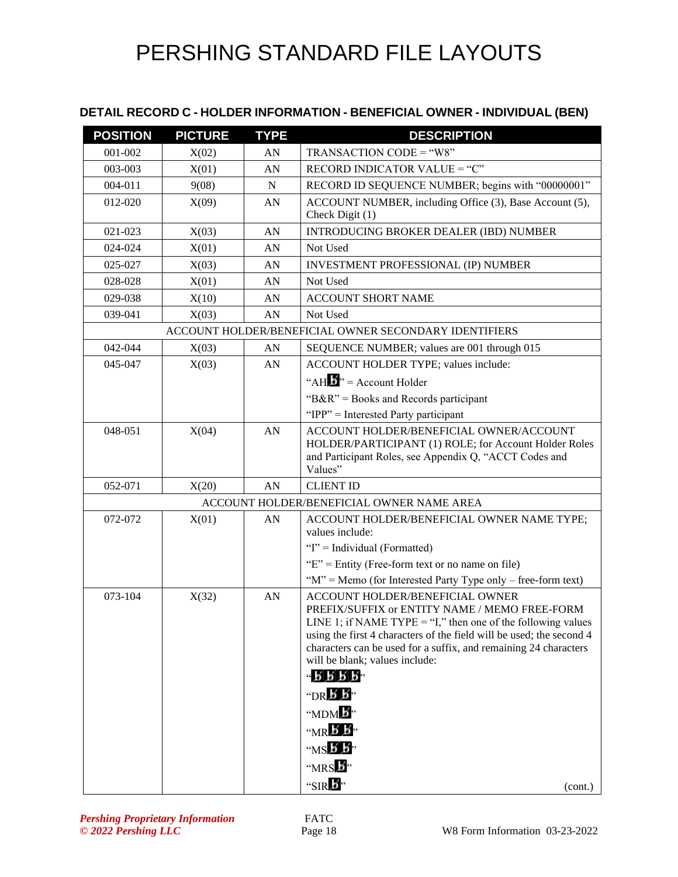#### **DETAIL RECORD C - HOLDER INFORMATION - BENEFICIAL OWNER - INDIVIDUAL (BEN)**

| <b>POSITION</b> | <b>PICTURE</b> | <b>TYPE</b> | <b>DESCRIPTION</b>                                                                                                                                                                                                                                                                                                                                                                                                                                                                |
|-----------------|----------------|-------------|-----------------------------------------------------------------------------------------------------------------------------------------------------------------------------------------------------------------------------------------------------------------------------------------------------------------------------------------------------------------------------------------------------------------------------------------------------------------------------------|
| 001-002         | X(02)          | AN          | TRANSACTION CODE = "W8"                                                                                                                                                                                                                                                                                                                                                                                                                                                           |
| 003-003         | X(01)          | AN          | RECORD INDICATOR VALUE = "C"                                                                                                                                                                                                                                                                                                                                                                                                                                                      |
| 004-011         | 9(08)          | N           | RECORD ID SEQUENCE NUMBER; begins with "00000001"                                                                                                                                                                                                                                                                                                                                                                                                                                 |
| 012-020         | X(09)          | AN          | ACCOUNT NUMBER, including Office (3), Base Account (5),<br>Check Digit (1)                                                                                                                                                                                                                                                                                                                                                                                                        |
| 021-023         | X(03)          | AN          | <b>INTRODUCING BROKER DEALER (IBD) NUMBER</b>                                                                                                                                                                                                                                                                                                                                                                                                                                     |
| 024-024         | X(01)          | AN          | Not Used                                                                                                                                                                                                                                                                                                                                                                                                                                                                          |
| 025-027         | X(03)          | AN          | <b>INVESTMENT PROFESSIONAL (IP) NUMBER</b>                                                                                                                                                                                                                                                                                                                                                                                                                                        |
| 028-028         | X(01)          | AN          | Not Used                                                                                                                                                                                                                                                                                                                                                                                                                                                                          |
| 029-038         | X(10)          | AN          | <b>ACCOUNT SHORT NAME</b>                                                                                                                                                                                                                                                                                                                                                                                                                                                         |
| 039-041         | X(03)          | AN          | Not Used                                                                                                                                                                                                                                                                                                                                                                                                                                                                          |
|                 |                |             | ACCOUNT HOLDER/BENEFICIAL OWNER SECONDARY IDENTIFIERS                                                                                                                                                                                                                                                                                                                                                                                                                             |
| 042-044         | X(03)          | AN          | SEQUENCE NUMBER; values are 001 through 015                                                                                                                                                                                                                                                                                                                                                                                                                                       |
| 045-047         | X(03)          | AN          | ACCOUNT HOLDER TYPE; values include:                                                                                                                                                                                                                                                                                                                                                                                                                                              |
|                 |                |             | "AH $\mathbf{B}$ " = Account Holder                                                                                                                                                                                                                                                                                                                                                                                                                                               |
|                 |                |             | " $B\&R$ " = Books and Records participant                                                                                                                                                                                                                                                                                                                                                                                                                                        |
|                 |                |             | "IPP" = Interested Party participant                                                                                                                                                                                                                                                                                                                                                                                                                                              |
| 048-051         | X(04)          | AN          | ACCOUNT HOLDER/BENEFICIAL OWNER/ACCOUNT<br>HOLDER/PARTICIPANT (1) ROLE; for Account Holder Roles<br>and Participant Roles, see Appendix Q, "ACCT Codes and<br>Values"                                                                                                                                                                                                                                                                                                             |
| 052-071         | X(20)          | AN          | <b>CLIENT ID</b>                                                                                                                                                                                                                                                                                                                                                                                                                                                                  |
|                 |                |             | ACCOUNT HOLDER/BENEFICIAL OWNER NAME AREA                                                                                                                                                                                                                                                                                                                                                                                                                                         |
| 072-072         | X(01)          | AN          | ACCOUNT HOLDER/BENEFICIAL OWNER NAME TYPE;<br>values include:                                                                                                                                                                                                                                                                                                                                                                                                                     |
|                 |                |             | "I" = Individual (Formatted)                                                                                                                                                                                                                                                                                                                                                                                                                                                      |
|                 |                |             | " $E$ " = Entity (Free-form text or no name on file)<br>" $M$ " = Memo (for Interested Party Type only – free-form text)                                                                                                                                                                                                                                                                                                                                                          |
| 073-104         | X(32)          | AN          | ACCOUNT HOLDER/BENEFICIAL OWNER<br>PREFIX/SUFFIX or ENTITY NAME / MEMO FREE-FORM<br>LINE 1; if NAME TYPE = "I," then one of the following values<br>using the first 4 characters of the field will be used; the second 4<br>characters can be used for a suffix, and remaining 24 characters<br>will be blank; values include:<br>$-$ R R R R $-$<br>"DR $\bm{b}$ $\bm{b}$ "<br>" $MDM$ $\cancel{B}$ "<br>$M \times K$<br>" $MS\cancel{B}$ $\cancel{B}$ "<br>" $MRS$ <sup>3</sup> |
|                 |                |             | "SIR $\mathbf{B}^{\prime}$ "<br>(cont.)                                                                                                                                                                                                                                                                                                                                                                                                                                           |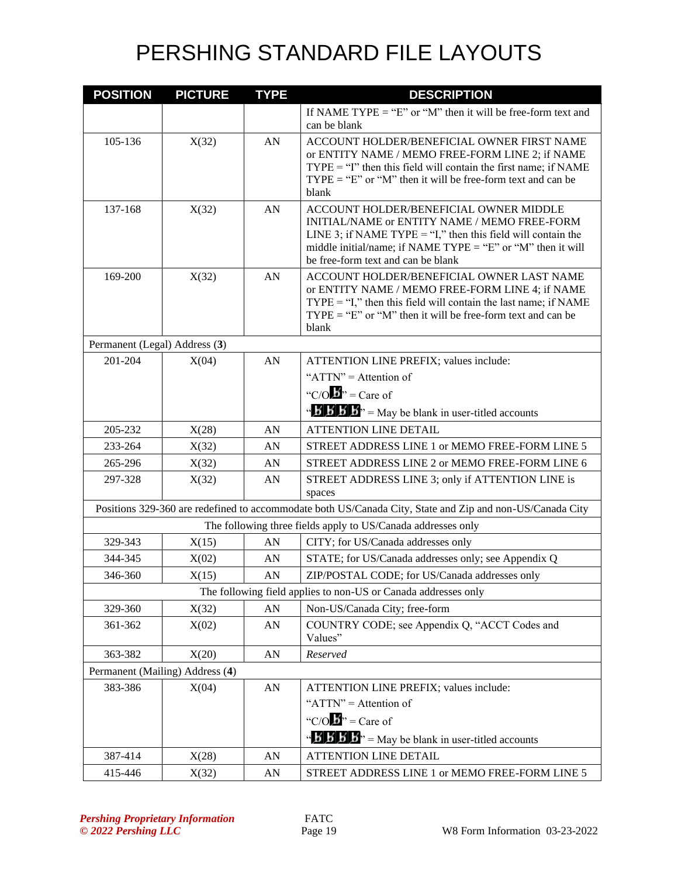| <b>POSITION</b>               | <b>PICTURE</b>                  | <b>TYPE</b> | <b>DESCRIPTION</b>                                                                                                                                                                                                                                                 |
|-------------------------------|---------------------------------|-------------|--------------------------------------------------------------------------------------------------------------------------------------------------------------------------------------------------------------------------------------------------------------------|
|                               |                                 |             | If NAME TYPE = "E" or "M" then it will be free-form text and<br>can be blank                                                                                                                                                                                       |
| 105-136                       | X(32)                           | AN          | ACCOUNT HOLDER/BENEFICIAL OWNER FIRST NAME<br>or ENTITY NAME / MEMO FREE-FORM LINE 2; if NAME<br>$TYPE = "I"$ then this field will contain the first name; if NAME<br>$TYPE = "E"$ or "M" then it will be free-form text and can be<br>blank                       |
| 137-168                       | X(32)                           | AN          | <b>ACCOUNT HOLDER/BENEFICIAL OWNER MIDDLE</b><br>INITIAL/NAME or ENTITY NAME / MEMO FREE-FORM<br>LINE 3; if NAME TYPE = "I," then this field will contain the<br>middle initial/name; if NAME TYPE = "E" or "M" then it will<br>be free-form text and can be blank |
| 169-200                       | X(32)                           | AN          | ACCOUNT HOLDER/BENEFICIAL OWNER LAST NAME<br>or ENTITY NAME / MEMO FREE-FORM LINE 4; if NAME<br>$TYPE = "I,"$ then this field will contain the last name; if NAME<br>$TYPE = "E"$ or "M" then it will be free-form text and can be<br>blank                        |
| Permanent (Legal) Address (3) |                                 |             |                                                                                                                                                                                                                                                                    |
| 201-204                       | X(04)                           | AN          | ATTENTION LINE PREFIX; values include:                                                                                                                                                                                                                             |
|                               |                                 |             | " $ATTN" =$ Attention of                                                                                                                                                                                                                                           |
|                               |                                 |             | "C/O $\mathbf{B}$ " = Care of                                                                                                                                                                                                                                      |
|                               |                                 |             | $\mathbf{B}'$ <b>B</b> $\mathbf{B}'$ <b>B</b> $\mathbf{B}''$ = May be blank in user-titled accounts                                                                                                                                                                |
| 205-232                       | X(28)                           | AN          | <b>ATTENTION LINE DETAIL</b>                                                                                                                                                                                                                                       |
| 233-264                       | X(32)                           | AN          | STREET ADDRESS LINE 1 or MEMO FREE-FORM LINE 5                                                                                                                                                                                                                     |
| 265-296                       | X(32)                           | AN          | STREET ADDRESS LINE 2 or MEMO FREE-FORM LINE 6                                                                                                                                                                                                                     |
| 297-328                       | X(32)                           | AN          | STREET ADDRESS LINE 3; only if ATTENTION LINE is<br>spaces                                                                                                                                                                                                         |
|                               |                                 |             | Positions 329-360 are redefined to accommodate both US/Canada City, State and Zip and non-US/Canada City                                                                                                                                                           |
|                               |                                 |             | The following three fields apply to US/Canada addresses only                                                                                                                                                                                                       |
| 329-343                       | X(15)                           | AN          | CITY; for US/Canada addresses only                                                                                                                                                                                                                                 |
| 344-345                       | X(02)                           | AN          | STATE; for US/Canada addresses only; see Appendix Q                                                                                                                                                                                                                |
| 346-360                       | X(15)                           | AN          | ZIP/POSTAL CODE; for US/Canada addresses only                                                                                                                                                                                                                      |
|                               |                                 |             | The following field applies to non-US or Canada addresses only                                                                                                                                                                                                     |
| 329-360                       | X(32)                           | AN          | Non-US/Canada City; free-form                                                                                                                                                                                                                                      |
| 361-362                       | X(02)                           | AN          | COUNTRY CODE; see Appendix Q, "ACCT Codes and<br>Values"                                                                                                                                                                                                           |
| 363-382                       | X(20)                           | AN          | Reserved                                                                                                                                                                                                                                                           |
|                               | Permanent (Mailing) Address (4) |             |                                                                                                                                                                                                                                                                    |
| 383-386                       | X(04)                           | AN          | ATTENTION LINE PREFIX; values include:                                                                                                                                                                                                                             |
|                               |                                 |             | " $ATTN" =$ Attention of                                                                                                                                                                                                                                           |
|                               |                                 |             | "C/O $\mathbf{B}$ " = Care of                                                                                                                                                                                                                                      |
|                               |                                 |             | $\mathbf{A} \mathbf{B} \mathbf{B}$ $\mathbf{B} \mathbf{B}$ $\mathbf{B}$ = May be blank in user-titled accounts                                                                                                                                                     |
| 387-414                       | X(28)                           | ${\rm AN}$  | <b>ATTENTION LINE DETAIL</b>                                                                                                                                                                                                                                       |
| 415-446                       | X(32)                           | ${\rm AN}$  | STREET ADDRESS LINE 1 or MEMO FREE-FORM LINE 5                                                                                                                                                                                                                     |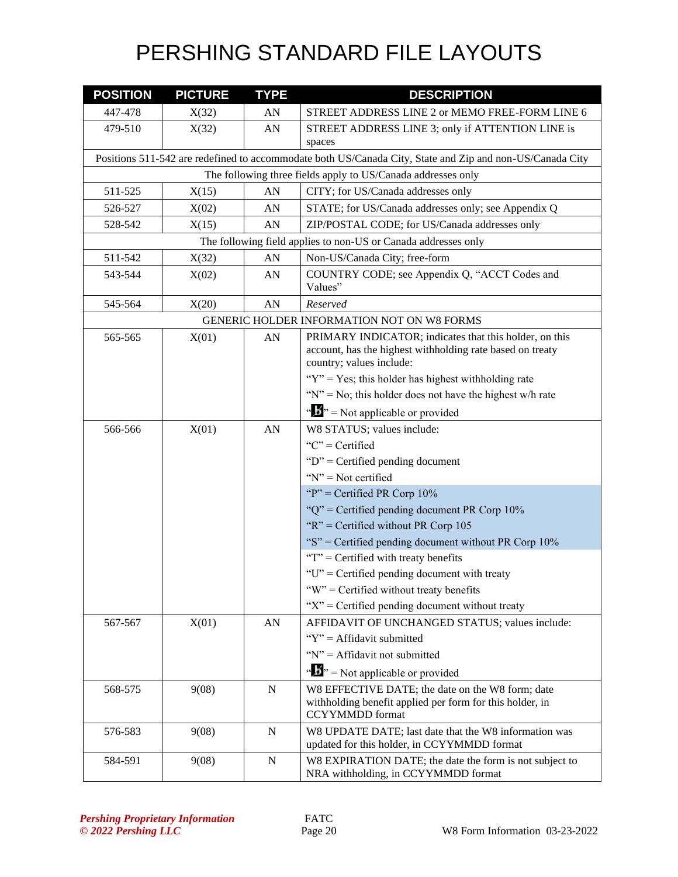| <b>POSITION</b> | <b>PICTURE</b> | <b>TYPE</b> | <b>DESCRIPTION</b>                                                                                                                              |
|-----------------|----------------|-------------|-------------------------------------------------------------------------------------------------------------------------------------------------|
| 447-478         | X(32)          | AN          | STREET ADDRESS LINE 2 or MEMO FREE-FORM LINE 6                                                                                                  |
| 479-510         | X(32)          | AN          | STREET ADDRESS LINE 3; only if ATTENTION LINE is                                                                                                |
|                 |                |             | spaces                                                                                                                                          |
|                 |                |             | Positions 511-542 are redefined to accommodate both US/Canada City, State and Zip and non-US/Canada City                                        |
|                 |                |             | The following three fields apply to US/Canada addresses only                                                                                    |
| 511-525         | X(15)          | AN          | CITY; for US/Canada addresses only                                                                                                              |
| 526-527         | X(02)          | AN          | STATE; for US/Canada addresses only; see Appendix Q                                                                                             |
| 528-542         | X(15)          | AN          | ZIP/POSTAL CODE; for US/Canada addresses only                                                                                                   |
|                 |                |             | The following field applies to non-US or Canada addresses only                                                                                  |
| 511-542         | X(32)          | AN          | Non-US/Canada City; free-form                                                                                                                   |
| 543-544         | X(02)          | AN          | COUNTRY CODE; see Appendix Q, "ACCT Codes and<br>Values"                                                                                        |
| 545-564         | X(20)          | AN          | Reserved                                                                                                                                        |
|                 |                |             | GENERIC HOLDER INFORMATION NOT ON W8 FORMS                                                                                                      |
| 565-565         | X(01)          | AN          | PRIMARY INDICATOR; indicates that this holder, on this<br>account, has the highest withholding rate based on treaty<br>country; values include: |
|                 |                |             | " $Y$ " = Yes; this holder has highest withholding rate                                                                                         |
|                 |                |             | " $N$ " = No; this holder does not have the highest w/h rate                                                                                    |
|                 |                |             | $\mathbf{w}$ $\mathbf{w}$ = Not applicable or provided                                                                                          |
| 566-566         | X(01)          | AN          | W8 STATUS; values include:                                                                                                                      |
|                 |                |             | " $C$ " = Certified                                                                                                                             |
|                 |                |             | " $D$ " = Certified pending document                                                                                                            |
|                 |                |             | " $N$ " = Not certified                                                                                                                         |
|                 |                |             | "P" = Certified PR Corp $10\%$                                                                                                                  |
|                 |                |             | " $Q$ " = Certified pending document PR Corp 10%                                                                                                |
|                 |                |             | " $R$ " = Certified without PR Corp 105                                                                                                         |
|                 |                |             | "S" = Certified pending document without PR Corp 10%                                                                                            |
|                 |                |             | " $T$ " = Certified with treaty benefits                                                                                                        |
|                 |                |             | " $U$ " = Certified pending document with treaty                                                                                                |
|                 |                |             | "W" = Certified without treaty benefits                                                                                                         |
|                 |                |             | " $X$ " = Certified pending document without treaty                                                                                             |
| 567-567         | X(01)          | AN          | AFFIDAVIT OF UNCHANGED STATUS; values include:                                                                                                  |
|                 |                |             | " $Y$ " = Affidavit submitted                                                                                                                   |
|                 |                |             | "N" = Affidavit not submitted                                                                                                                   |
|                 |                |             | $\mathbf{w}$ $\mathbf{w}$ = Not applicable or provided                                                                                          |
| 568-575         | 9(08)          | $\mathbf N$ | W8 EFFECTIVE DATE; the date on the W8 form; date                                                                                                |
|                 |                |             | withholding benefit applied per form for this holder, in                                                                                        |
|                 |                |             | <b>CCYYMMDD</b> format                                                                                                                          |
| 576-583         | 9(08)          | N           | W8 UPDATE DATE; last date that the W8 information was<br>updated for this holder, in CCYYMMDD format                                            |
| 584-591         | 9(08)          | N           | W8 EXPIRATION DATE; the date the form is not subject to                                                                                         |
|                 |                |             | NRA withholding, in CCYYMMDD format                                                                                                             |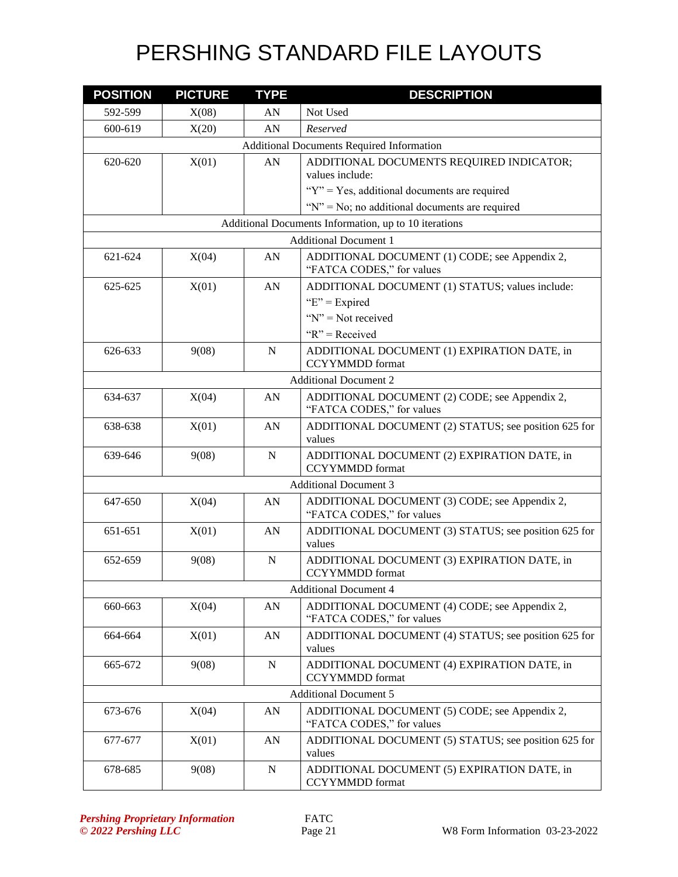| <b>POSITION</b>              | <b>PICTURE</b>                                   | <b>TYPE</b> | <b>DESCRIPTION</b>                                                         |  |  |  |
|------------------------------|--------------------------------------------------|-------------|----------------------------------------------------------------------------|--|--|--|
| 592-599                      | X(08)                                            | AN          | Not Used                                                                   |  |  |  |
| 600-619                      | X(20)                                            | AN          | Reserved                                                                   |  |  |  |
|                              | <b>Additional Documents Required Information</b> |             |                                                                            |  |  |  |
| 620-620                      | X(01)                                            | AN          | ADDITIONAL DOCUMENTS REQUIRED INDICATOR;                                   |  |  |  |
|                              |                                                  |             | values include:                                                            |  |  |  |
|                              |                                                  |             | " $Y$ " = Yes, additional documents are required                           |  |  |  |
|                              |                                                  |             | " $N$ " = No; no additional documents are required                         |  |  |  |
|                              |                                                  |             | Additional Documents Information, up to 10 iterations                      |  |  |  |
|                              |                                                  |             | <b>Additional Document 1</b>                                               |  |  |  |
| 621-624                      | X(04)                                            | AN          | ADDITIONAL DOCUMENT (1) CODE; see Appendix 2,<br>"FATCA CODES," for values |  |  |  |
| 625-625                      | X(01)                                            | AN          | ADDITIONAL DOCUMENT (1) STATUS; values include:                            |  |  |  |
|                              |                                                  |             | " $E$ " = Expired                                                          |  |  |  |
|                              |                                                  |             | " $N$ " = Not received                                                     |  |  |  |
|                              |                                                  |             | " $R$ " = Received                                                         |  |  |  |
| 626-633                      | 9(08)                                            | $\mathbf N$ | ADDITIONAL DOCUMENT (1) EXPIRATION DATE, in<br><b>CCYYMMDD</b> format      |  |  |  |
|                              |                                                  |             | <b>Additional Document 2</b>                                               |  |  |  |
| 634-637                      | X(04)                                            | AN          | ADDITIONAL DOCUMENT (2) CODE; see Appendix 2,<br>"FATCA CODES," for values |  |  |  |
| 638-638                      | X(01)                                            | AN          | ADDITIONAL DOCUMENT (2) STATUS; see position 625 for<br>values             |  |  |  |
| 639-646                      | 9(08)                                            | $\mathbf N$ | ADDITIONAL DOCUMENT (2) EXPIRATION DATE, in<br><b>CCYYMMDD</b> format      |  |  |  |
| <b>Additional Document 3</b> |                                                  |             |                                                                            |  |  |  |
| 647-650                      | X(04)                                            | AN          | ADDITIONAL DOCUMENT (3) CODE; see Appendix 2,<br>"FATCA CODES," for values |  |  |  |
| 651-651                      | X(01)                                            | AN          | ADDITIONAL DOCUMENT (3) STATUS; see position 625 for<br>values             |  |  |  |
| 652-659                      | 9(08)                                            | N           | ADDITIONAL DOCUMENT (3) EXPIRATION DATE, in<br><b>CCYYMMDD</b> format      |  |  |  |
|                              |                                                  |             | <b>Additional Document 4</b>                                               |  |  |  |
| 660-663                      | X(04)                                            | AN          | ADDITIONAL DOCUMENT (4) CODE; see Appendix 2,<br>"FATCA CODES," for values |  |  |  |
| 664-664                      | X(01)                                            | AN          | ADDITIONAL DOCUMENT (4) STATUS; see position 625 for<br>values             |  |  |  |
| 665-672                      | 9(08)                                            | N           | ADDITIONAL DOCUMENT (4) EXPIRATION DATE, in<br><b>CCYYMMDD</b> format      |  |  |  |
|                              |                                                  |             | <b>Additional Document 5</b>                                               |  |  |  |
| 673-676                      | X(04)                                            | AN          | ADDITIONAL DOCUMENT (5) CODE; see Appendix 2,<br>"FATCA CODES," for values |  |  |  |
| 677-677                      | X(01)                                            | ${\rm AN}$  | ADDITIONAL DOCUMENT (5) STATUS; see position 625 for<br>values             |  |  |  |
| 678-685                      | 9(08)                                            | ${\bf N}$   | ADDITIONAL DOCUMENT (5) EXPIRATION DATE, in<br><b>CCYYMMDD</b> format      |  |  |  |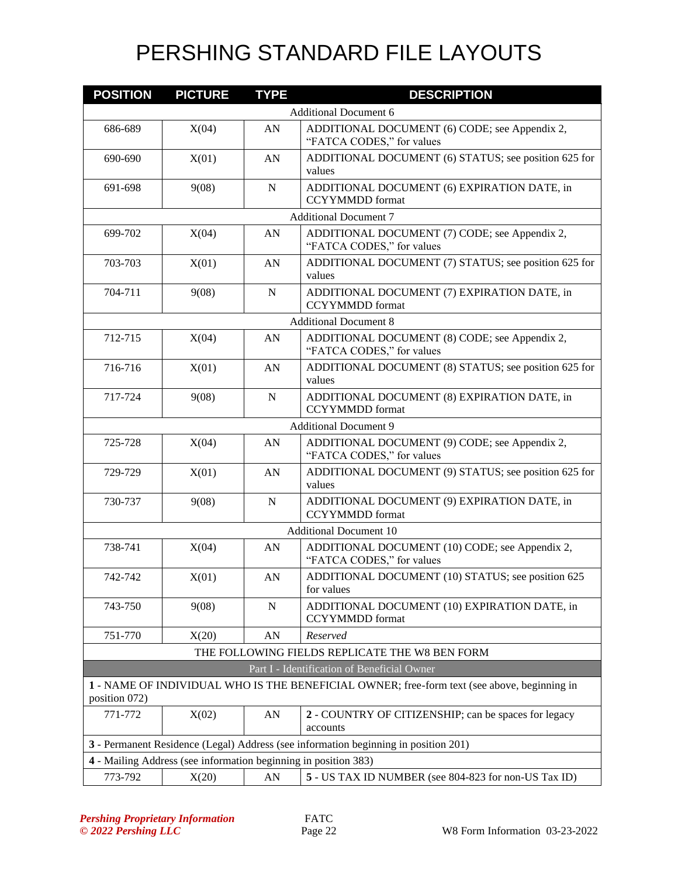| <b>POSITION</b> | <b>PICTURE</b>                                                  | <b>TYPE</b> | <b>DESCRIPTION</b>                                                                          |
|-----------------|-----------------------------------------------------------------|-------------|---------------------------------------------------------------------------------------------|
|                 |                                                                 |             | <b>Additional Document 6</b>                                                                |
| 686-689         | X(04)                                                           | ${\rm AN}$  | ADDITIONAL DOCUMENT (6) CODE; see Appendix 2,<br>"FATCA CODES," for values                  |
| 690-690         | X(01)                                                           | AN          | ADDITIONAL DOCUMENT (6) STATUS; see position 625 for<br>values                              |
| 691-698         | 9(08)                                                           | $\mathbf N$ | ADDITIONAL DOCUMENT (6) EXPIRATION DATE, in<br><b>CCYYMMDD</b> format                       |
|                 |                                                                 |             | <b>Additional Document 7</b>                                                                |
| 699-702         | X(04)                                                           | AN          | ADDITIONAL DOCUMENT (7) CODE; see Appendix 2,<br>"FATCA CODES," for values                  |
| 703-703         | X(01)                                                           | AN          | ADDITIONAL DOCUMENT (7) STATUS; see position 625 for<br>values                              |
| 704-711         | 9(08)                                                           | N           | ADDITIONAL DOCUMENT (7) EXPIRATION DATE, in<br><b>CCYYMMDD</b> format                       |
|                 |                                                                 |             | <b>Additional Document 8</b>                                                                |
| 712-715         | X(04)                                                           | AN          | ADDITIONAL DOCUMENT (8) CODE; see Appendix 2,<br>"FATCA CODES," for values                  |
| 716-716         | X(01)                                                           | AN          | ADDITIONAL DOCUMENT (8) STATUS; see position 625 for<br>values                              |
| 717-724         | 9(08)                                                           | $\mathbf N$ | ADDITIONAL DOCUMENT (8) EXPIRATION DATE, in<br><b>CCYYMMDD</b> format                       |
|                 | <b>Additional Document 9</b>                                    |             |                                                                                             |
| 725-728         | X(04)                                                           | AN          | ADDITIONAL DOCUMENT (9) CODE; see Appendix 2,<br>"FATCA CODES," for values                  |
| 729-729         | X(01)                                                           | AN          | ADDITIONAL DOCUMENT (9) STATUS; see position 625 for<br>values                              |
| 730-737         | 9(08)                                                           | $\mathbf N$ | ADDITIONAL DOCUMENT (9) EXPIRATION DATE, in<br><b>CCYYMMDD</b> format                       |
|                 |                                                                 |             | <b>Additional Document 10</b>                                                               |
| 738-741         | X(04)                                                           | AN          | ADDITIONAL DOCUMENT (10) CODE; see Appendix 2,<br>"FATCA CODES," for values                 |
| 742-742         | X(01)                                                           | AN          | ADDITIONAL DOCUMENT (10) STATUS; see position 625<br>for values                             |
| 743-750         | 9(08)                                                           | ${\bf N}$   | ADDITIONAL DOCUMENT (10) EXPIRATION DATE, in<br><b>CCYYMMDD</b> format                      |
| 751-770         | X(20)                                                           | AN          | Reserved                                                                                    |
|                 |                                                                 |             | THE FOLLOWING FIELDS REPLICATE THE W8 BEN FORM                                              |
|                 |                                                                 |             | Part I - Identification of Beneficial Owner                                                 |
| position 072)   |                                                                 |             | 1 - NAME OF INDIVIDUAL WHO IS THE BENEFICIAL OWNER; free-form text (see above, beginning in |
| 771-772         | X(02)                                                           | AN          | 2 - COUNTRY OF CITIZENSHIP; can be spaces for legacy<br>accounts                            |
|                 |                                                                 |             | 3 - Permanent Residence (Legal) Address (see information beginning in position 201)         |
|                 | 4 - Mailing Address (see information beginning in position 383) |             |                                                                                             |
| 773-792         | X(20)                                                           | ${\rm AN}$  | 5 - US TAX ID NUMBER (see 804-823 for non-US Tax ID)                                        |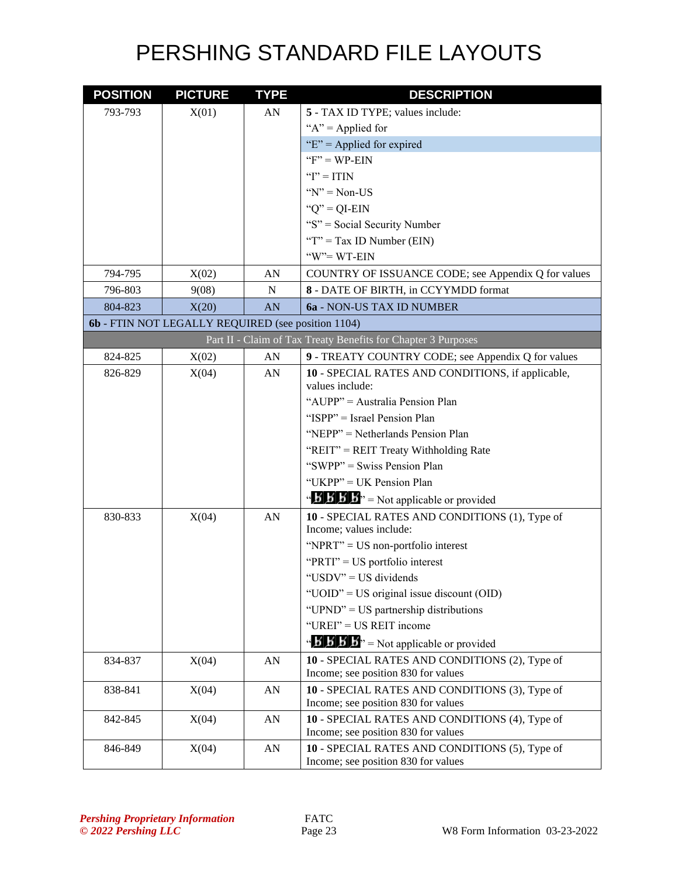| <b>POSITION</b> | <b>PICTURE</b>                                     | <b>TYPE</b> | <b>DESCRIPTION</b>                                                                                      |
|-----------------|----------------------------------------------------|-------------|---------------------------------------------------------------------------------------------------------|
| 793-793         | X(01)                                              | AN          | 5 - TAX ID TYPE; values include:                                                                        |
|                 |                                                    |             | " $A$ " = Applied for                                                                                   |
|                 |                                                    |             | " $E$ " = Applied for expired                                                                           |
|                 |                                                    |             | $F' = WP-EIN$                                                                                           |
|                 |                                                    |             | " $I$ " = ITIN                                                                                          |
|                 |                                                    |             | $Y' = Non-US$                                                                                           |
|                 |                                                    |             | " $Q$ " = QI-EIN                                                                                        |
|                 |                                                    |             | "S" = Social Security Number                                                                            |
|                 |                                                    |             | " $T$ " = Tax ID Number (EIN)                                                                           |
|                 |                                                    |             | "W"=WT-EIN                                                                                              |
| 794-795         | X(02)                                              | AN          | COUNTRY OF ISSUANCE CODE; see Appendix Q for values                                                     |
| 796-803         | 9(08)                                              | N           | 8 - DATE OF BIRTH, in CCYYMDD format                                                                    |
| 804-823         | X(20)                                              | AN          | 6a - NON-US TAX ID NUMBER                                                                               |
|                 | 6b - FTIN NOT LEGALLY REQUIRED (see position 1104) |             |                                                                                                         |
|                 |                                                    |             | Part II - Claim of Tax Treaty Benefits for Chapter 3 Purposes                                           |
| 824-825         | X(02)                                              | AN          | 9 - TREATY COUNTRY CODE; see Appendix Q for values                                                      |
| 826-829         | X(04)                                              | AN          | 10 - SPECIAL RATES AND CONDITIONS, if applicable,<br>values include:                                    |
|                 |                                                    |             | "AUPP" = Australia Pension Plan                                                                         |
|                 |                                                    |             | "ISPP" = Israel Pension Plan                                                                            |
|                 |                                                    |             | "NEPP" = Netherlands Pension Plan                                                                       |
|                 |                                                    |             | "REIT" = REIT Treaty Withholding Rate                                                                   |
|                 |                                                    |             | "SWPP" = Swiss Pension Plan                                                                             |
|                 |                                                    |             | "UKPP" = UK Pension Plan                                                                                |
|                 |                                                    |             | $\mathbf{B} \mathbf{B}'$ $\mathbf{B}'$ $\mathbf{B}''$ = Not applicable or provided                      |
| 830-833         | X(04)                                              | AN          | 10 - SPECIAL RATES AND CONDITIONS (1), Type of<br>Income; values include:                               |
|                 |                                                    |             | "NPRT" = $US$ non-portfolio interest                                                                    |
|                 |                                                    |             | "PRTI" = US portfolio interest                                                                          |
|                 |                                                    |             | "USDV" = US dividends                                                                                   |
|                 |                                                    |             | "UOID" = US original issue discount $(OID)$                                                             |
|                 |                                                    |             | "UPND" = US partnership distributions                                                                   |
|                 |                                                    |             | "UREI" = US REIT income                                                                                 |
|                 |                                                    |             | $\mathbf{A} \times \mathbf{B}$ $\mathbf{B} \times \mathbf{A}$ <sup>3</sup> = Not applicable or provided |
| 834-837         | X(04)                                              | ${\rm AN}$  | 10 - SPECIAL RATES AND CONDITIONS (2), Type of                                                          |
|                 |                                                    |             | Income; see position 830 for values                                                                     |
| 838-841         | X(04)                                              | AN          | 10 - SPECIAL RATES AND CONDITIONS (3), Type of<br>Income; see position 830 for values                   |
| 842-845         | X(04)                                              | ${\rm AN}$  | 10 - SPECIAL RATES AND CONDITIONS (4), Type of                                                          |
|                 |                                                    |             | Income; see position 830 for values                                                                     |
| 846-849         | X(04)                                              | ${\rm AN}$  | 10 - SPECIAL RATES AND CONDITIONS (5), Type of                                                          |
|                 |                                                    |             | Income; see position 830 for values                                                                     |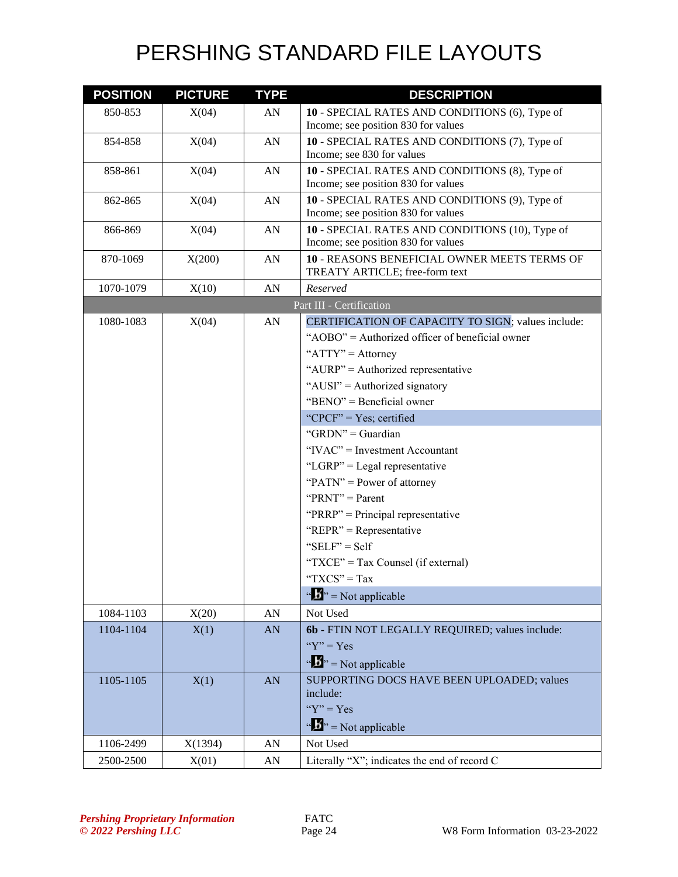| <b>POSITION</b> | <b>PICTURE</b> | <b>TYPE</b>      | <b>DESCRIPTION</b>                                                                    |
|-----------------|----------------|------------------|---------------------------------------------------------------------------------------|
| 850-853         | X(04)          | AN               | 10 - SPECIAL RATES AND CONDITIONS (6), Type of                                        |
|                 |                |                  | Income; see position 830 for values                                                   |
| 854-858         | X(04)          | AN               | 10 - SPECIAL RATES AND CONDITIONS (7), Type of                                        |
|                 |                |                  | Income; see 830 for values                                                            |
| 858-861         | X(04)          | AN               | 10 - SPECIAL RATES AND CONDITIONS (8), Type of<br>Income; see position 830 for values |
| 862-865         | X(04)          | AN               | 10 - SPECIAL RATES AND CONDITIONS (9), Type of                                        |
|                 |                |                  | Income; see position 830 for values                                                   |
| 866-869         | X(04)          | AN               | 10 - SPECIAL RATES AND CONDITIONS (10), Type of                                       |
|                 |                |                  | Income; see position 830 for values                                                   |
| 870-1069        | X(200)         | AN               | 10 - REASONS BENEFICIAL OWNER MEETS TERMS OF                                          |
|                 |                |                  | TREATY ARTICLE; free-form text                                                        |
| 1070-1079       | X(10)          | AN               | Reserved                                                                              |
|                 |                |                  | Part III - Certification                                                              |
| 1080-1083       | X(04)          | AN               | CERTIFICATION OF CAPACITY TO SIGN; values include:                                    |
|                 |                |                  | "AOBO" = Authorized officer of beneficial owner                                       |
|                 |                |                  | " $ATTY" =$ Attorney                                                                  |
|                 |                |                  | "AURP" = Authorized representative                                                    |
|                 |                |                  | "AUSI" = Authorized signatory                                                         |
|                 |                |                  | "BENO" = Beneficial owner                                                             |
|                 |                |                  | "CPCF" = $Yes$ ; certified                                                            |
|                 |                |                  | " $GRDN" =$ Guardian                                                                  |
|                 |                |                  | "IVAC" = Investment Accountant                                                        |
|                 |                |                  | "LGRP" = Legal representative                                                         |
|                 |                |                  | " $PATN"$ = Power of attorney"                                                        |
|                 |                |                  | " $PRNT" = Parent$                                                                    |
|                 |                |                  | " $PRRP" = Principal representative$                                                  |
|                 |                |                  | "REPR" = Representative                                                               |
|                 |                |                  | " $SELF" = Self$                                                                      |
|                 |                |                  | "TXCE" = Tax Counsel (if external)                                                    |
|                 |                |                  | "TXCS" = Tax                                                                          |
|                 |                |                  | $\sqrt{a}$ , $\sqrt{b}$ , = Not applicable                                            |
| 1084-1103       | X(20)          | ${\bf A}{\bf N}$ | Not Used                                                                              |
| 1104-1104       | X(1)           | AN               | 6b - FTIN NOT LEGALLY REQUIRED; values include:                                       |
|                 |                |                  | " $Y$ " = Yes                                                                         |
|                 |                |                  | $\cdots$ $\cdots$ $\cdots$ Not applicable                                             |
| 1105-1105       | X(1)           | AN               | SUPPORTING DOCS HAVE BEEN UPLOADED; values                                            |
|                 |                |                  | include:                                                                              |
|                 |                |                  | " $Y$ " = Yes                                                                         |
|                 |                |                  | $\mathbf{A}^{\prime\prime}$ = Not applicable                                          |
| 1106-2499       | X(1394)        | AN               | Not Used                                                                              |
| 2500-2500       | X(01)          | AN               | Literally "X"; indicates the end of record C                                          |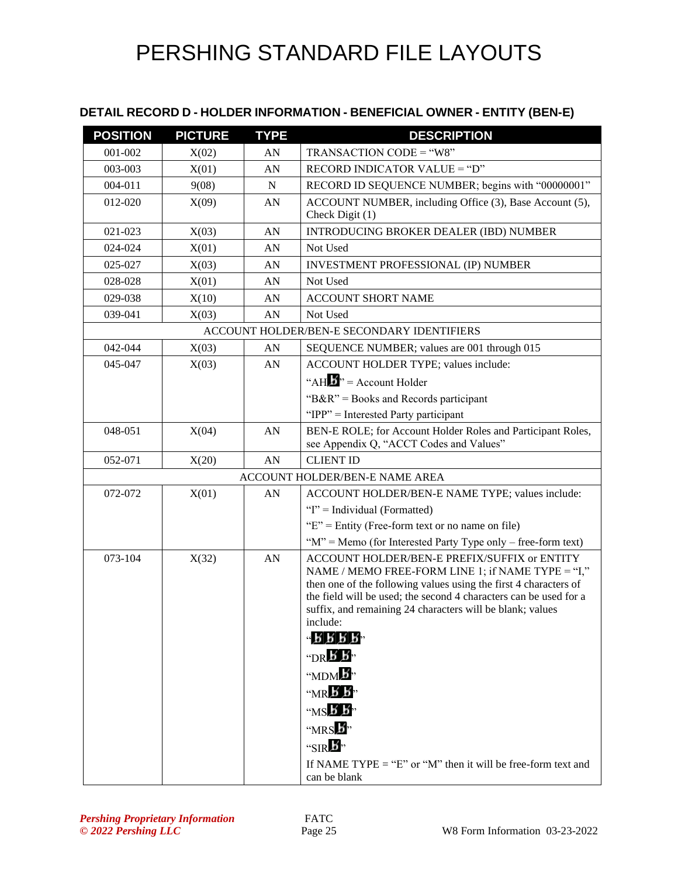#### **DETAIL RECORD D - HOLDER INFORMATION - BENEFICIAL OWNER - ENTITY (BEN-E)**

| <b>POSITION</b> | <b>PICTURE</b> | <b>TYPE</b> | <b>DESCRIPTION</b>                                                                                |
|-----------------|----------------|-------------|---------------------------------------------------------------------------------------------------|
| 001-002         | X(02)          | AN          | TRANSACTION CODE = "W8"                                                                           |
| 003-003         | X(01)          | AN          | RECORD INDICATOR VALUE = "D"                                                                      |
| 004-011         | 9(08)          | N           | RECORD ID SEQUENCE NUMBER; begins with "00000001"                                                 |
| 012-020         | X(09)          | AN          | ACCOUNT NUMBER, including Office (3), Base Account (5),                                           |
|                 |                |             | Check Digit (1)                                                                                   |
| 021-023         | X(03)          | AN          | <b>INTRODUCING BROKER DEALER (IBD) NUMBER</b>                                                     |
| 024-024         | X(01)          | AN          | Not Used                                                                                          |
| 025-027         | X(03)          | AN          | <b>INVESTMENT PROFESSIONAL (IP) NUMBER</b>                                                        |
| 028-028         | X(01)          | AN          | Not Used                                                                                          |
| 029-038         | X(10)          | AN          | <b>ACCOUNT SHORT NAME</b>                                                                         |
| 039-041         | X(03)          | AN          | Not Used                                                                                          |
|                 |                |             | ACCOUNT HOLDER/BEN-E SECONDARY IDENTIFIERS                                                        |
| 042-044         | X(03)          | AN          | SEQUENCE NUMBER; values are 001 through 015                                                       |
| 045-047         | X(03)          | AN          | ACCOUNT HOLDER TYPE; values include:                                                              |
|                 |                |             | "AH $\mathbf{H}$ " = Account Holder                                                               |
|                 |                |             | " $B\&R$ " = Books and Records participant                                                        |
|                 |                |             | "IPP" = Interested Party participant                                                              |
| 048-051         | X(04)          | AN          | BEN-E ROLE; for Account Holder Roles and Participant Roles,                                       |
|                 |                |             | see Appendix Q, "ACCT Codes and Values"                                                           |
| 052-071         | X(20)          | AN          | <b>CLIENT ID</b>                                                                                  |
|                 |                |             | ACCOUNT HOLDER/BEN-E NAME AREA                                                                    |
| 072-072         | X(01)          | AN          | ACCOUNT HOLDER/BEN-E NAME TYPE; values include:                                                   |
|                 |                |             | "I" = Individual (Formatted)                                                                      |
|                 |                |             | " $E$ " = Entity (Free-form text or no name on file)                                              |
|                 |                |             | " $M$ " = Memo (for Interested Party Type only – free-form text)                                  |
| 073-104         | X(32)          | AN          | ACCOUNT HOLDER/BEN-E PREFIX/SUFFIX or ENTITY<br>NAME / MEMO FREE-FORM LINE 1; if NAME TYPE = "I," |
|                 |                |             | then one of the following values using the first 4 characters of                                  |
|                 |                |             | the field will be used; the second 4 characters can be used for a                                 |
|                 |                |             | suffix, and remaining 24 characters will be blank; values<br>include:                             |
|                 |                |             | $-$ R R R R $-$                                                                                   |
|                 |                |             | "DR $\overline{B}$ $\overline{B}$ "                                                               |
|                 |                |             | "MDM <sup>b</sup> "                                                                               |
|                 |                |             | $M \times K$                                                                                      |
|                 |                |             | $MSE$ $B$ <sup>3</sup>                                                                            |
|                 |                |             | " $MRS$ $\overline{B}$ "                                                                          |
|                 |                |             | "SIR $\mathbf{F}$ "                                                                               |
|                 |                |             | If NAME TYPE = "E" or "M" then it will be free-form text and                                      |
|                 |                |             | can be blank                                                                                      |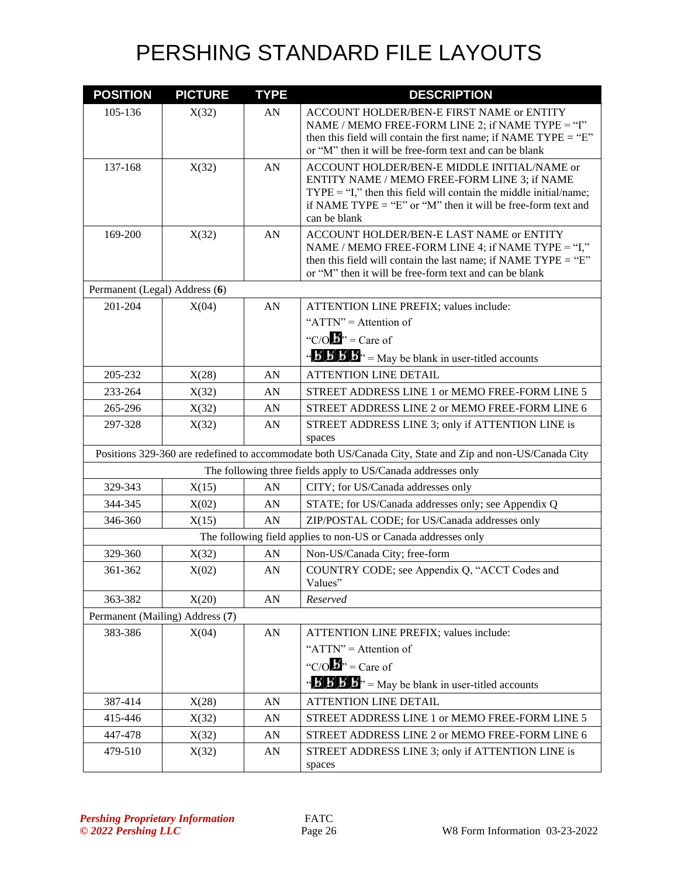| <b>POSITION</b>               | <b>PICTURE</b>                  | <b>TYPE</b>      | <b>DESCRIPTION</b>                                                                                                                                                                                                                                 |
|-------------------------------|---------------------------------|------------------|----------------------------------------------------------------------------------------------------------------------------------------------------------------------------------------------------------------------------------------------------|
| 105-136                       | X(32)                           | AN               | ACCOUNT HOLDER/BEN-E FIRST NAME or ENTITY<br>NAME / MEMO FREE-FORM LINE 2; if NAME TYPE = "I"<br>then this field will contain the first name; if NAME TYPE = " $E$ "<br>or "M" then it will be free-form text and can be blank                     |
| 137-168                       | X(32)                           | AN               | ACCOUNT HOLDER/BEN-E MIDDLE INITIAL/NAME or<br>ENTITY NAME / MEMO FREE-FORM LINE 3; if NAME<br>$TYPE = "I,"$ then this field will contain the middle initial/name;<br>if NAME TYPE = "E" or "M" then it will be free-form text and<br>can be blank |
| 169-200                       | X(32)                           | AN               | ACCOUNT HOLDER/BEN-E LAST NAME or ENTITY<br>NAME / MEMO FREE-FORM LINE 4; if NAME TYPE = "I,"<br>then this field will contain the last name; if NAME TYPE = " $E$ "<br>or "M" then it will be free-form text and can be blank                      |
| Permanent (Legal) Address (6) |                                 |                  |                                                                                                                                                                                                                                                    |
| 201-204                       | X(04)                           | AN               | ATTENTION LINE PREFIX; values include:                                                                                                                                                                                                             |
|                               |                                 |                  | " $ATTN" =$ Attention of                                                                                                                                                                                                                           |
|                               |                                 |                  | "C/O $\mathbf{B}$ " = Care of                                                                                                                                                                                                                      |
|                               |                                 |                  | $\mathbf{B}'$ <b>b</b> $\mathbf{B}'$ <b>b</b> $\mathbf{B}''$ = May be blank in user-titled accounts                                                                                                                                                |
| 205-232                       | X(28)                           | AN               | <b>ATTENTION LINE DETAIL</b>                                                                                                                                                                                                                       |
| 233-264                       | X(32)                           | AN               | STREET ADDRESS LINE 1 or MEMO FREE-FORM LINE 5                                                                                                                                                                                                     |
| 265-296                       | X(32)                           | AN               | STREET ADDRESS LINE 2 or MEMO FREE-FORM LINE 6                                                                                                                                                                                                     |
| 297-328                       | X(32)                           | AN               | STREET ADDRESS LINE 3; only if ATTENTION LINE is<br>spaces                                                                                                                                                                                         |
|                               |                                 |                  | Positions 329-360 are redefined to accommodate both US/Canada City, State and Zip and non-US/Canada City                                                                                                                                           |
|                               |                                 |                  | The following three fields apply to US/Canada addresses only                                                                                                                                                                                       |
| 329-343                       | X(15)                           | AN               | CITY; for US/Canada addresses only                                                                                                                                                                                                                 |
| 344-345                       | X(02)                           | AN               | STATE; for US/Canada addresses only; see Appendix Q                                                                                                                                                                                                |
| 346-360                       | X(15)                           | AN               | ZIP/POSTAL CODE; for US/Canada addresses only                                                                                                                                                                                                      |
|                               |                                 |                  | The following field applies to non-US or Canada addresses only                                                                                                                                                                                     |
| 329-360                       | X(32)                           | AN               | Non-US/Canada City; free-form                                                                                                                                                                                                                      |
| 361-362                       | X(02)                           | AN               | COUNTRY CODE; see Appendix Q, "ACCT Codes and<br>Values"                                                                                                                                                                                           |
| 363-382                       | X(20)                           | AN               | Reserved                                                                                                                                                                                                                                           |
|                               | Permanent (Mailing) Address (7) |                  |                                                                                                                                                                                                                                                    |
| 383-386                       | X(04)                           | AN               | ATTENTION LINE PREFIX; values include:                                                                                                                                                                                                             |
|                               |                                 |                  | " $ATTN" =$ Attention of                                                                                                                                                                                                                           |
|                               |                                 |                  | "C/O $\mathbf{B}$ " = Care of                                                                                                                                                                                                                      |
|                               |                                 |                  | $\mathbf{B} \cdot \mathbf{B} \cdot \mathbf{B}$ $\mathbf{B} \cdot \mathbf{B}$ = May be blank in user-titled accounts                                                                                                                                |
| 387-414                       | X(28)                           | AN               | <b>ATTENTION LINE DETAIL</b>                                                                                                                                                                                                                       |
| 415-446                       | X(32)                           | AN               | STREET ADDRESS LINE 1 or MEMO FREE-FORM LINE 5                                                                                                                                                                                                     |
| 447-478                       | X(32)                           | ${\bf A}{\bf N}$ | STREET ADDRESS LINE 2 or MEMO FREE-FORM LINE 6                                                                                                                                                                                                     |
| 479-510                       | X(32)                           | ${\rm AN}$       | STREET ADDRESS LINE 3; only if ATTENTION LINE is<br>spaces                                                                                                                                                                                         |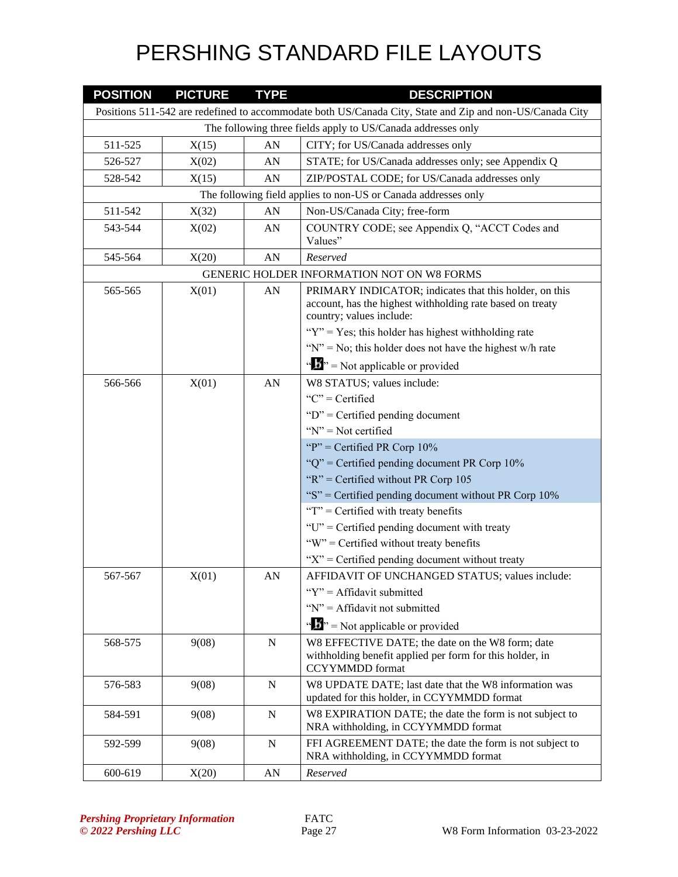| <b>POSITION</b> | <b>PICTURE</b>                                               | <b>TYPE</b> | <b>DESCRIPTION</b>                                                                                                                                                                                                                                                         |  |  |  |
|-----------------|--------------------------------------------------------------|-------------|----------------------------------------------------------------------------------------------------------------------------------------------------------------------------------------------------------------------------------------------------------------------------|--|--|--|
|                 |                                                              |             | Positions 511-542 are redefined to accommodate both US/Canada City, State and Zip and non-US/Canada City                                                                                                                                                                   |  |  |  |
|                 | The following three fields apply to US/Canada addresses only |             |                                                                                                                                                                                                                                                                            |  |  |  |
| 511-525         | X(15)                                                        | AN          | CITY; for US/Canada addresses only                                                                                                                                                                                                                                         |  |  |  |
| 526-527         | X(02)                                                        | AN          | STATE; for US/Canada addresses only; see Appendix Q                                                                                                                                                                                                                        |  |  |  |
| 528-542         | X(15)                                                        | AN          | ZIP/POSTAL CODE; for US/Canada addresses only                                                                                                                                                                                                                              |  |  |  |
|                 |                                                              |             | The following field applies to non-US or Canada addresses only                                                                                                                                                                                                             |  |  |  |
| 511-542         | X(32)                                                        | AN          | Non-US/Canada City; free-form                                                                                                                                                                                                                                              |  |  |  |
| 543-544         | X(02)                                                        | AN          | COUNTRY CODE; see Appendix Q, "ACCT Codes and<br>Values"                                                                                                                                                                                                                   |  |  |  |
| 545-564         | X(20)                                                        | AN          | Reserved                                                                                                                                                                                                                                                                   |  |  |  |
|                 |                                                              |             | GENERIC HOLDER INFORMATION NOT ON W8 FORMS                                                                                                                                                                                                                                 |  |  |  |
| 565-565         | X(01)                                                        | AN          | PRIMARY INDICATOR; indicates that this holder, on this<br>account, has the highest withholding rate based on treaty<br>country; values include:<br>" $Y$ " = Yes; this holder has highest withholding rate<br>" $N$ " = No; this holder does not have the highest w/h rate |  |  |  |
|                 |                                                              |             | $\mathbf{A}^{\prime\prime}$ = Not applicable or provided                                                                                                                                                                                                                   |  |  |  |
| 566-566         | X(01)                                                        | AN          | W8 STATUS; values include:                                                                                                                                                                                                                                                 |  |  |  |
|                 |                                                              |             | " $C$ " = Certified                                                                                                                                                                                                                                                        |  |  |  |
|                 |                                                              |             | " $D$ " = Certified pending document                                                                                                                                                                                                                                       |  |  |  |
|                 |                                                              |             | " $N$ " = Not certified                                                                                                                                                                                                                                                    |  |  |  |
|                 |                                                              |             | "P" = Certified PR Corp $10\%$                                                                                                                                                                                                                                             |  |  |  |
|                 |                                                              |             | " $Q$ " = Certified pending document PR Corp 10%                                                                                                                                                                                                                           |  |  |  |
|                 |                                                              |             | " $R$ " = Certified without PR Corp 105                                                                                                                                                                                                                                    |  |  |  |
|                 |                                                              |             | "S" = Certified pending document without PR Corp $10\%$                                                                                                                                                                                                                    |  |  |  |
|                 |                                                              |             | " $T$ " = Certified with treaty benefits                                                                                                                                                                                                                                   |  |  |  |
|                 |                                                              |             | "U" = Certified pending document with treaty                                                                                                                                                                                                                               |  |  |  |
|                 |                                                              |             | "W" = Certified without treaty benefits                                                                                                                                                                                                                                    |  |  |  |
|                 |                                                              |             | " $X$ " = Certified pending document without treaty                                                                                                                                                                                                                        |  |  |  |
| 567-567         | X(01)                                                        | AN          | AFFIDAVIT OF UNCHANGED STATUS; values include:                                                                                                                                                                                                                             |  |  |  |
|                 |                                                              |             | " $Y$ " = Affidavit submitted                                                                                                                                                                                                                                              |  |  |  |
|                 |                                                              |             | " $N$ " = Affidavit not submitted                                                                                                                                                                                                                                          |  |  |  |
|                 |                                                              |             | $\mathbf{w}$ $\mathbf{w}$ = Not applicable or provided                                                                                                                                                                                                                     |  |  |  |
| 568-575         | 9(08)                                                        | ${\bf N}$   | W8 EFFECTIVE DATE; the date on the W8 form; date<br>withholding benefit applied per form for this holder, in<br><b>CCYYMMDD</b> format                                                                                                                                     |  |  |  |
| 576-583         | 9(08)                                                        | N           | W8 UPDATE DATE; last date that the W8 information was<br>updated for this holder, in CCYYMMDD format                                                                                                                                                                       |  |  |  |
| 584-591         | 9(08)                                                        | ${\bf N}$   | W8 EXPIRATION DATE; the date the form is not subject to<br>NRA withholding, in CCYYMMDD format                                                                                                                                                                             |  |  |  |
| 592-599         | 9(08)                                                        | N           | FFI AGREEMENT DATE; the date the form is not subject to<br>NRA withholding, in CCYYMMDD format                                                                                                                                                                             |  |  |  |
| 600-619         | X(20)                                                        | AN          | Reserved                                                                                                                                                                                                                                                                   |  |  |  |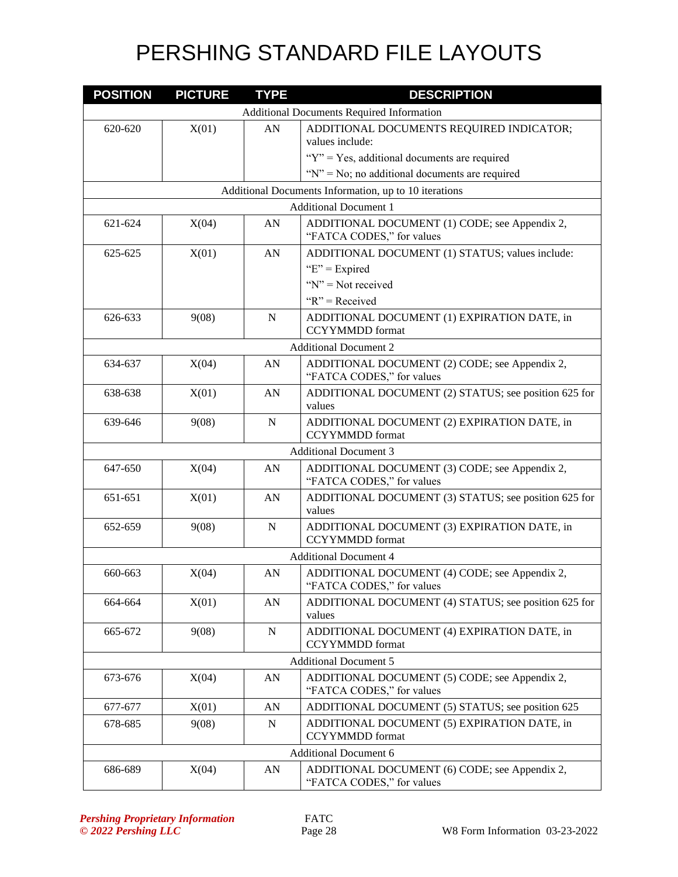| <b>POSITION</b> | <b>PICTURE</b> | <b>TYPE</b> | <b>DESCRIPTION</b>                                                         |
|-----------------|----------------|-------------|----------------------------------------------------------------------------|
|                 |                |             | <b>Additional Documents Required Information</b>                           |
| 620-620         | X(01)          | AN          | ADDITIONAL DOCUMENTS REQUIRED INDICATOR;                                   |
|                 |                |             | values include:                                                            |
|                 |                |             | " $Y$ " = Yes, additional documents are required                           |
|                 |                |             | " $N$ " = No; no additional documents are required                         |
|                 |                |             | Additional Documents Information, up to 10 iterations                      |
|                 |                |             | <b>Additional Document 1</b>                                               |
| 621-624         | X(04)          | AN          | ADDITIONAL DOCUMENT (1) CODE; see Appendix 2,<br>"FATCA CODES," for values |
| 625-625         | X(01)          | AN          | ADDITIONAL DOCUMENT (1) STATUS; values include:                            |
|                 |                |             | " $E$ " = Expired                                                          |
|                 |                |             | " $N$ " = Not received                                                     |
|                 |                |             | " $R$ " = Received                                                         |
| 626-633         | 9(08)          | N           | ADDITIONAL DOCUMENT (1) EXPIRATION DATE, in<br><b>CCYYMMDD</b> format      |
|                 |                |             | <b>Additional Document 2</b>                                               |
| 634-637         | X(04)          | AN          | ADDITIONAL DOCUMENT (2) CODE; see Appendix 2,<br>"FATCA CODES," for values |
| 638-638         | X(01)          | AN          | ADDITIONAL DOCUMENT (2) STATUS; see position 625 for<br>values             |
| 639-646         | 9(08)          | N           | ADDITIONAL DOCUMENT (2) EXPIRATION DATE, in<br><b>CCYYMMDD</b> format      |
|                 |                |             | <b>Additional Document 3</b>                                               |
| 647-650         | X(04)          | AN          | ADDITIONAL DOCUMENT (3) CODE; see Appendix 2,<br>"FATCA CODES," for values |
| 651-651         | X(01)          | AN          | ADDITIONAL DOCUMENT (3) STATUS; see position 625 for<br>values             |
| 652-659         | 9(08)          | $\mathbf N$ | ADDITIONAL DOCUMENT (3) EXPIRATION DATE, in<br><b>CCYYMMDD</b> format      |
|                 |                |             | <b>Additional Document 4</b>                                               |
| 660-663         | X(04)          | AN          | ADDITIONAL DOCUMENT (4) CODE; see Appendix 2,<br>"FATCA CODES," for values |
| 664-664         | X(01)          | ${\rm AN}$  | ADDITIONAL DOCUMENT (4) STATUS; see position 625 for<br>values             |
| 665-672         | 9(08)          | $\mathbf N$ | ADDITIONAL DOCUMENT (4) EXPIRATION DATE, in<br><b>CCYYMMDD</b> format      |
|                 |                |             | <b>Additional Document 5</b>                                               |
| 673-676         | X(04)          | AN          | ADDITIONAL DOCUMENT (5) CODE; see Appendix 2,<br>"FATCA CODES," for values |
| 677-677         | X(01)          | AN          | ADDITIONAL DOCUMENT (5) STATUS; see position 625                           |
| 678-685         | 9(08)          | N           | ADDITIONAL DOCUMENT (5) EXPIRATION DATE, in                                |
|                 |                |             | <b>CCYYMMDD</b> format                                                     |
|                 |                |             | <b>Additional Document 6</b>                                               |
| 686-689         | X(04)          | AN          | ADDITIONAL DOCUMENT (6) CODE; see Appendix 2,<br>"FATCA CODES," for values |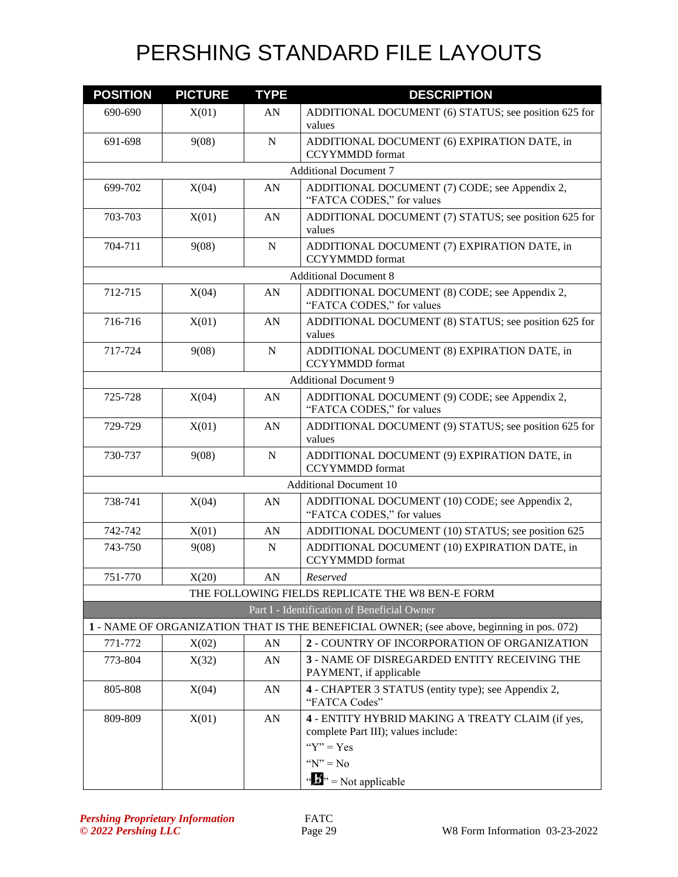| <b>POSITION</b>               | <b>PICTURE</b> | <b>TYPE</b> | <b>DESCRIPTION</b>                                                                                       |  |  |
|-------------------------------|----------------|-------------|----------------------------------------------------------------------------------------------------------|--|--|
| 690-690                       | X(01)          | AN          | ADDITIONAL DOCUMENT (6) STATUS; see position 625 for<br>values                                           |  |  |
| 691-698                       | 9(08)          | $\mathbf N$ | ADDITIONAL DOCUMENT (6) EXPIRATION DATE, in<br><b>CCYYMMDD</b> format                                    |  |  |
|                               |                |             | <b>Additional Document 7</b>                                                                             |  |  |
| 699-702                       | X(04)          | AN          | ADDITIONAL DOCUMENT (7) CODE; see Appendix 2,<br>"FATCA CODES," for values                               |  |  |
| 703-703                       | X(01)          | AN          | ADDITIONAL DOCUMENT (7) STATUS; see position 625 for<br>values                                           |  |  |
| 704-711                       | 9(08)          | N           | ADDITIONAL DOCUMENT (7) EXPIRATION DATE, in<br><b>CCYYMMDD</b> format                                    |  |  |
|                               |                |             | <b>Additional Document 8</b>                                                                             |  |  |
| 712-715                       | X(04)          | AN          | ADDITIONAL DOCUMENT (8) CODE; see Appendix 2,<br>"FATCA CODES," for values                               |  |  |
| 716-716                       | X(01)          | AN          | ADDITIONAL DOCUMENT (8) STATUS; see position 625 for<br>values                                           |  |  |
| 717-724                       | 9(08)          | ${\bf N}$   | ADDITIONAL DOCUMENT (8) EXPIRATION DATE, in<br><b>CCYYMMDD</b> format                                    |  |  |
|                               |                |             | <b>Additional Document 9</b>                                                                             |  |  |
| 725-728                       | X(04)          | AN          | ADDITIONAL DOCUMENT (9) CODE; see Appendix 2,<br>"FATCA CODES," for values                               |  |  |
| 729-729                       | X(01)          | AN          | ADDITIONAL DOCUMENT (9) STATUS; see position 625 for<br>values                                           |  |  |
| 730-737                       | 9(08)          | $\mathbf N$ | ADDITIONAL DOCUMENT (9) EXPIRATION DATE, in<br><b>CCYYMMDD</b> format                                    |  |  |
| <b>Additional Document 10</b> |                |             |                                                                                                          |  |  |
| 738-741                       | X(04)          | AN          | ADDITIONAL DOCUMENT (10) CODE; see Appendix 2,<br>"FATCA CODES," for values                              |  |  |
| 742-742                       | X(01)          | AN          | ADDITIONAL DOCUMENT (10) STATUS; see position 625                                                        |  |  |
| 743-750                       | 9(08)          | $\mathbf N$ | ADDITIONAL DOCUMENT (10) EXPIRATION DATE, in<br><b>CCYYMMDD</b> format                                   |  |  |
| 751-770                       | X(20)          | AN          | Reserved                                                                                                 |  |  |
|                               |                |             | THE FOLLOWING FIELDS REPLICATE THE W8 BEN-E FORM                                                         |  |  |
|                               |                |             | Part I - Identification of Beneficial Owner                                                              |  |  |
|                               |                |             | 1 - NAME OF ORGANIZATION THAT IS THE BENEFICIAL OWNER; (see above, beginning in pos. 072)                |  |  |
| 771-772                       | X(02)          | AN          | 2 - COUNTRY OF INCORPORATION OF ORGANIZATION                                                             |  |  |
| 773-804                       | X(32)          | AN          | 3 - NAME OF DISREGARDED ENTITY RECEIVING THE<br>PAYMENT, if applicable                                   |  |  |
| 805-808                       | X(04)          | AN          | 4 - CHAPTER 3 STATUS (entity type); see Appendix 2,<br>"FATCA Codes"                                     |  |  |
| 809-809                       | X(01)          | AN          | 4 - ENTITY HYBRID MAKING A TREATY CLAIM (if yes,<br>complete Part III); values include:<br>" $Y$ " = Yes |  |  |
|                               |                |             | " $N$ " = No                                                                                             |  |  |
|                               |                |             | $\mathbf{B}^{\prime\prime}$ = Not applicable                                                             |  |  |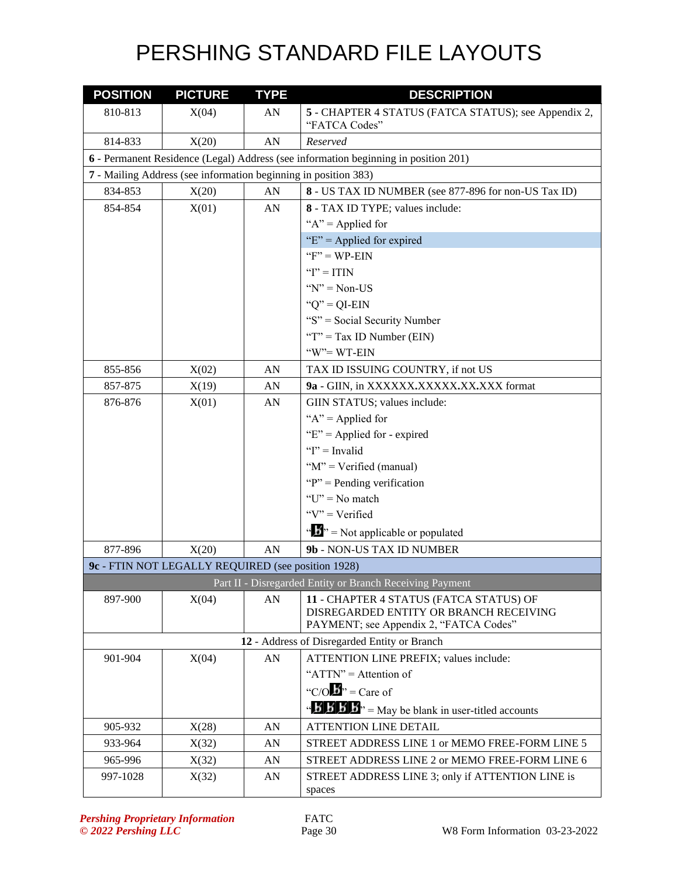| <b>POSITION</b> | <b>PICTURE</b>                                                                      | <b>TYPE</b> | <b>DESCRIPTION</b>                                                                                 |  |  |  |
|-----------------|-------------------------------------------------------------------------------------|-------------|----------------------------------------------------------------------------------------------------|--|--|--|
| 810-813         | X(04)                                                                               | AN          | 5 - CHAPTER 4 STATUS (FATCA STATUS); see Appendix 2,                                               |  |  |  |
|                 |                                                                                     |             | "FATCA Codes"                                                                                      |  |  |  |
| 814-833         | X(20)                                                                               | AN          | Reserved                                                                                           |  |  |  |
|                 | 6 - Permanent Residence (Legal) Address (see information beginning in position 201) |             |                                                                                                    |  |  |  |
|                 | 7 - Mailing Address (see information beginning in position 383)                     |             |                                                                                                    |  |  |  |
| 834-853         | X(20)                                                                               | AN          | 8 - US TAX ID NUMBER (see 877-896 for non-US Tax ID)                                               |  |  |  |
| 854-854         | X(01)                                                                               | AN          | 8 - TAX ID TYPE; values include:                                                                   |  |  |  |
|                 |                                                                                     |             | " $A$ " = Applied for                                                                              |  |  |  |
|                 |                                                                                     |             | " $E$ " = Applied for expired                                                                      |  |  |  |
|                 |                                                                                     |             | $"F" = WP-EIN$                                                                                     |  |  |  |
|                 |                                                                                     |             | " $I$ " = ITIN                                                                                     |  |  |  |
|                 |                                                                                     |             | " $N$ " = Non-US                                                                                   |  |  |  |
|                 |                                                                                     |             | " $Q$ " = QI-EIN                                                                                   |  |  |  |
|                 |                                                                                     |             | "S" = Social Security Number                                                                       |  |  |  |
|                 |                                                                                     |             | " $T$ " = Tax ID Number (EIN)                                                                      |  |  |  |
|                 |                                                                                     |             | "W"=WT-EIN                                                                                         |  |  |  |
| 855-856         | X(02)                                                                               | AN          | TAX ID ISSUING COUNTRY, if not US                                                                  |  |  |  |
| 857-875         | X(19)                                                                               | AN          | 9a - GIIN, in XXXXXX.XXXXX.XX.XXX format                                                           |  |  |  |
| 876-876         | X(01)                                                                               | AN          | GIIN STATUS; values include:                                                                       |  |  |  |
|                 |                                                                                     |             | " $A$ " = Applied for                                                                              |  |  |  |
|                 |                                                                                     |             | " $E$ " = Applied for - expired                                                                    |  |  |  |
|                 |                                                                                     |             | " $I$ " = Invalid                                                                                  |  |  |  |
|                 |                                                                                     |             | " $M$ " = Verified (manual)                                                                        |  |  |  |
|                 |                                                                                     |             | " $P$ " = Pending verification                                                                     |  |  |  |
|                 |                                                                                     |             | " $U$ " = No match                                                                                 |  |  |  |
|                 |                                                                                     |             | "V" = Verified                                                                                     |  |  |  |
|                 |                                                                                     |             | $\mathbf{A}^{\mathbf{A}}$ $\mathbf{B}^{\mathbf{B}}$ = Not applicable or populated                  |  |  |  |
| 877-896         | X(20)                                                                               | AN          | 9b - NON-US TAX ID NUMBER                                                                          |  |  |  |
|                 | 9c - FTIN NOT LEGALLY REQUIRED (see position 1928)                                  |             |                                                                                                    |  |  |  |
|                 |                                                                                     |             | Part II - Disregarded Entity or Branch Receiving Payment                                           |  |  |  |
| 897-900         | X(04)                                                                               | AN          | 11 - CHAPTER 4 STATUS (FATCA STATUS) OF                                                            |  |  |  |
|                 |                                                                                     |             | DISREGARDED ENTITY OR BRANCH RECEIVING                                                             |  |  |  |
|                 |                                                                                     |             | PAYMENT; see Appendix 2, "FATCA Codes"                                                             |  |  |  |
|                 |                                                                                     |             | 12 - Address of Disregarded Entity or Branch                                                       |  |  |  |
| 901-904         | X(04)                                                                               | AN          | ATTENTION LINE PREFIX; values include:                                                             |  |  |  |
|                 |                                                                                     |             | " $ATTN" =$ Attention of                                                                           |  |  |  |
|                 |                                                                                     |             | "C/O $\mathbf{B}$ " = Care of                                                                      |  |  |  |
|                 |                                                                                     |             | $\mathbf{B}'$ <b>B</b> $\mathbf{B}'$ <b>B</b> $\mathbf{B}'$ = May be blank in user-titled accounts |  |  |  |
| 905-932         | X(28)                                                                               | AN          | <b>ATTENTION LINE DETAIL</b>                                                                       |  |  |  |
| 933-964         | X(32)                                                                               | AN          | STREET ADDRESS LINE 1 or MEMO FREE-FORM LINE 5                                                     |  |  |  |
| 965-996         | X(32)                                                                               | AN          | STREET ADDRESS LINE 2 or MEMO FREE-FORM LINE 6                                                     |  |  |  |
| 997-1028        | X(32)                                                                               | AN          | STREET ADDRESS LINE 3; only if ATTENTION LINE is                                                   |  |  |  |
|                 |                                                                                     |             | spaces                                                                                             |  |  |  |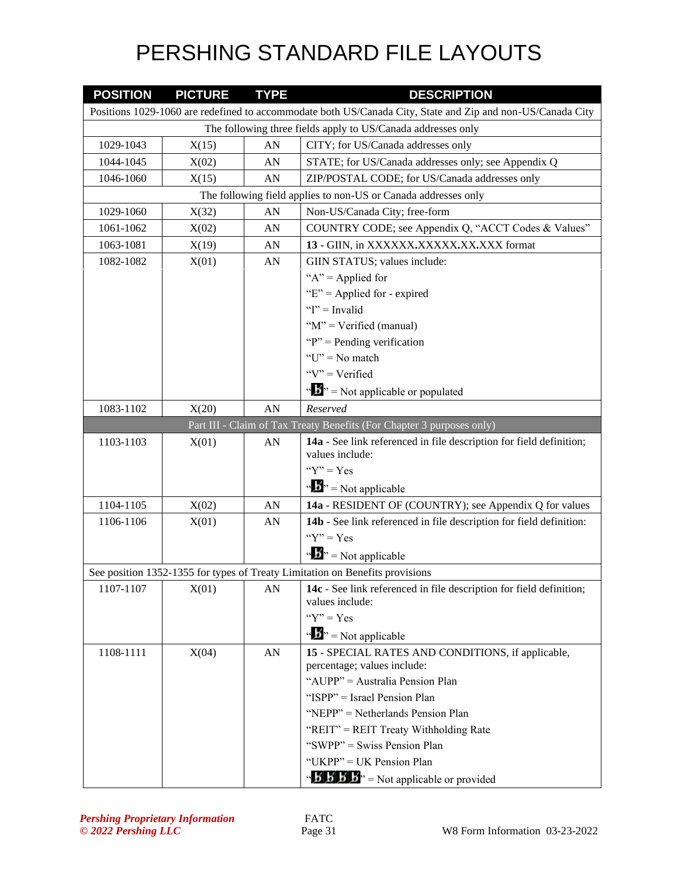| <b>POSITION</b>                                              | <b>PICTURE</b> | <b>TYPE</b> | <b>DESCRIPTION</b>                                                                                         |  |
|--------------------------------------------------------------|----------------|-------------|------------------------------------------------------------------------------------------------------------|--|
|                                                              |                |             | Positions 1029-1060 are redefined to accommodate both US/Canada City, State and Zip and non-US/Canada City |  |
| The following three fields apply to US/Canada addresses only |                |             |                                                                                                            |  |
| 1029-1043                                                    | X(15)          | AN          | CITY; for US/Canada addresses only                                                                         |  |
| 1044-1045                                                    | X(02)          | AN          | STATE; for US/Canada addresses only; see Appendix Q                                                        |  |
| 1046-1060                                                    | X(15)          | AN          | ZIP/POSTAL CODE; for US/Canada addresses only                                                              |  |
|                                                              |                |             | The following field applies to non-US or Canada addresses only                                             |  |
| 1029-1060                                                    | X(32)          | AN          | Non-US/Canada City; free-form                                                                              |  |
| 1061-1062                                                    | X(02)          | ${\rm AN}$  | COUNTRY CODE; see Appendix Q, "ACCT Codes & Values"                                                        |  |
| 1063-1081                                                    | X(19)          | AN          | 13 - GIIN, in XXXXXX.XXXXX.XX.XXX format                                                                   |  |
| 1082-1082                                                    | X(01)          | AN          | GIIN STATUS; values include:                                                                               |  |
|                                                              |                |             | " $A$ " = Applied for                                                                                      |  |
|                                                              |                |             | "E" = Applied for - expired                                                                                |  |
|                                                              |                |             | " $I$ " = Invalid                                                                                          |  |
|                                                              |                |             | " $M$ " = Verified (manual)                                                                                |  |
|                                                              |                |             | " $P$ " = Pending verification                                                                             |  |
|                                                              |                |             | " $U$ " = No match                                                                                         |  |
|                                                              |                |             | " $V$ " = Verified                                                                                         |  |
|                                                              |                |             | $\mathbf{A}^{\mathbf{A}}$ $\mathbf{B}^{\mathbf{B}}$ = Not applicable or populated                          |  |
| 1083-1102                                                    | X(20)          | AN          | Reserved                                                                                                   |  |
|                                                              |                |             | Part III - Claim of Tax Treaty Benefits (For Chapter 3 purposes only)                                      |  |
| 1103-1103                                                    | X(01)          | AN          | 14a - See link referenced in file description for field definition;                                        |  |
|                                                              |                |             | values include:                                                                                            |  |
|                                                              |                |             | " $Y$ " = Yes                                                                                              |  |
|                                                              |                |             | $\mathbf{B}^{\prime\prime}$ = Not applicable                                                               |  |
| 1104-1105                                                    | X(02)          | AN          | 14a - RESIDENT OF (COUNTRY); see Appendix Q for values                                                     |  |
| 1106-1106                                                    | X(01)          | AN          | 14b - See link referenced in file description for field definition:                                        |  |
|                                                              |                |             | " $Y$ " = Yes                                                                                              |  |
|                                                              |                |             | $\mathbf{B}^{\prime\prime}$ = Not applicable                                                               |  |
|                                                              |                |             | See position 1352-1355 for types of Treaty Limitation on Benefits provisions                               |  |
| 1107-1107                                                    | X(01)          | AN          | 14c - See link referenced in file description for field definition;                                        |  |
|                                                              |                |             | values include:                                                                                            |  |
|                                                              |                |             | " $Y$ " = Yes                                                                                              |  |
|                                                              |                |             | $\mathbf{A}^{\mathbf{B}}$ = Not applicable                                                                 |  |
| 1108-1111                                                    | X(04)          | AN          | 15 - SPECIAL RATES AND CONDITIONS, if applicable,                                                          |  |
|                                                              |                |             | percentage; values include:                                                                                |  |
|                                                              |                |             | "AUPP" = Australia Pension Plan                                                                            |  |
|                                                              |                |             | "ISPP" = Israel Pension Plan                                                                               |  |
|                                                              |                |             | "NEPP" = Netherlands Pension Plan                                                                          |  |
|                                                              |                |             | "REIT" = REIT Treaty Withholding Rate                                                                      |  |
|                                                              |                |             | "SWPP" = Swiss Pension Plan                                                                                |  |
|                                                              |                |             | "UKPP" = UK Pension Plan                                                                                   |  |
|                                                              |                |             | " $\mathbf{B}' \mathbf{B}' \mathbf{B}'$ " = Not applicable or provided                                     |  |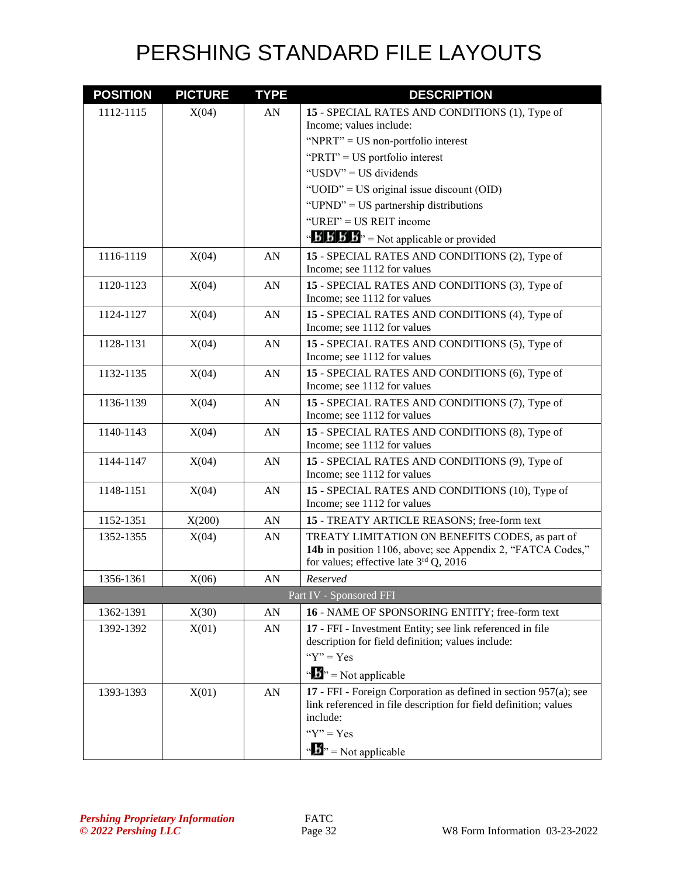| <b>POSITION</b> | <b>PICTURE</b> | <b>TYPE</b> | <b>DESCRIPTION</b>                                                                    |
|-----------------|----------------|-------------|---------------------------------------------------------------------------------------|
| 1112-1115       | X(04)          | AN          | 15 - SPECIAL RATES AND CONDITIONS (1), Type of                                        |
|                 |                |             | Income; values include:                                                               |
|                 |                |             | "NPRT" = $US$ non-portfolio interest                                                  |
|                 |                |             | "PRTI" = US portfolio interest                                                        |
|                 |                |             | "USDV" = US dividends                                                                 |
|                 |                |             | "UOID" = US original issue discount (OID)                                             |
|                 |                |             | "UPND" = US partnership distributions                                                 |
|                 |                |             | "UREI" = US REIT income                                                               |
|                 |                |             | $\mathbf{B}'$ $\mathbf{B}'$ $\mathbf{B}'$ $\mathbf{B}''$ = Not applicable or provided |
| 1116-1119       | X(04)          | AN          | 15 - SPECIAL RATES AND CONDITIONS (2), Type of                                        |
|                 |                |             | Income; see 1112 for values                                                           |
| 1120-1123       | X(04)          | AN          | 15 - SPECIAL RATES AND CONDITIONS (3), Type of                                        |
|                 |                |             | Income; see 1112 for values                                                           |
| 1124-1127       | X(04)          | ${\rm AN}$  | 15 - SPECIAL RATES AND CONDITIONS (4), Type of                                        |
|                 |                |             | Income; see 1112 for values                                                           |
| 1128-1131       | X(04)          | AN          | 15 - SPECIAL RATES AND CONDITIONS (5), Type of                                        |
|                 |                |             | Income; see 1112 for values                                                           |
| 1132-1135       | X(04)          | ${\rm AN}$  | 15 - SPECIAL RATES AND CONDITIONS (6), Type of<br>Income; see 1112 for values         |
|                 |                |             |                                                                                       |
| 1136-1139       | X(04)          | ${\rm AN}$  | 15 - SPECIAL RATES AND CONDITIONS (7), Type of<br>Income; see 1112 for values         |
| 1140-1143       | X(04)          | ${\rm AN}$  | 15 - SPECIAL RATES AND CONDITIONS (8), Type of                                        |
|                 |                |             | Income; see 1112 for values                                                           |
| 1144-1147       | X(04)          | ${\rm AN}$  | 15 - SPECIAL RATES AND CONDITIONS (9), Type of                                        |
|                 |                |             | Income; see 1112 for values                                                           |
| 1148-1151       | X(04)          | AN          | 15 - SPECIAL RATES AND CONDITIONS (10), Type of                                       |
|                 |                |             | Income; see 1112 for values                                                           |
| 1152-1351       | X(200)         | ${\rm AN}$  | 15 - TREATY ARTICLE REASONS; free-form text                                           |
| 1352-1355       | X(04)          | AN          | TREATY LIMITATION ON BENEFITS CODES, as part of                                       |
|                 |                |             | 14b in position 1106, above; see Appendix 2, "FATCA Codes,"                           |
|                 |                |             | for values; effective late $3rd$ Q, 2016                                              |
| 1356-1361       | X(06)          | AN          | Reserved                                                                              |
|                 |                |             | Part IV - Sponsored FFI                                                               |
| 1362-1391       | X(30)          | AN          | 16 - NAME OF SPONSORING ENTITY; free-form text                                        |
| 1392-1392       | X(01)          | AN          | 17 - FFI - Investment Entity; see link referenced in file                             |
|                 |                |             | description for field definition; values include:                                     |
|                 |                |             | " $Y$ " = Yes                                                                         |
|                 |                |             | $\mathbf{A}^{\prime\prime}$ = Not applicable                                          |
| 1393-1393       | X(01)          | AN          | 17 - FFI - Foreign Corporation as defined in section 957(a); see                      |
|                 |                |             | link referenced in file description for field definition; values<br>include:          |
|                 |                |             | " $Y$ " = $Yes$                                                                       |
|                 |                |             |                                                                                       |
|                 |                |             | $\mathbf{B}^{\prime\prime}$ = Not applicable                                          |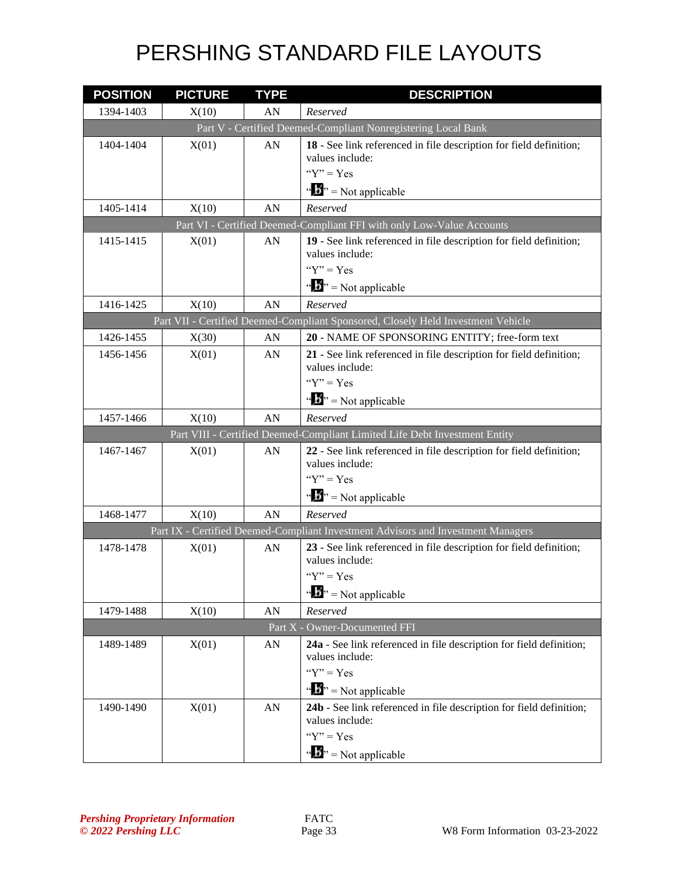| <b>POSITION</b> | <b>PICTURE</b> | <b>TYPE</b> | <b>DESCRIPTION</b>                                                                     |
|-----------------|----------------|-------------|----------------------------------------------------------------------------------------|
| 1394-1403       | X(10)          | AN          | Reserved                                                                               |
|                 |                |             | Part V - Certified Deemed-Compliant Nonregistering Local Bank                          |
| 1404-1404       | X(01)          | AN          | 18 - See link referenced in file description for field definition;                     |
|                 |                |             | values include:<br>" $Y$ " = Yes                                                       |
|                 |                |             | $\mathbf{A}^{\mathbf{B}}$ = Not applicable                                             |
| 1405-1414       | X(10)          | AN          | Reserved                                                                               |
|                 |                |             | Part VI - Certified Deemed-Compliant FFI with only Low-Value Accounts                  |
| 1415-1415       | X(01)          | AN          | 19 - See link referenced in file description for field definition;                     |
|                 |                |             | values include:                                                                        |
|                 |                |             | " $Y$ " = Yes                                                                          |
|                 |                |             | $\mathbf{w}^{\mathbf{y}} = \text{Not applicable}$                                      |
| 1416-1425       | X(10)          | AN          | Reserved                                                                               |
|                 |                |             | Part VII - Certified Deemed-Compliant Sponsored, Closely Held Investment Vehicle       |
| 1426-1455       | X(30)          | AN          | 20 - NAME OF SPONSORING ENTITY; free-form text                                         |
| 1456-1456       | X(01)          | AN          | 21 - See link referenced in file description for field definition;<br>values include:  |
|                 |                |             | " $Y$ " = $Yes$                                                                        |
|                 |                |             | $\mathbf{A}^{\mathbf{B}}$ = Not applicable                                             |
| 1457-1466       | X(10)          | AN          | Reserved                                                                               |
|                 |                |             | Part VIII - Certified Deemed-Compliant Limited Life Debt Investment Entity             |
| 1467-1467       | X(01)          | AN          | 22 - See link referenced in file description for field definition;<br>values include:  |
|                 |                |             | " $Y$ " = Yes                                                                          |
|                 |                |             | $\mathbf{B}^{\prime\prime}$ = Not applicable                                           |
| 1468-1477       | X(10)          | AN          | Reserved                                                                               |
|                 |                |             | Part IX - Certified Deemed-Compliant Investment Advisors and Investment Managers       |
| 1478-1478       | X(01)          | AN          | 23 - See link referenced in file description for field definition;<br>values include:  |
|                 |                |             | " $Y$ " = Yes                                                                          |
|                 |                |             | $\mathbf{B}^{\prime\prime}$ = Not applicable                                           |
| 1479-1488       | X(10)          | AN          | Reserved                                                                               |
|                 |                |             | Part X - Owner-Documented FFI                                                          |
| 1489-1489       | X(01)          | AN          | 24a - See link referenced in file description for field definition;<br>values include: |
|                 |                |             | " $Y$ " = Yes                                                                          |
|                 |                |             | $\mathbf{B}^{\prime\prime}$ = Not applicable                                           |
| 1490-1490       | X(01)          | AN          | 24b - See link referenced in file description for field definition;<br>values include: |
|                 |                |             | " $Y$ " = Yes                                                                          |
|                 |                |             | $\mathbf{a} \cdot \mathbf{b}$ <sup>3</sup> = Not applicable                            |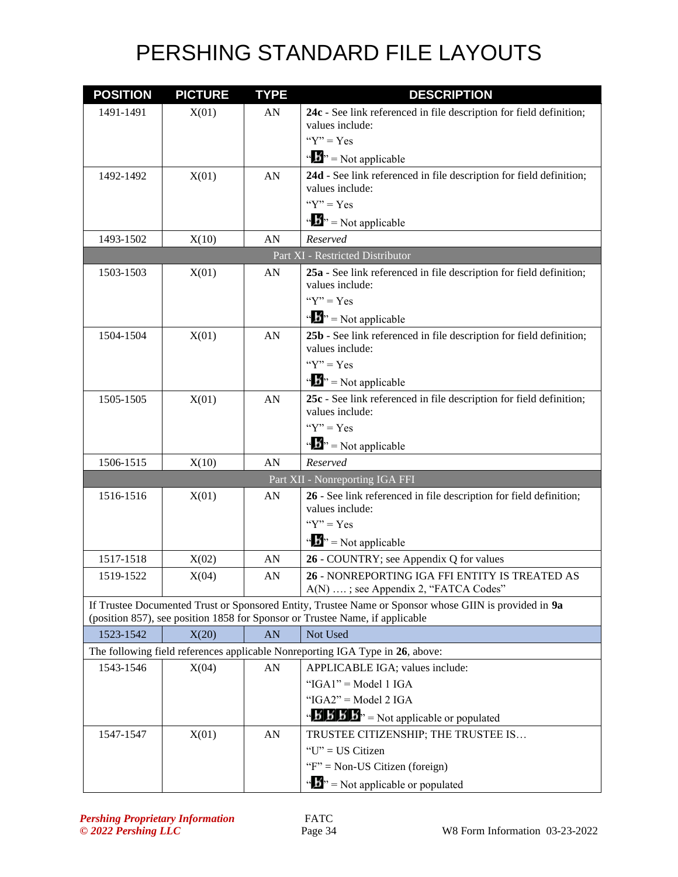| <b>POSITION</b> | <b>PICTURE</b> | <b>TYPE</b> | <b>DESCRIPTION</b>                                                                                    |
|-----------------|----------------|-------------|-------------------------------------------------------------------------------------------------------|
| 1491-1491       | X(01)          | AN          | 24c - See link referenced in file description for field definition;                                   |
|                 |                |             | values include:                                                                                       |
|                 |                |             | " $Y$ " = Yes                                                                                         |
|                 |                |             | $\mathbf{B}^{\prime\prime}$ = Not applicable                                                          |
| 1492-1492       | X(01)          | ${\rm AN}$  | 24d - See link referenced in file description for field definition;                                   |
|                 |                |             | values include:<br>" $Y$ " = Yes                                                                      |
|                 |                |             |                                                                                                       |
|                 |                |             | $\mathbf{B}^{\prime\prime}$ = Not applicable                                                          |
| 1493-1502       | X(10)          | AN          | Reserved                                                                                              |
|                 |                |             | Part XI - Restricted Distributor                                                                      |
| 1503-1503       | X(01)          | AN          | 25a - See link referenced in file description for field definition;<br>values include:                |
|                 |                |             | " $Y$ " = Yes                                                                                         |
|                 |                |             | $\mathbf{B}^{\prime\prime}$ = Not applicable                                                          |
| 1504-1504       | X(01)          | AN          | 25b - See link referenced in file description for field definition;                                   |
|                 |                |             | values include:                                                                                       |
|                 |                |             | " $Y$ " = Yes                                                                                         |
|                 |                |             | $\mathbf{B}^{\prime\prime}$ = Not applicable                                                          |
| 1505-1505       | X(01)          | AN          | 25c - See link referenced in file description for field definition;                                   |
|                 |                |             | values include:                                                                                       |
|                 |                |             | " $Y$ " = Yes                                                                                         |
|                 |                |             | $\mathbf{A}^{\prime\prime}$ = Not applicable                                                          |
| 1506-1515       | X(10)          | AN          | Reserved                                                                                              |
|                 |                |             | Part XII - Nonreporting IGA FFI                                                                       |
| 1516-1516       | X(01)          | AN          | 26 - See link referenced in file description for field definition;                                    |
|                 |                |             | values include:<br>" $Y$ " = Yes                                                                      |
|                 |                |             | $\mathbf{B}^{\prime\prime}$ = Not applicable                                                          |
| 1517-1518       |                |             |                                                                                                       |
| 1519-1522       | X(02)<br>X(04) | AN<br>AN    | 26 - COUNTRY; see Appendix Q for values<br>26 - NONREPORTING IGA FFI ENTITY IS TREATED AS             |
|                 |                |             | A(N) ; see Appendix 2, "FATCA Codes"                                                                  |
|                 |                |             | If Trustee Documented Trust or Sponsored Entity, Trustee Name or Sponsor whose GIIN is provided in 9a |
|                 |                |             | (position 857), see position 1858 for Sponsor or Trustee Name, if applicable                          |
| 1523-1542       | X(20)          | AN          | Not Used                                                                                              |
|                 |                |             | The following field references applicable Nonreporting IGA Type in 26, above:                         |
| 1543-1546       | X(04)          | AN          | APPLICABLE IGA; values include:                                                                       |
|                 |                |             | " $IGAI" = Model 1 IGA$                                                                               |
|                 |                |             | " $IGA2" = Model 2 IGA$                                                                               |
|                 |                |             | $\mathbf{B}'$ $\mathbf{B}'$ $\mathbf{B}'$ $\mathbf{B}'$ = Not applicable or populated                 |
| 1547-1547       | X(01)          | ${\rm AN}$  | TRUSTEE CITIZENSHIP; THE TRUSTEE IS                                                                   |
|                 |                |             | "U" = US Citizen                                                                                      |
|                 |                |             | " $F$ " = Non-US Citizen (foreign)                                                                    |
|                 |                |             | $\mathbf{B}^{\prime\prime}$ = Not applicable or populated                                             |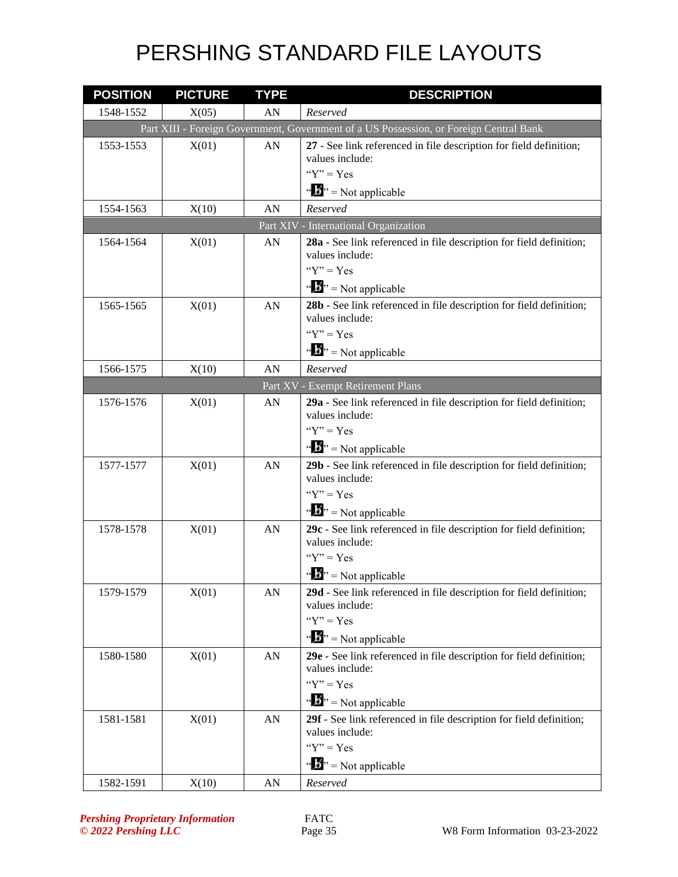| <b>POSITION</b> | <b>PICTURE</b> | <b>TYPE</b> | <b>DESCRIPTION</b>                                                                     |
|-----------------|----------------|-------------|----------------------------------------------------------------------------------------|
| 1548-1552       | X(05)          | AN          | Reserved                                                                               |
|                 |                |             | Part XIII - Foreign Government, Government of a US Possession, or Foreign Central Bank |
| 1553-1553       | X(01)          | AN          | 27 - See link referenced in file description for field definition;                     |
|                 |                |             | values include:                                                                        |
|                 |                |             | " $Y$ " = Yes                                                                          |
|                 |                |             | $\mathbf{A}^{\bullet}$ = Not applicable                                                |
| 1554-1563       | X(10)          | AN          | Reserved                                                                               |
|                 |                |             | Part XIV - International Organization                                                  |
| 1564-1564       | X(01)          | AN          | 28a - See link referenced in file description for field definition;                    |
|                 |                |             | values include:<br>" $Y$ " = Yes                                                       |
|                 |                |             |                                                                                        |
|                 |                |             | $\mathbf{B}^{\prime\prime}$ = Not applicable                                           |
| 1565-1565       | X(01)          | AN          | 28b - See link referenced in file description for field definition;<br>values include: |
|                 |                |             | " $Y$ " = Yes                                                                          |
|                 |                |             | $\mathbf{B}^{\prime\prime}$ = Not applicable                                           |
| 1566-1575       | X(10)          | AN          | Reserved                                                                               |
|                 |                |             | Part XV - Exempt Retirement Plans                                                      |
| 1576-1576       | X(01)          | AN          | 29a - See link referenced in file description for field definition;                    |
|                 |                |             | values include:                                                                        |
|                 |                |             | " $Y$ " = Yes                                                                          |
|                 |                |             | $\mathbf{B}^{\prime\prime}$ = Not applicable                                           |
| 1577-1577       | X(01)          | AN          | 29b - See link referenced in file description for field definition;                    |
|                 |                |             | values include:                                                                        |
|                 |                |             | " $Y$ " = Yes                                                                          |
|                 |                |             | $\mathbf{B}^{\prime\prime}$ = Not applicable                                           |
| 1578-1578       | X(01)          | AN          | 29c - See link referenced in file description for field definition;                    |
|                 |                |             | values include:<br>" $Y$ " = Yes                                                       |
|                 |                |             |                                                                                        |
|                 |                |             | $\mathbf{B}^{\prime\prime}$ = Not applicable                                           |
| 1579-1579       | X(01)          | AN          | 29d - See link referenced in file description for field definition;<br>values include: |
|                 |                |             | " $Y$ " = Yes                                                                          |
|                 |                |             | $\mathbf{B}^{\prime\prime}$ = Not applicable                                           |
| 1580-1580       | X(01)          | AN          | 29e - See link referenced in file description for field definition;                    |
|                 |                |             | values include:                                                                        |
|                 |                |             | " $Y$ " = Yes                                                                          |
|                 |                |             | $\mathbf{B}^{\prime\prime}$ = Not applicable                                           |
| 1581-1581       | X(01)          | AN          | 29f - See link referenced in file description for field definition;                    |
|                 |                |             | values include:                                                                        |
|                 |                |             | " $Y$ " = Yes                                                                          |
|                 |                |             | $\mathbf{B}^{\prime\prime}$ = Not applicable                                           |
| 1582-1591       | X(10)          | AN          | Reserved                                                                               |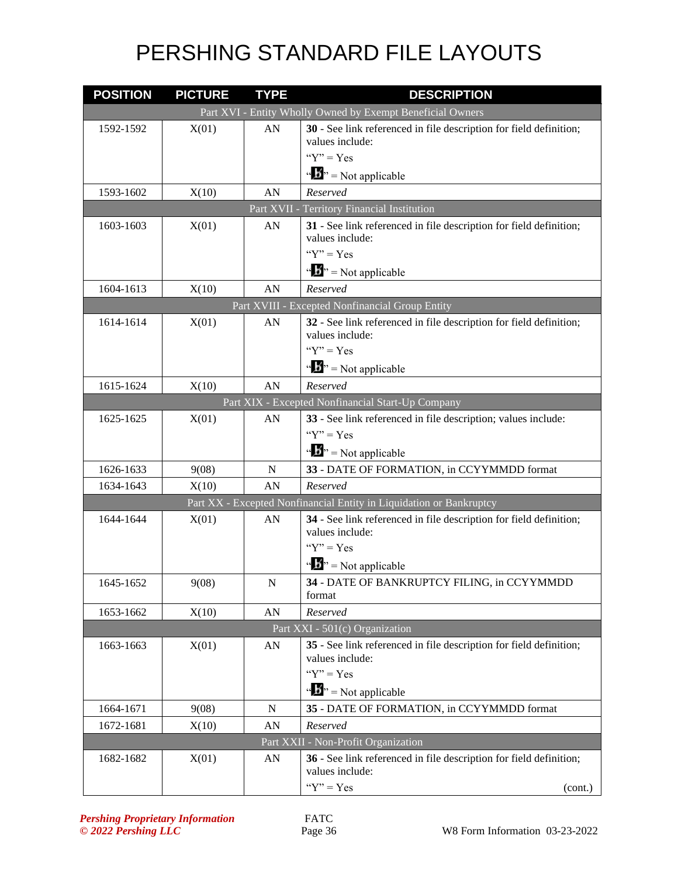| <b>POSITION</b> | <b>PICTURE</b> | <b>TYPE</b> | <b>DESCRIPTION</b>                                                                    |
|-----------------|----------------|-------------|---------------------------------------------------------------------------------------|
|                 |                |             | Part XVI - Entity Wholly Owned by Exempt Beneficial Owners                            |
| 1592-1592       | X(01)          | AN          | 30 - See link referenced in file description for field definition;                    |
|                 |                |             | values include:<br>" $Y$ " = Yes                                                      |
|                 |                |             |                                                                                       |
|                 |                |             | $\mathbf{A}^{\bullet}$ = Not applicable                                               |
| 1593-1602       | X(10)          | AN          | Reserved<br>Part XVII - Territory Financial Institution                               |
| 1603-1603       | X(01)          | AN          | 31 - See link referenced in file description for field definition;                    |
|                 |                |             | values include:                                                                       |
|                 |                |             | " $Y$ " = Yes                                                                         |
|                 |                |             | $\mathbf{A}^{\mathbf{B}}$ = Not applicable                                            |
| 1604-1613       | X(10)          | AN          | Reserved                                                                              |
|                 |                |             | Part XVIII - Excepted Nonfinancial Group Entity                                       |
| 1614-1614       | X(01)          | AN          | 32 - See link referenced in file description for field definition;<br>values include: |
|                 |                |             | " $Y$ " = Yes                                                                         |
|                 |                |             | $\mathbf{B}^{\prime\prime}$ = Not applicable                                          |
| 1615-1624       | X(10)          | AN          | Reserved                                                                              |
|                 |                |             | Part XIX - Excepted Nonfinancial Start-Up Company                                     |
| 1625-1625       | X(01)          | AN          | 33 - See link referenced in file description; values include:                         |
|                 |                |             | " $Y$ " = $Yes$                                                                       |
|                 |                |             | $\mathbf{B}^{\prime\prime}$ = Not applicable                                          |
| 1626-1633       | 9(08)          | N           | 33 - DATE OF FORMATION, in CCYYMMDD format                                            |
| 1634-1643       | X(10)          | AN          | Reserved                                                                              |
|                 |                |             | Part XX - Excepted Nonfinancial Entity in Liquidation or Bankruptcy                   |
| 1644-1644       | X(01)          | AN          | 34 - See link referenced in file description for field definition;<br>values include: |
|                 |                |             | " $Y$ " = Yes                                                                         |
|                 |                |             | $\mathbf{A}^{\prime\prime}$ = Not applicable                                          |
| 1645-1652       | 9(08)          | $\mathbf N$ | 34 - DATE OF BANKRUPTCY FILING, in CCYYMMDD<br>format                                 |
| 1653-1662       | X(10)          | AN          | Reserved                                                                              |
|                 |                |             | Part XXI - 501(c) Organization                                                        |
| 1663-1663       | X(01)          | AN          | 35 - See link referenced in file description for field definition;                    |
|                 |                |             | values include:                                                                       |
|                 |                |             | " $Y$ " = Yes                                                                         |
|                 |                |             | $\mathbf{A}^{\bullet}$ = Not applicable                                               |
| 1664-1671       | 9(08)          | N           | 35 - DATE OF FORMATION, in CCYYMMDD format                                            |
| 1672-1681       | X(10)          | AN          | Reserved                                                                              |
|                 |                |             | Part XXII - Non-Profit Organization                                                   |
| 1682-1682       | X(01)          | AN          | 36 - See link referenced in file description for field definition;<br>values include: |
|                 |                |             | " $Y$ " = Yes<br>(cont.)                                                              |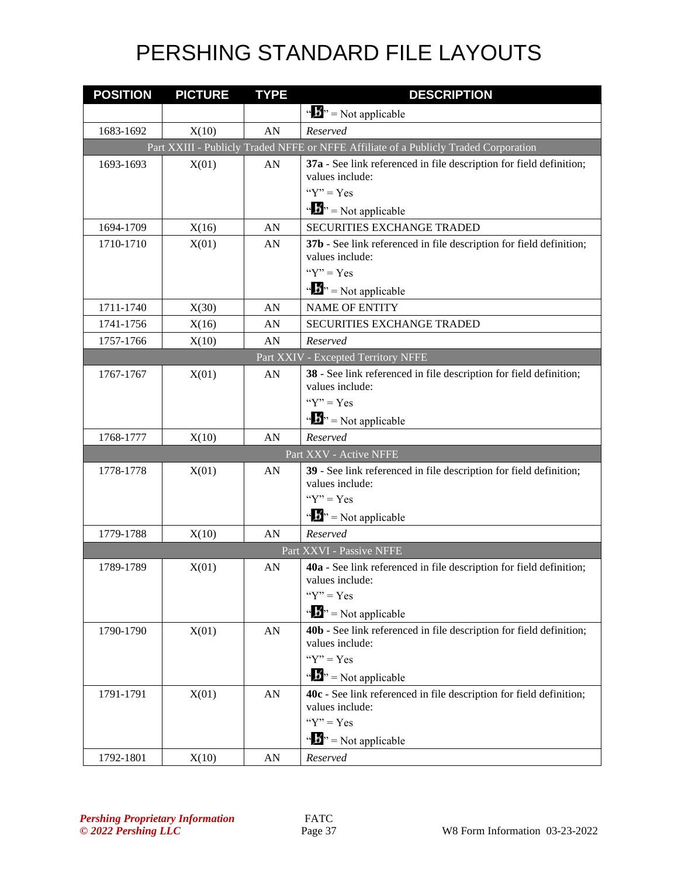| <b>POSITION</b> | <b>PICTURE</b> | <b>TYPE</b> | <b>DESCRIPTION</b>                                                                     |
|-----------------|----------------|-------------|----------------------------------------------------------------------------------------|
|                 |                |             | $\mathbf{w} = \mathbf{N}$ = Not applicable                                             |
| 1683-1692       | X(10)          | AN          | Reserved                                                                               |
|                 |                |             | Part XXIII - Publicly Traded NFFE or NFFE Affiliate of a Publicly Traded Corporation   |
| 1693-1693       | X(01)          | AN          | 37a - See link referenced in file description for field definition;<br>values include: |
|                 |                |             | " $Y$ " = Yes                                                                          |
|                 |                |             | $\mathbf{B}^{\prime\prime}$ = Not applicable                                           |
| 1694-1709       | X(16)          | AN          | <b>SECURITIES EXCHANGE TRADED</b>                                                      |
| 1710-1710       | X(01)          | AN          | 37b - See link referenced in file description for field definition;<br>values include: |
|                 |                |             | " $Y$ " = Yes                                                                          |
|                 |                |             | $\mathbf{A}^{\mathbf{B}}$ = Not applicable                                             |
| 1711-1740       | X(30)          | AN          | <b>NAME OF ENTITY</b>                                                                  |
| 1741-1756       | X(16)          | AN          | <b>SECURITIES EXCHANGE TRADED</b>                                                      |
| 1757-1766       | X(10)          | AN          | Reserved                                                                               |
|                 |                |             | Part XXIV - Excepted Territory NFFE                                                    |
| 1767-1767       | X(01)          | AN          | 38 - See link referenced in file description for field definition;<br>values include:  |
|                 |                |             | " $Y$ " = Yes                                                                          |
|                 |                |             | $\mathbf{B}^{\prime\prime}$ = Not applicable                                           |
| 1768-1777       | X(10)          | AN          | Reserved                                                                               |
|                 |                |             | Part XXV - Active NFFE                                                                 |
| 1778-1778       | X(01)          | AN          | 39 - See link referenced in file description for field definition;<br>values include:  |
|                 |                |             | " $Y$ " = Yes                                                                          |
|                 |                |             | $\mathbf{B}^{\prime\prime}$ = Not applicable                                           |
| 1779-1788       | X(10)          | AN          | Reserved                                                                               |
|                 |                |             | Part XXVI - Passive NFFE                                                               |
| 1789-1789       | X(01)          | AN          | 40a - See link referenced in file description for field definition;<br>values include: |
|                 |                |             | " $Y$ " = Yes                                                                          |
|                 |                |             | $\mathbf{A}^{\bullet}$ = Not applicable                                                |
| 1790-1790       | X(01)          | ${\rm AN}$  | 40b - See link referenced in file description for field definition;<br>values include: |
|                 |                |             | " $Y$ " = Yes<br>$\mathbf{A}^{\mathbf{B}}$ = Not applicable                            |
| 1791-1791       | X(01)          | ${\rm AN}$  | 40c - See link referenced in file description for field definition;<br>values include: |
|                 |                |             | " $Y$ " = Yes                                                                          |
|                 |                |             | $\mathbf{A}^{\mathbf{B}}$ = Not applicable                                             |
| 1792-1801       | X(10)          | ${\rm AN}$  | Reserved                                                                               |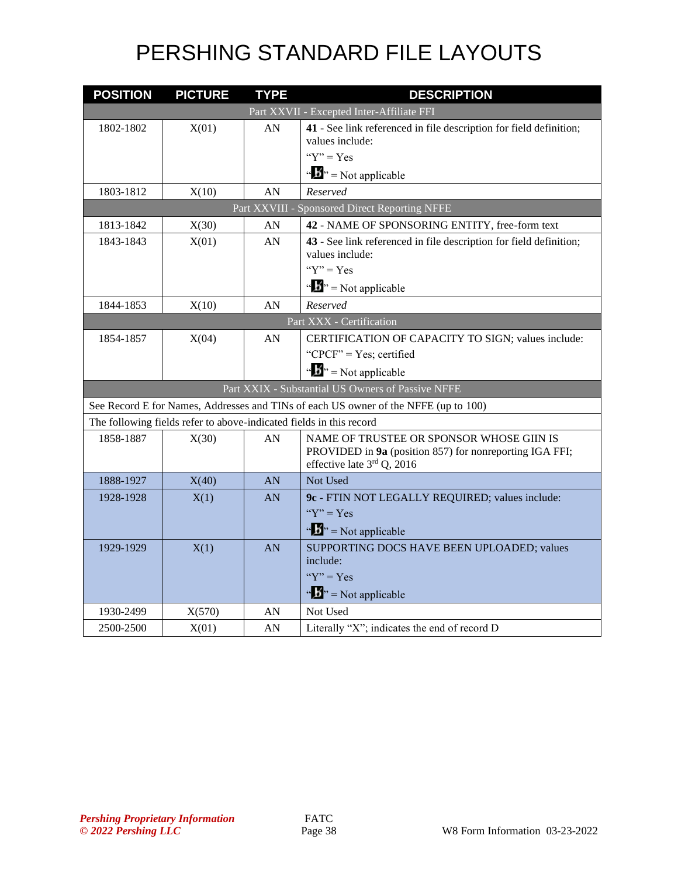| <b>POSITION</b>                                                                     | <b>PICTURE</b> | <b>TYPE</b> | <b>DESCRIPTION</b>                                                                    |  |
|-------------------------------------------------------------------------------------|----------------|-------------|---------------------------------------------------------------------------------------|--|
|                                                                                     |                |             | Part XXVII - Excepted Inter-Affiliate FFI                                             |  |
| 1802-1802                                                                           | X(01)          | AN          | 41 - See link referenced in file description for field definition;                    |  |
|                                                                                     |                |             | values include:                                                                       |  |
|                                                                                     |                |             | " $Y$ " = Yes                                                                         |  |
|                                                                                     |                |             | $\mathbf{a} \cdot \mathbf{B}$ <sup>2</sup> = Not applicable                           |  |
| 1803-1812                                                                           | X(10)          | AN          | Reserved                                                                              |  |
|                                                                                     |                |             | Part XXVIII - Sponsored Direct Reporting NFFE                                         |  |
| 1813-1842                                                                           | X(30)          | AN          | 42 - NAME OF SPONSORING ENTITY, free-form text                                        |  |
| 1843-1843                                                                           | X(01)          | AN          | 43 - See link referenced in file description for field definition;                    |  |
|                                                                                     |                |             | values include:                                                                       |  |
|                                                                                     |                |             | " $Y$ " = Yes                                                                         |  |
|                                                                                     |                |             | $\cdots$ S <sup>3</sup> , = Not applicable                                            |  |
| 1844-1853                                                                           | X(10)          | AN          | Reserved                                                                              |  |
|                                                                                     |                |             | Part XXX - Certification                                                              |  |
| 1854-1857                                                                           | X(04)          | AN          | CERTIFICATION OF CAPACITY TO SIGN; values include:                                    |  |
|                                                                                     |                |             | "CPCF" = Yes; certified                                                               |  |
|                                                                                     |                |             | $\mathbf{B}^{\prime\prime}$ = Not applicable                                          |  |
| Part XXIX - Substantial US Owners of Passive NFFE                                   |                |             |                                                                                       |  |
| See Record E for Names, Addresses and TINs of each US owner of the NFFE (up to 100) |                |             |                                                                                       |  |
| The following fields refer to above-indicated fields in this record                 |                |             |                                                                                       |  |
| 1858-1887                                                                           | X(30)          | AN          | NAME OF TRUSTEE OR SPONSOR WHOSE GIIN IS                                              |  |
|                                                                                     |                |             | PROVIDED in 9a (position 857) for nonreporting IGA FFI;<br>effective late 3rd Q, 2016 |  |
|                                                                                     |                |             | Not Used                                                                              |  |
| 1888-1927                                                                           | X(40)          | AN          |                                                                                       |  |
| 1928-1928                                                                           | X(1)           | AN          | 9c - FTIN NOT LEGALLY REQUIRED; values include:<br>" $Y$ " = Yes                      |  |
|                                                                                     |                |             |                                                                                       |  |
|                                                                                     |                |             | $\mathbf{B}^{\prime\prime}$ , = Not applicable                                        |  |
| 1929-1929                                                                           | X(1)           | AN          | SUPPORTING DOCS HAVE BEEN UPLOADED; values                                            |  |
|                                                                                     |                |             | include:<br>" $Y$ " = $Yes$                                                           |  |
|                                                                                     |                |             |                                                                                       |  |
|                                                                                     |                |             | $\cdot \cdot \cdot$ Not applicable                                                    |  |
| 1930-2499                                                                           | X(570)         | AN          | Not Used                                                                              |  |
| 2500-2500                                                                           | X(01)          | AN          | Literally "X"; indicates the end of record D                                          |  |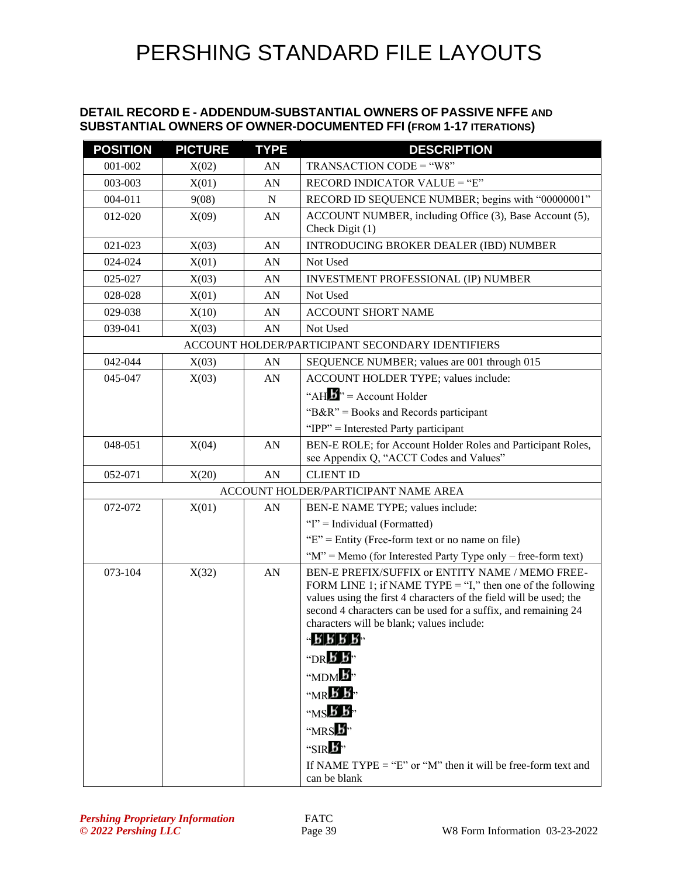#### **DETAIL RECORD E - ADDENDUM-SUBSTANTIAL OWNERS OF PASSIVE NFFE AND SUBSTANTIAL OWNERS OF OWNER-DOCUMENTED FFI (FROM 1-17 ITERATIONS)**

| <b>POSITION</b> | <b>PICTURE</b> | <b>TYPE</b> | <b>DESCRIPTION</b>                                                                                                                   |
|-----------------|----------------|-------------|--------------------------------------------------------------------------------------------------------------------------------------|
| 001-002         | X(02)          | AN          | $TRANSACTION CODE = "W8"$                                                                                                            |
| 003-003         | X(01)          | AN          | RECORD INDICATOR VALUE = "E"                                                                                                         |
| 004-011         | 9(08)          | $\mathbf N$ | RECORD ID SEQUENCE NUMBER; begins with "00000001"                                                                                    |
| 012-020         | X(09)          | AN          | ACCOUNT NUMBER, including Office (3), Base Account (5),                                                                              |
|                 |                |             | Check Digit (1)                                                                                                                      |
| 021-023         | X(03)          | AN          | <b>INTRODUCING BROKER DEALER (IBD) NUMBER</b>                                                                                        |
| 024-024         | X(01)          | AN          | Not Used                                                                                                                             |
| 025-027         | X(03)          | AN          | <b>INVESTMENT PROFESSIONAL (IP) NUMBER</b>                                                                                           |
| 028-028         | X(01)          | AN          | Not Used                                                                                                                             |
| 029-038         | X(10)          | AN          | <b>ACCOUNT SHORT NAME</b>                                                                                                            |
| 039-041         | X(03)          | AN          | Not Used                                                                                                                             |
|                 |                |             | ACCOUNT HOLDER/PARTICIPANT SECONDARY IDENTIFIERS                                                                                     |
| 042-044         | X(03)          | AN          | SEQUENCE NUMBER; values are 001 through 015                                                                                          |
| 045-047         | X(03)          | AN          | ACCOUNT HOLDER TYPE; values include:                                                                                                 |
|                 |                |             | "AH $\mathbf{B}$ " = Account Holder                                                                                                  |
|                 |                |             | "B&R" = Books and Records participant                                                                                                |
|                 |                |             | "IPP" = Interested Party participant                                                                                                 |
| 048-051         | X(04)          | AN          | BEN-E ROLE; for Account Holder Roles and Participant Roles,                                                                          |
|                 |                |             | see Appendix Q, "ACCT Codes and Values"                                                                                              |
| 052-071         | X(20)          | AN          | <b>CLIENT ID</b>                                                                                                                     |
|                 |                |             | ACCOUNT HOLDER/PARTICIPANT NAME AREA                                                                                                 |
| 072-072         | X(01)          | AN          | BEN-E NAME TYPE; values include:                                                                                                     |
|                 |                |             | "I" = Individual (Formatted)                                                                                                         |
|                 |                |             | " $E$ " = Entity (Free-form text or no name on file)                                                                                 |
|                 |                |             | " $M$ " = Memo (for Interested Party Type only – free-form text)                                                                     |
| 073-104         | X(32)          | AN          | BEN-E PREFIX/SUFFIX or ENTITY NAME / MEMO FREE-                                                                                      |
|                 |                |             | FORM LINE 1; if NAME TYPE = "I," then one of the following                                                                           |
|                 |                |             | values using the first 4 characters of the field will be used; the<br>second 4 characters can be used for a suffix, and remaining 24 |
|                 |                |             | characters will be blank; values include:                                                                                            |
|                 |                |             | 45.5.5                                                                                                                               |
|                 |                |             | $\n  DR B$                                                                                                                           |
|                 |                |             | "MDM <sup>3</sup> "                                                                                                                  |
|                 |                |             | $M \times B$                                                                                                                         |
|                 |                |             |                                                                                                                                      |
|                 |                |             | $WSE$ $B$ ,                                                                                                                          |
|                 |                |             | " $MRS$ $\overline{B}$ "                                                                                                             |
|                 |                |             | "SIR $\mathbf{E}$ "                                                                                                                  |
|                 |                |             | If NAME TYPE = "E" or "M" then it will be free-form text and                                                                         |
|                 |                |             | can be blank                                                                                                                         |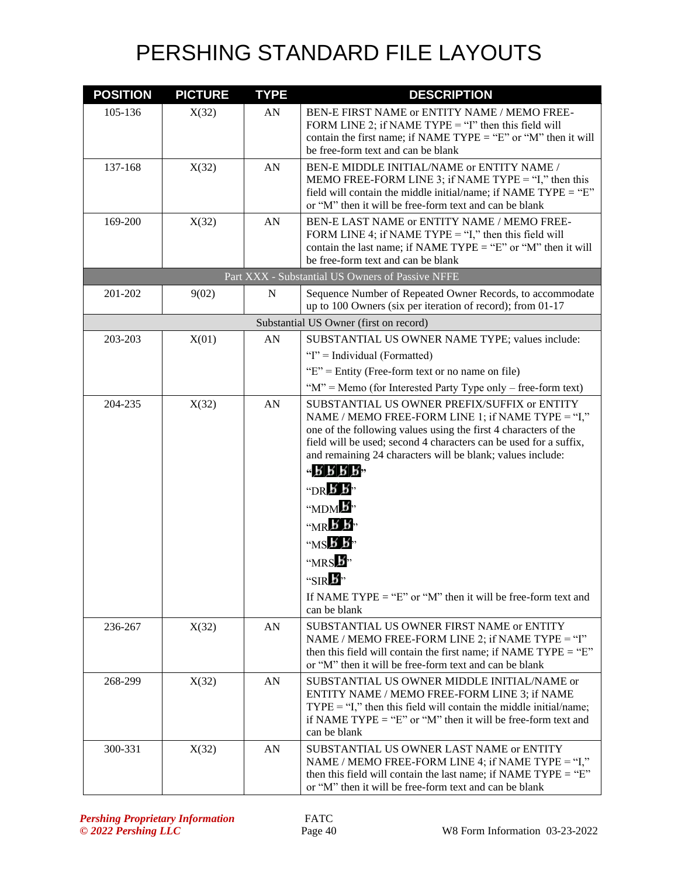| <b>POSITION</b> | <b>PICTURE</b> | <b>TYPE</b> | <b>DESCRIPTION</b>                                                                                                                                                                                                                                                                                                                                                                                                                                                                                                                                               |
|-----------------|----------------|-------------|------------------------------------------------------------------------------------------------------------------------------------------------------------------------------------------------------------------------------------------------------------------------------------------------------------------------------------------------------------------------------------------------------------------------------------------------------------------------------------------------------------------------------------------------------------------|
| 105-136         | X(32)          | AN          | BEN-E FIRST NAME or ENTITY NAME / MEMO FREE-<br>FORM LINE 2; if NAME TYPE = "I" then this field will<br>contain the first name; if NAME TYPE = "E" or "M" then it will<br>be free-form text and can be blank                                                                                                                                                                                                                                                                                                                                                     |
| 137-168         | X(32)          | AN          | BEN-E MIDDLE INITIAL/NAME or ENTITY NAME /<br>MEMO FREE-FORM LINE 3; if NAME TYPE = "I," then this<br>field will contain the middle initial/name; if NAME TYPE = " $E$ "<br>or "M" then it will be free-form text and can be blank                                                                                                                                                                                                                                                                                                                               |
| 169-200         | X(32)          | AN          | BEN-E LAST NAME or ENTITY NAME / MEMO FREE-<br>FORM LINE 4; if NAME TYPE = "I," then this field will<br>contain the last name; if NAME TYPE = "E" or "M" then it will<br>be free-form text and can be blank                                                                                                                                                                                                                                                                                                                                                      |
|                 |                |             | Part XXX - Substantial US Owners of Passive NFFE                                                                                                                                                                                                                                                                                                                                                                                                                                                                                                                 |
| 201-202         | 9(02)          | $\mathbf N$ | Sequence Number of Repeated Owner Records, to accommodate<br>up to 100 Owners (six per iteration of record); from 01-17                                                                                                                                                                                                                                                                                                                                                                                                                                          |
|                 |                |             | Substantial US Owner (first on record)                                                                                                                                                                                                                                                                                                                                                                                                                                                                                                                           |
| 203-203         | X(01)          | AN          | SUBSTANTIAL US OWNER NAME TYPE; values include:                                                                                                                                                                                                                                                                                                                                                                                                                                                                                                                  |
|                 |                |             | "I" = Individual (Formatted)                                                                                                                                                                                                                                                                                                                                                                                                                                                                                                                                     |
|                 |                |             | " $E$ " = Entity (Free-form text or no name on file)                                                                                                                                                                                                                                                                                                                                                                                                                                                                                                             |
|                 |                |             | " $M$ " = Memo (for Interested Party Type only – free-form text)                                                                                                                                                                                                                                                                                                                                                                                                                                                                                                 |
| 204-235         | X(32)          | AN          | SUBSTANTIAL US OWNER PREFIX/SUFFIX or ENTITY<br>NAME / MEMO FREE-FORM LINE 1; if NAME TYPE = "I,"<br>one of the following values using the first 4 characters of the<br>field will be used; second 4 characters can be used for a suffix,<br>and remaining 24 characters will be blank; values include:<br>45.5.5.5<br>"DR $\cancel{b}$ $\cancel{b}$ "<br>"MDM b"<br>$W_{\rm{MR}}$ $\overline{B}$ $\overline{B}$<br>$MSE$ $\overline{B}$ ,<br>" $MRS$ $\overline{B}$ "<br>"SIRE"<br>If NAME TYPE = "E" or "M" then it will be free-form text and<br>can be blank |
| 236-267         | X(32)          | AN          | SUBSTANTIAL US OWNER FIRST NAME or ENTITY<br>NAME / MEMO FREE-FORM LINE 2; if NAME TYPE = "I"<br>then this field will contain the first name; if NAME TYPE = " $E$ "<br>or "M" then it will be free-form text and can be blank                                                                                                                                                                                                                                                                                                                                   |
| 268-299         | X(32)          | AN          | SUBSTANTIAL US OWNER MIDDLE INITIAL/NAME or<br>ENTITY NAME / MEMO FREE-FORM LINE 3; if NAME<br>$TYPE = "I,"$ then this field will contain the middle initial/name;<br>if NAME TYPE = "E" or "M" then it will be free-form text and<br>can be blank                                                                                                                                                                                                                                                                                                               |
| 300-331         | X(32)          | AN          | SUBSTANTIAL US OWNER LAST NAME or ENTITY<br>NAME / MEMO FREE-FORM LINE 4; if NAME TYPE = "I,"<br>then this field will contain the last name; if NAME TYPE = " $E$ "<br>or "M" then it will be free-form text and can be blank                                                                                                                                                                                                                                                                                                                                    |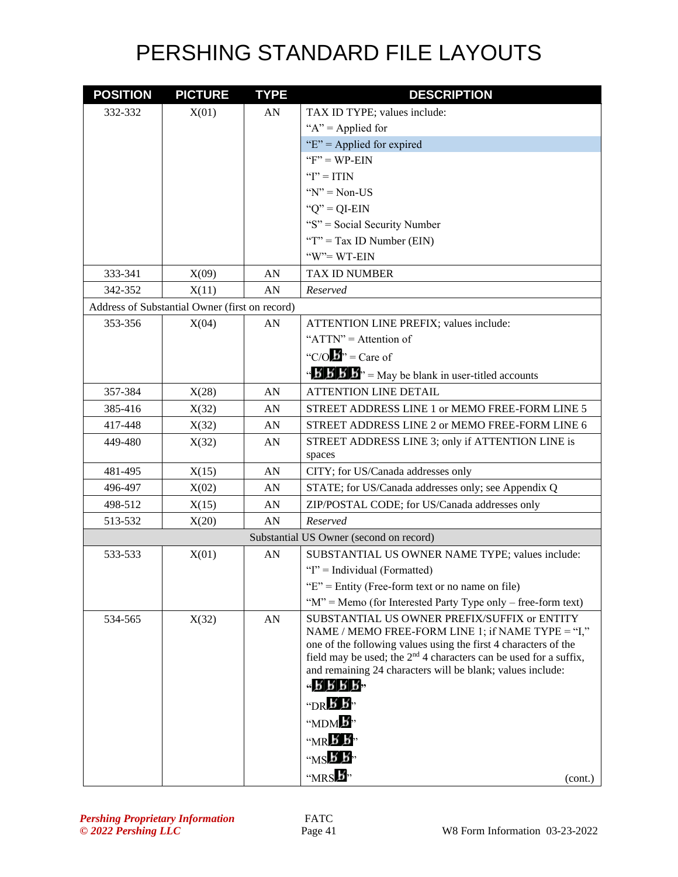| <b>POSITION</b> | <b>PICTURE</b>                                 | <b>TYPE</b> | <b>DESCRIPTION</b>                                                                                                                                                                                                                                                                                                                                                                                                 |
|-----------------|------------------------------------------------|-------------|--------------------------------------------------------------------------------------------------------------------------------------------------------------------------------------------------------------------------------------------------------------------------------------------------------------------------------------------------------------------------------------------------------------------|
| 332-332         | X(01)                                          | AN          | TAX ID TYPE; values include:                                                                                                                                                                                                                                                                                                                                                                                       |
|                 |                                                |             | " $A$ " = Applied for                                                                                                                                                                                                                                                                                                                                                                                              |
|                 |                                                |             | " $E$ " = Applied for expired                                                                                                                                                                                                                                                                                                                                                                                      |
|                 |                                                |             | " $F$ " = WP-EIN"                                                                                                                                                                                                                                                                                                                                                                                                  |
|                 |                                                |             | " $I$ " = ITIN                                                                                                                                                                                                                                                                                                                                                                                                     |
|                 |                                                |             | " $N$ " = Non-US                                                                                                                                                                                                                                                                                                                                                                                                   |
|                 |                                                |             | " $Q$ " = QI-EIN                                                                                                                                                                                                                                                                                                                                                                                                   |
|                 |                                                |             | "S" = Social Security Number                                                                                                                                                                                                                                                                                                                                                                                       |
|                 |                                                |             | "T" = Tax ID Number (EIN)                                                                                                                                                                                                                                                                                                                                                                                          |
|                 |                                                |             | "W"= WT-EIN                                                                                                                                                                                                                                                                                                                                                                                                        |
| 333-341         | X(09)                                          | AN          | <b>TAX ID NUMBER</b>                                                                                                                                                                                                                                                                                                                                                                                               |
| 342-352         | X(11)                                          | AN          | Reserved                                                                                                                                                                                                                                                                                                                                                                                                           |
|                 | Address of Substantial Owner (first on record) |             |                                                                                                                                                                                                                                                                                                                                                                                                                    |
| 353-356         | X(04)                                          | AN          | ATTENTION LINE PREFIX; values include:                                                                                                                                                                                                                                                                                                                                                                             |
|                 |                                                |             | " $ATTN" =$ Attention of                                                                                                                                                                                                                                                                                                                                                                                           |
|                 |                                                |             | "C/O $\mathbf{b}$ " = Care of                                                                                                                                                                                                                                                                                                                                                                                      |
|                 |                                                |             | $\mathbf{B} \cdot \mathbf{B} \cdot \mathbf{B}$ $\mathbf{B}$ = May be blank in user-titled accounts                                                                                                                                                                                                                                                                                                                 |
| 357-384         | X(28)                                          | AN          | <b>ATTENTION LINE DETAIL</b>                                                                                                                                                                                                                                                                                                                                                                                       |
| 385-416         | X(32)                                          | AN          | STREET ADDRESS LINE 1 or MEMO FREE-FORM LINE 5                                                                                                                                                                                                                                                                                                                                                                     |
| 417-448         | X(32)                                          | AN          | STREET ADDRESS LINE 2 or MEMO FREE-FORM LINE 6                                                                                                                                                                                                                                                                                                                                                                     |
| 449-480         | X(32)                                          | AN          | STREET ADDRESS LINE 3; only if ATTENTION LINE is<br>spaces                                                                                                                                                                                                                                                                                                                                                         |
| 481-495         | X(15)                                          | AN          | CITY; for US/Canada addresses only                                                                                                                                                                                                                                                                                                                                                                                 |
| 496-497         | X(02)                                          | AN          | STATE; for US/Canada addresses only; see Appendix Q                                                                                                                                                                                                                                                                                                                                                                |
| 498-512         | X(15)                                          | AN          | ZIP/POSTAL CODE; for US/Canada addresses only                                                                                                                                                                                                                                                                                                                                                                      |
| 513-532         | X(20)                                          | AN          | Reserved                                                                                                                                                                                                                                                                                                                                                                                                           |
|                 |                                                |             | Substantial US Owner (second on record)                                                                                                                                                                                                                                                                                                                                                                            |
| 533-533         | X(01)                                          | AN          | SUBSTANTIAL US OWNER NAME TYPE; values include:                                                                                                                                                                                                                                                                                                                                                                    |
|                 |                                                |             | "I" = Individual (Formatted)                                                                                                                                                                                                                                                                                                                                                                                       |
|                 |                                                |             | " $E$ " = Entity (Free-form text or no name on file)                                                                                                                                                                                                                                                                                                                                                               |
|                 |                                                |             | " $M$ " = Memo (for Interested Party Type only – free-form text)                                                                                                                                                                                                                                                                                                                                                   |
| 534-565         | X(32)                                          | ${\rm AN}$  | SUBSTANTIAL US OWNER PREFIX/SUFFIX or ENTITY<br>NAME / MEMO FREE-FORM LINE 1; if NAME TYPE = "I,"<br>one of the following values using the first 4 characters of the<br>field may be used; the $2nd$ 4 characters can be used for a suffix,<br>and remaining 24 characters will be blank; values include:<br>45555<br>$\n  DR B$<br>"MDM <sup>b</sup> "<br>$M \times K$<br>$MSE$ $\vec{B}$ ,<br>"MRS 5"<br>(cont.) |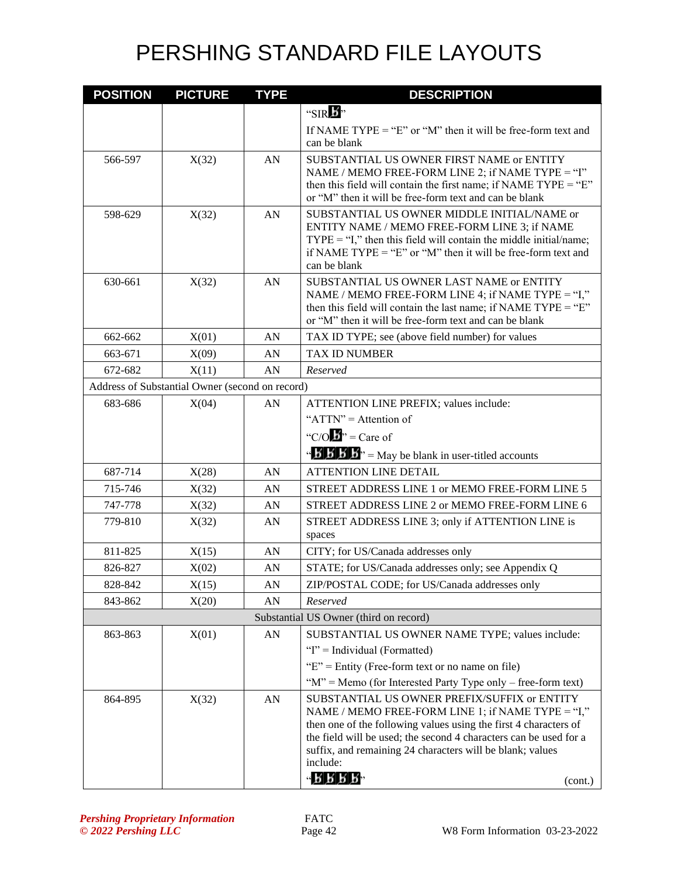| <b>POSITION</b> | <b>PICTURE</b>                                  | <b>TYPE</b> | <b>DESCRIPTION</b>                                                                                                                                                                                                                                                                                                  |
|-----------------|-------------------------------------------------|-------------|---------------------------------------------------------------------------------------------------------------------------------------------------------------------------------------------------------------------------------------------------------------------------------------------------------------------|
|                 |                                                 |             | "SIRE"                                                                                                                                                                                                                                                                                                              |
|                 |                                                 |             | If NAME TYPE = "E" or "M" then it will be free-form text and<br>can be blank                                                                                                                                                                                                                                        |
| 566-597         | X(32)                                           | AN          | SUBSTANTIAL US OWNER FIRST NAME or ENTITY<br>NAME / MEMO FREE-FORM LINE 2; if NAME TYPE = "I"<br>then this field will contain the first name; if NAME TYPE = " $E$ "<br>or "M" then it will be free-form text and can be blank                                                                                      |
| 598-629         | X(32)                                           | AN          | SUBSTANTIAL US OWNER MIDDLE INITIAL/NAME or<br>ENTITY NAME / MEMO FREE-FORM LINE 3; if NAME<br>$TYPE = "I,"$ then this field will contain the middle initial/name;<br>if NAME TYPE = "E" or "M" then it will be free-form text and<br>can be blank                                                                  |
| 630-661         | X(32)                                           | AN          | SUBSTANTIAL US OWNER LAST NAME or ENTITY<br>NAME / MEMO FREE-FORM LINE 4; if NAME TYPE = "I,"<br>then this field will contain the last name; if NAME TYPE = " $E$ "<br>or "M" then it will be free-form text and can be blank                                                                                       |
| 662-662         | X(01)                                           | AN          | TAX ID TYPE; see (above field number) for values                                                                                                                                                                                                                                                                    |
| 663-671         | X(09)                                           | AN          | <b>TAX ID NUMBER</b>                                                                                                                                                                                                                                                                                                |
| 672-682         | X(11)                                           | AN          | Reserved                                                                                                                                                                                                                                                                                                            |
|                 | Address of Substantial Owner (second on record) |             |                                                                                                                                                                                                                                                                                                                     |
| 683-686         | X(04)                                           | AN          | ATTENTION LINE PREFIX; values include:                                                                                                                                                                                                                                                                              |
|                 |                                                 |             | " $ATTN" =$ Attention of                                                                                                                                                                                                                                                                                            |
|                 |                                                 |             | "C/O $\mathbf{B}$ " = Care of                                                                                                                                                                                                                                                                                       |
|                 |                                                 |             | $\mathbf{B}'$ <b>b</b> $\mathbf{B}'$ <b>b</b> $\mathbf{B}''$ = May be blank in user-titled accounts                                                                                                                                                                                                                 |
| 687-714         | X(28)                                           | AN          | <b>ATTENTION LINE DETAIL</b>                                                                                                                                                                                                                                                                                        |
| 715-746         | X(32)                                           | AN          | STREET ADDRESS LINE 1 or MEMO FREE-FORM LINE 5                                                                                                                                                                                                                                                                      |
| 747-778         | X(32)                                           | AN          | STREET ADDRESS LINE 2 or MEMO FREE-FORM LINE 6                                                                                                                                                                                                                                                                      |
| 779-810         | X(32)                                           | AN          | STREET ADDRESS LINE 3; only if ATTENTION LINE is<br>spaces                                                                                                                                                                                                                                                          |
| 811-825         | X(15)                                           | AN          | CITY; for US/Canada addresses only                                                                                                                                                                                                                                                                                  |
| 826-827         | X(02)                                           | AN          | STATE; for US/Canada addresses only; see Appendix Q                                                                                                                                                                                                                                                                 |
| 828-842         | X(15)                                           | AN          | ZIP/POSTAL CODE; for US/Canada addresses only                                                                                                                                                                                                                                                                       |
| 843-862         | X(20)                                           | AN          | Reserved                                                                                                                                                                                                                                                                                                            |
|                 |                                                 |             | Substantial US Owner (third on record)                                                                                                                                                                                                                                                                              |
| 863-863         | X(01)                                           | AN          | SUBSTANTIAL US OWNER NAME TYPE; values include:                                                                                                                                                                                                                                                                     |
|                 |                                                 |             | "I" = Individual (Formatted)                                                                                                                                                                                                                                                                                        |
|                 |                                                 |             | " $E$ " = Entity (Free-form text or no name on file)                                                                                                                                                                                                                                                                |
|                 |                                                 |             | " $M$ " = Memo (for Interested Party Type only – free-form text)                                                                                                                                                                                                                                                    |
| 864-895         | X(32)                                           | AN          | SUBSTANTIAL US OWNER PREFIX/SUFFIX or ENTITY<br>NAME / MEMO FREE-FORM LINE 1; if NAME TYPE = "I,"<br>then one of the following values using the first 4 characters of<br>the field will be used; the second 4 characters can be used for a<br>suffix, and remaining 24 characters will be blank; values<br>include: |
|                 |                                                 |             | $ 5555$<br>(cont.)                                                                                                                                                                                                                                                                                                  |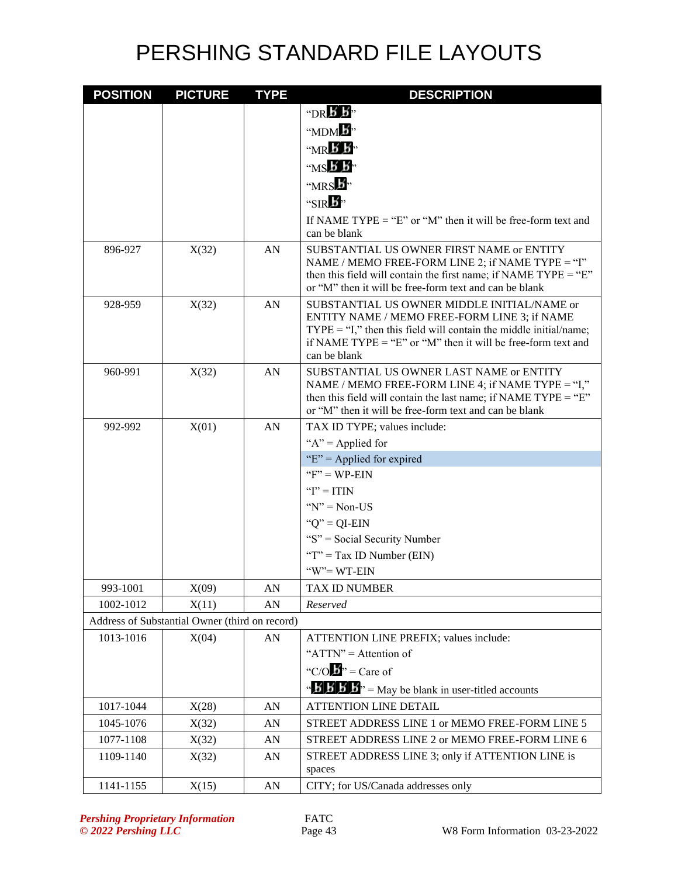| <b>POSITION</b>        | <b>PICTURE</b>                                          | <b>TYPE</b> | <b>DESCRIPTION</b>                                                                                                      |
|------------------------|---------------------------------------------------------|-------------|-------------------------------------------------------------------------------------------------------------------------|
|                        |                                                         |             | $\n  DRB$                                                                                                               |
|                        |                                                         |             | " $MDM$ $\overline{B}$ "                                                                                                |
|                        |                                                         |             | $W \times B$                                                                                                            |
|                        |                                                         |             | $MSE$ $\overline{B}$                                                                                                    |
|                        |                                                         |             | "MRS b"                                                                                                                 |
|                        |                                                         |             | "SIRE"                                                                                                                  |
|                        |                                                         |             | If NAME TYPE = "E" or "M" then it will be free-form text and                                                            |
|                        |                                                         |             | can be blank                                                                                                            |
| 896-927                | X(32)                                                   | AN          | SUBSTANTIAL US OWNER FIRST NAME or ENTITY                                                                               |
|                        |                                                         |             | NAME / MEMO FREE-FORM LINE 2; if NAME TYPE = "I"<br>then this field will contain the first name; if NAME TYPE = "E"     |
|                        |                                                         |             | or "M" then it will be free-form text and can be blank                                                                  |
| 928-959                | X(32)                                                   | AN          | SUBSTANTIAL US OWNER MIDDLE INITIAL/NAME or                                                                             |
|                        |                                                         |             | ENTITY NAME / MEMO FREE-FORM LINE 3; if NAME<br>$TYPE = "I,"$ then this field will contain the middle initial/name;     |
|                        |                                                         |             | if NAME TYPE = "E" or "M" then it will be free-form text and                                                            |
|                        |                                                         |             | can be blank                                                                                                            |
| 960-991                | X(32)                                                   | AN          | SUBSTANTIAL US OWNER LAST NAME or ENTITY                                                                                |
|                        |                                                         |             | NAME / MEMO FREE-FORM LINE 4; if NAME TYPE = "I,"<br>then this field will contain the last name; if NAME TYPE = " $E$ " |
|                        |                                                         |             | or "M" then it will be free-form text and can be blank                                                                  |
| 992-992                | X(01)                                                   | AN          | TAX ID TYPE; values include:                                                                                            |
|                        |                                                         |             | " $A$ " = Applied for                                                                                                   |
|                        |                                                         |             | "E" = Applied for expired                                                                                               |
|                        |                                                         |             | " $F$ " = WP-EIN                                                                                                        |
|                        |                                                         |             | " $I$ " = ITIN                                                                                                          |
|                        |                                                         |             | " $N$ " = Non-US                                                                                                        |
|                        |                                                         |             | " $Q$ " = QI-EIN                                                                                                        |
|                        |                                                         |             | "S" = Social Security Number                                                                                            |
|                        |                                                         |             | " $T$ " = Tax ID Number (EIN)                                                                                           |
|                        |                                                         |             | "W"=WT-EIN                                                                                                              |
| 993-1001               | X(09)                                                   | AN          | TAX ID NUMBER                                                                                                           |
| 1002-1012              | X(11)                                                   | AN          | Reserved                                                                                                                |
| 1013-1016              | Address of Substantial Owner (third on record)<br>X(04) | AN          |                                                                                                                         |
|                        |                                                         |             | ATTENTION LINE PREFIX; values include:<br>" $ATTN" =$ Attention of                                                      |
|                        |                                                         |             | "C/O $\mathbf{B}$ " = Care of                                                                                           |
|                        |                                                         |             |                                                                                                                         |
|                        |                                                         |             | $\mathbf{B} \mathbf{B} \mathbf{B}$ <sup>1</sup> = May be blank in user-titled accounts                                  |
| 1017-1044<br>1045-1076 | X(28)                                                   | AN<br>AN    | <b>ATTENTION LINE DETAIL</b><br>STREET ADDRESS LINE 1 or MEMO FREE-FORM LINE 5                                          |
| 1077-1108              | X(32)<br>X(32)                                          | AN          | STREET ADDRESS LINE 2 or MEMO FREE-FORM LINE 6                                                                          |
| 1109-1140              | X(32)                                                   | AN          | STREET ADDRESS LINE 3; only if ATTENTION LINE is                                                                        |
|                        |                                                         |             | spaces                                                                                                                  |
| 1141-1155              | X(15)                                                   | ${\rm AN}$  | CITY; for US/Canada addresses only                                                                                      |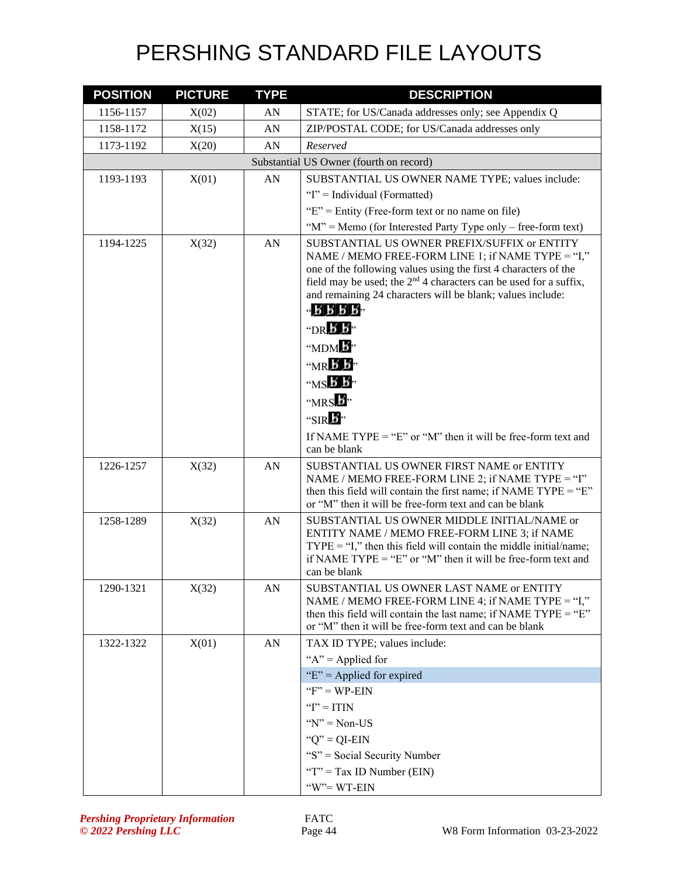| <b>POSITION</b> | <b>PICTURE</b> | <b>TYPE</b> | <b>DESCRIPTION</b>                                                                                                                                                                                                                                                                                                                                                                                                                                                                                                                                                         |
|-----------------|----------------|-------------|----------------------------------------------------------------------------------------------------------------------------------------------------------------------------------------------------------------------------------------------------------------------------------------------------------------------------------------------------------------------------------------------------------------------------------------------------------------------------------------------------------------------------------------------------------------------------|
| 1156-1157       | X(02)          | AN          | STATE; for US/Canada addresses only; see Appendix Q                                                                                                                                                                                                                                                                                                                                                                                                                                                                                                                        |
| 1158-1172       | X(15)          | AN          | ZIP/POSTAL CODE; for US/Canada addresses only                                                                                                                                                                                                                                                                                                                                                                                                                                                                                                                              |
| 1173-1192       | X(20)          | AN          | Reserved                                                                                                                                                                                                                                                                                                                                                                                                                                                                                                                                                                   |
|                 |                |             | Substantial US Owner (fourth on record)                                                                                                                                                                                                                                                                                                                                                                                                                                                                                                                                    |
| 1193-1193       | X(01)          | AN          | SUBSTANTIAL US OWNER NAME TYPE; values include:                                                                                                                                                                                                                                                                                                                                                                                                                                                                                                                            |
|                 |                |             | "I" = Individual (Formatted)                                                                                                                                                                                                                                                                                                                                                                                                                                                                                                                                               |
|                 |                |             | " $E$ " = Entity (Free-form text or no name on file)                                                                                                                                                                                                                                                                                                                                                                                                                                                                                                                       |
|                 |                |             | " $M$ " = Memo (for Interested Party Type only – free-form text)                                                                                                                                                                                                                                                                                                                                                                                                                                                                                                           |
| 1194-1225       | X(32)          | AN          | SUBSTANTIAL US OWNER PREFIX/SUFFIX or ENTITY<br>NAME / MEMO FREE-FORM LINE 1; if NAME TYPE = "I,"<br>one of the following values using the first 4 characters of the<br>field may be used; the 2 <sup>nd</sup> 4 characters can be used for a suffix,<br>and remaining 24 characters will be blank; values include:<br>$-5555$<br>"DR $\cancel{B}$ $\cancel{B}$ "<br>" $MDM$ $\overline{B}$ "<br>$M \times K$<br>" $MS$ $\overline{B}$ $\overline{B}$ "<br>" $MRS$ $\overline{B}$ "<br>"SIR $\mathbf{E}$ "<br>If NAME TYPE = "E" or "M" then it will be free-form text and |
|                 |                |             | can be blank                                                                                                                                                                                                                                                                                                                                                                                                                                                                                                                                                               |
| 1226-1257       | X(32)          | AN          | SUBSTANTIAL US OWNER FIRST NAME or ENTITY<br>NAME / MEMO FREE-FORM LINE 2; if NAME TYPE = "I"<br>then this field will contain the first name; if NAME TYPE = " $E$ "<br>or "M" then it will be free-form text and can be blank                                                                                                                                                                                                                                                                                                                                             |
| 1258-1289       | X(32)          | AN          | SUBSTANTIAL US OWNER MIDDLE INITIAL/NAME or<br>ENTITY NAME / MEMO FREE-FORM LINE 3; if NAME<br>$TYPE = "I,"$ then this field will contain the middle initial/name;<br>if NAME TYPE = "E" or "M" then it will be free-form text and<br>can be blank                                                                                                                                                                                                                                                                                                                         |
| 1290-1321       | X(32)          | AN          | SUBSTANTIAL US OWNER LAST NAME or ENTITY<br>NAME / MEMO FREE-FORM LINE 4; if NAME TYPE = "I,"<br>then this field will contain the last name; if NAME TYPE = " $E$ "<br>or "M" then it will be free-form text and can be blank                                                                                                                                                                                                                                                                                                                                              |
| 1322-1322       | X(01)          | AN          | TAX ID TYPE; values include:                                                                                                                                                                                                                                                                                                                                                                                                                                                                                                                                               |
|                 |                |             | " $A$ " = Applied for                                                                                                                                                                                                                                                                                                                                                                                                                                                                                                                                                      |
|                 |                |             | " $E$ " = Applied for expired                                                                                                                                                                                                                                                                                                                                                                                                                                                                                                                                              |
|                 |                |             | " $F$ " = WP-EIN"                                                                                                                                                                                                                                                                                                                                                                                                                                                                                                                                                          |
|                 |                |             | " $I$ " = ITIN                                                                                                                                                                                                                                                                                                                                                                                                                                                                                                                                                             |
|                 |                |             | " $N$ " = Non-US                                                                                                                                                                                                                                                                                                                                                                                                                                                                                                                                                           |
|                 |                |             | " $Q$ " = QI-EIN                                                                                                                                                                                                                                                                                                                                                                                                                                                                                                                                                           |
|                 |                |             | "S" = Social Security Number                                                                                                                                                                                                                                                                                                                                                                                                                                                                                                                                               |
|                 |                |             | " $T$ " = Tax ID Number (EIN)                                                                                                                                                                                                                                                                                                                                                                                                                                                                                                                                              |
|                 |                |             | $W' = WT-EIN$                                                                                                                                                                                                                                                                                                                                                                                                                                                                                                                                                              |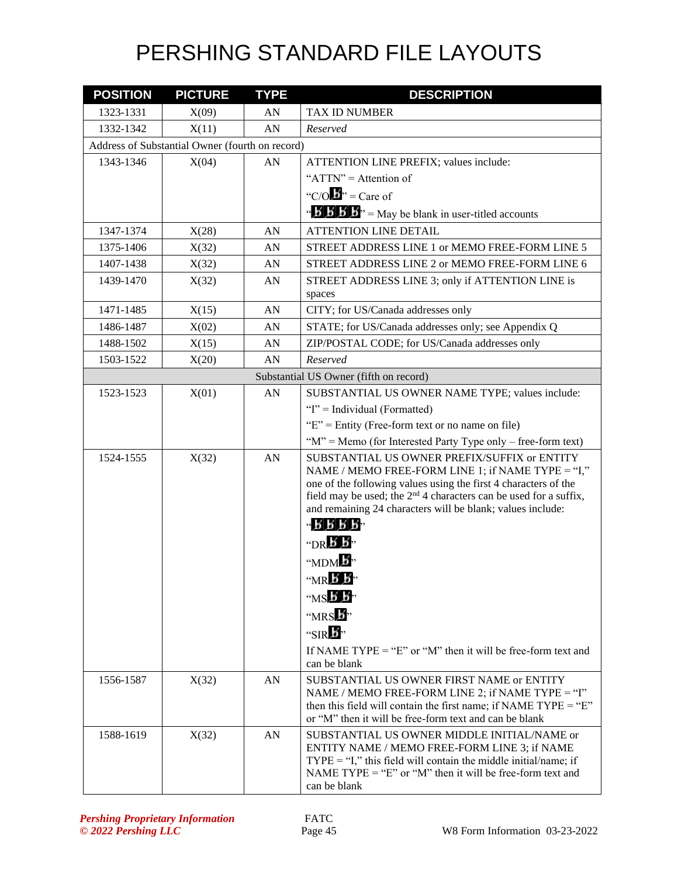| <b>POSITION</b> | <b>PICTURE</b>                                  | <b>TYPE</b> | <b>DESCRIPTION</b>                                                                                                          |
|-----------------|-------------------------------------------------|-------------|-----------------------------------------------------------------------------------------------------------------------------|
| 1323-1331       | X(09)                                           | AN          | TAX ID NUMBER                                                                                                               |
| 1332-1342       | X(11)                                           | AN          | Reserved                                                                                                                    |
|                 | Address of Substantial Owner (fourth on record) |             |                                                                                                                             |
| 1343-1346       | X(04)                                           | AN          | ATTENTION LINE PREFIX; values include:                                                                                      |
|                 |                                                 |             | " $ATTN" =$ Attention of                                                                                                    |
|                 |                                                 |             | "C/O $\mathbf{B}$ " = Care of                                                                                               |
|                 |                                                 |             | $\mathbf{B}'$ <b>B</b> $\mathbf{B}'$ <b>B</b> $\mathbf{B}''$ = May be blank in user-titled accounts                         |
| 1347-1374       | X(28)                                           | AN          | <b>ATTENTION LINE DETAIL</b>                                                                                                |
| 1375-1406       | X(32)                                           | AN          | STREET ADDRESS LINE 1 or MEMO FREE-FORM LINE 5                                                                              |
| 1407-1438       | X(32)                                           | AN          | STREET ADDRESS LINE 2 or MEMO FREE-FORM LINE 6                                                                              |
| 1439-1470       | X(32)                                           | AN          | STREET ADDRESS LINE 3; only if ATTENTION LINE is                                                                            |
|                 |                                                 |             | spaces                                                                                                                      |
| 1471-1485       | X(15)                                           | AN          | CITY; for US/Canada addresses only                                                                                          |
| 1486-1487       | X(02)                                           | AN          | STATE; for US/Canada addresses only; see Appendix Q                                                                         |
| 1488-1502       | X(15)                                           | AN          | ZIP/POSTAL CODE; for US/Canada addresses only                                                                               |
| 1503-1522       | X(20)                                           | AN          | Reserved                                                                                                                    |
|                 |                                                 |             | Substantial US Owner (fifth on record)                                                                                      |
| 1523-1523       | X(01)                                           | AN          | SUBSTANTIAL US OWNER NAME TYPE; values include:                                                                             |
|                 |                                                 |             | "I" = Individual (Formatted)                                                                                                |
|                 |                                                 |             | " $E$ " = Entity (Free-form text or no name on file)                                                                        |
|                 |                                                 |             | " $M$ " = Memo (for Interested Party Type only – free-form text)                                                            |
| 1524-1555       | X(32)                                           | AN          | SUBSTANTIAL US OWNER PREFIX/SUFFIX or ENTITY                                                                                |
|                 |                                                 |             | NAME / MEMO FREE-FORM LINE 1; if NAME TYPE = "I,"<br>one of the following values using the first 4 characters of the        |
|                 |                                                 |             | field may be used; the 2 <sup>nd</sup> 4 characters can be used for a suffix,                                               |
|                 |                                                 |             | and remaining 24 characters will be blank; values include:                                                                  |
|                 |                                                 |             | $B$ $B$ $B$<br>کی ،،                                                                                                        |
|                 |                                                 |             | "DR $\bm{5}$ $\bm{5}$ "                                                                                                     |
|                 |                                                 |             | "MDM                                                                                                                        |
|                 |                                                 |             | "MR b b                                                                                                                     |
|                 |                                                 |             | $WSE$ $B$ <sup>3</sup>                                                                                                      |
|                 |                                                 |             | "MRS 5"                                                                                                                     |
|                 |                                                 |             | "SIR $\mathbf{E}$ "                                                                                                         |
|                 |                                                 |             | If NAME TYPE = "E" or "M" then it will be free-form text and                                                                |
|                 |                                                 |             | can be blank                                                                                                                |
| 1556-1587       | X(32)                                           | AN          | SUBSTANTIAL US OWNER FIRST NAME or ENTITY                                                                                   |
|                 |                                                 |             | NAME / MEMO FREE-FORM LINE 2; if NAME TYPE = "I"                                                                            |
|                 |                                                 |             | then this field will contain the first name; if NAME $TYPE = "E"$<br>or "M" then it will be free-form text and can be blank |
| 1588-1619       | X(32)                                           | AN          | SUBSTANTIAL US OWNER MIDDLE INITIAL/NAME or                                                                                 |
|                 |                                                 |             | ENTITY NAME / MEMO FREE-FORM LINE 3; if NAME                                                                                |
|                 |                                                 |             | $TYPE = "I,"$ this field will contain the middle initial/name; if                                                           |
|                 |                                                 |             | NAME TYPE = "E" or "M" then it will be free-form text and                                                                   |
|                 |                                                 |             | can be blank                                                                                                                |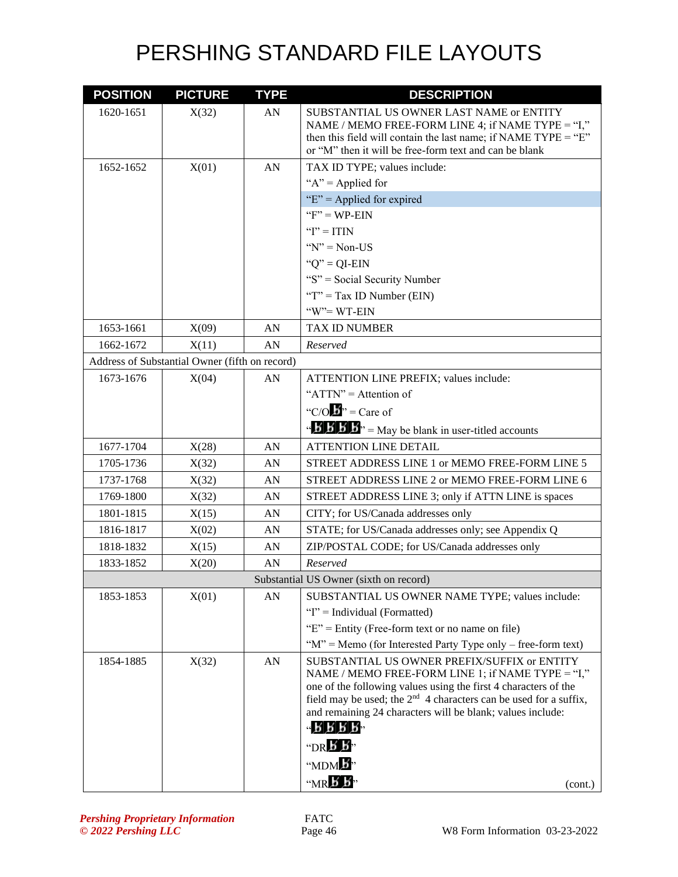| <b>POSITION</b> | <b>PICTURE</b>                                 | <b>TYPE</b> | <b>DESCRIPTION</b>                                                                                                                        |
|-----------------|------------------------------------------------|-------------|-------------------------------------------------------------------------------------------------------------------------------------------|
| 1620-1651       | X(32)                                          | AN          | SUBSTANTIAL US OWNER LAST NAME or ENTITY                                                                                                  |
|                 |                                                |             | NAME / MEMO FREE-FORM LINE 4; if NAME TYPE = "I,"<br>then this field will contain the last name; if NAME TYPE = " $E$ "                   |
|                 |                                                |             | or "M" then it will be free-form text and can be blank                                                                                    |
| 1652-1652       | X(01)                                          | AN          | TAX ID TYPE; values include:                                                                                                              |
|                 |                                                |             | " $A$ " = Applied for                                                                                                                     |
|                 |                                                |             | "E" = Applied for expired                                                                                                                 |
|                 |                                                |             | " $F$ " = WP-EIN                                                                                                                          |
|                 |                                                |             | " $I$ " = ITIN                                                                                                                            |
|                 |                                                |             | " $N$ " = Non-US                                                                                                                          |
|                 |                                                |             | " $Q$ " = QI-EIN                                                                                                                          |
|                 |                                                |             | "S" = Social Security Number                                                                                                              |
|                 |                                                |             | "T" = Tax ID Number (EIN)                                                                                                                 |
|                 |                                                |             | $W = WT-EIN$                                                                                                                              |
| 1653-1661       | X(09)                                          | AN          | TAX ID NUMBER                                                                                                                             |
| 1662-1672       | X(11)                                          | AN          | Reserved                                                                                                                                  |
|                 | Address of Substantial Owner (fifth on record) |             |                                                                                                                                           |
| 1673-1676       | X(04)                                          | AN          | ATTENTION LINE PREFIX; values include:                                                                                                    |
|                 |                                                |             | " $ATTN" =$ Attention of                                                                                                                  |
|                 |                                                |             | "C/O $\mathbf{b}$ " = Care of                                                                                                             |
|                 |                                                |             | $\mathbf{B} \cdot \mathbf{B} \cdot \mathbf{B}$ $\mathbf{B}$ = May be blank in user-titled accounts                                        |
| 1677-1704       | X(28)                                          | AN          | <b>ATTENTION LINE DETAIL</b>                                                                                                              |
| 1705-1736       | X(32)                                          | AN          | STREET ADDRESS LINE 1 or MEMO FREE-FORM LINE 5                                                                                            |
| 1737-1768       | X(32)                                          | AN          | STREET ADDRESS LINE 2 or MEMO FREE-FORM LINE 6                                                                                            |
| 1769-1800       | X(32)                                          | AN          | STREET ADDRESS LINE 3; only if ATTN LINE is spaces                                                                                        |
| 1801-1815       | X(15)                                          | AN          | CITY; for US/Canada addresses only                                                                                                        |
| 1816-1817       | X(02)                                          | AN          | STATE; for US/Canada addresses only; see Appendix Q                                                                                       |
| 1818-1832       | X(15)                                          | AN          | ZIP/POSTAL CODE; for US/Canada addresses only                                                                                             |
| 1833-1852       | X(20)                                          | AN          | Reserved                                                                                                                                  |
|                 |                                                |             | Substantial US Owner (sixth on record)                                                                                                    |
| 1853-1853       | X(01)                                          | AN          | SUBSTANTIAL US OWNER NAME TYPE; values include:                                                                                           |
|                 |                                                |             | "I" = Individual (Formatted)                                                                                                              |
|                 |                                                |             | " $E$ " = Entity (Free-form text or no name on file)                                                                                      |
|                 |                                                |             | " $M$ " = Memo (for Interested Party Type only – free-form text)                                                                          |
| 1854-1885       | X(32)                                          | AN          | SUBSTANTIAL US OWNER PREFIX/SUFFIX or ENTITY                                                                                              |
|                 |                                                |             | NAME / MEMO FREE-FORM LINE 1; if NAME TYPE = "I,"                                                                                         |
|                 |                                                |             | one of the following values using the first 4 characters of the<br>field may be used; the $2^{nd}$ 4 characters can be used for a suffix, |
|                 |                                                |             | and remaining 24 characters will be blank; values include:                                                                                |
|                 |                                                |             | 4888B                                                                                                                                     |
|                 |                                                |             | "DR $\bm{B}$ $\bm{B}$ "                                                                                                                   |
|                 |                                                |             | "MDM                                                                                                                                      |
|                 |                                                |             | $M \times K$<br>(cont.)                                                                                                                   |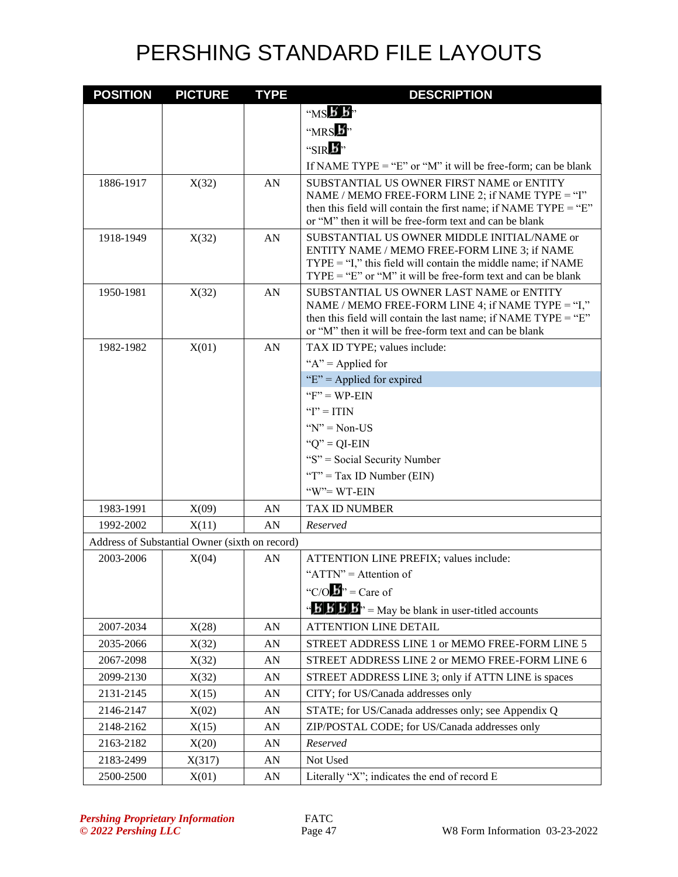| <b>POSITION</b> | <b>PICTURE</b>                                 | <b>TYPE</b> | <b>DESCRIPTION</b>                                                                                                           |
|-----------------|------------------------------------------------|-------------|------------------------------------------------------------------------------------------------------------------------------|
|                 |                                                |             | " $MS$ $\overline{B}$ $\overline{B}$ "                                                                                       |
|                 |                                                |             | "MRS 5"                                                                                                                      |
|                 |                                                |             | "SIR $\bm{E}$ "                                                                                                              |
|                 |                                                |             | If NAME TYPE = "E" or "M" it will be free-form; can be blank                                                                 |
| 1886-1917       | X(32)                                          | AN          | SUBSTANTIAL US OWNER FIRST NAME or ENTITY                                                                                    |
|                 |                                                |             | NAME / MEMO FREE-FORM LINE 2; if NAME TYPE = "I"                                                                             |
|                 |                                                |             | then this field will contain the first name; if NAME $TYPE = "E"$                                                            |
|                 |                                                |             | or "M" then it will be free-form text and can be blank                                                                       |
| 1918-1949       | X(32)                                          | AN          | SUBSTANTIAL US OWNER MIDDLE INITIAL/NAME or<br>ENTITY NAME / MEMO FREE-FORM LINE 3; if NAME                                  |
|                 |                                                |             | $TYPE = "I,"$ this field will contain the middle name; if NAME                                                               |
|                 |                                                |             | $TYPE = "E"$ or "M" it will be free-form text and can be blank                                                               |
| 1950-1981       | X(32)                                          | AN          | SUBSTANTIAL US OWNER LAST NAME or ENTITY                                                                                     |
|                 |                                                |             | NAME / MEMO FREE-FORM LINE 4; if NAME TYPE = "I,"                                                                            |
|                 |                                                |             | then this field will contain the last name; if NAME TYPE = " $E$ "<br>or "M" then it will be free-form text and can be blank |
| 1982-1982       | X(01)                                          | AN          | TAX ID TYPE; values include:                                                                                                 |
|                 |                                                |             | " $A$ " = Applied for                                                                                                        |
|                 |                                                |             | " $E$ " = Applied for expired                                                                                                |
|                 |                                                |             | " $F$ " = WP-EIN"                                                                                                            |
|                 |                                                |             | " $I$ " = ITIN                                                                                                               |
|                 |                                                |             | " $N$ " = Non-US                                                                                                             |
|                 |                                                |             | " $Q$ " = QI-EIN                                                                                                             |
|                 |                                                |             | "S" = Social Security Number                                                                                                 |
|                 |                                                |             | " $T$ " = Tax ID Number (EIN)                                                                                                |
|                 |                                                |             | $W = WT-EIN$                                                                                                                 |
| 1983-1991       | X(09)                                          | AN          | <b>TAX ID NUMBER</b>                                                                                                         |
| 1992-2002       | X(11)                                          | AN          | Reserved                                                                                                                     |
|                 | Address of Substantial Owner (sixth on record) |             |                                                                                                                              |
| 2003-2006       | X(04)                                          | AN          | ATTENTION LINE PREFIX; values include:                                                                                       |
|                 |                                                |             | " $ATTN" =$ Attention of                                                                                                     |
|                 |                                                |             | "C/O $\mathbf{B}$ " = Care of                                                                                                |
|                 |                                                |             | $\mathbf{B} \mathbf{B}'$ $\mathbf{B}'$ $\mathbf{B}''$ = May be blank in user-titled accounts                                 |
| 2007-2034       | X(28)                                          | AN          | <b>ATTENTION LINE DETAIL</b>                                                                                                 |
| 2035-2066       | X(32)                                          | AN          | STREET ADDRESS LINE 1 or MEMO FREE-FORM LINE 5                                                                               |
| 2067-2098       | X(32)                                          | AN          | STREET ADDRESS LINE 2 or MEMO FREE-FORM LINE 6                                                                               |
| 2099-2130       | X(32)                                          | AN          | STREET ADDRESS LINE 3; only if ATTN LINE is spaces                                                                           |
| 2131-2145       | X(15)                                          | AN          | CITY; for US/Canada addresses only                                                                                           |
| 2146-2147       | X(02)                                          | AN          | STATE; for US/Canada addresses only; see Appendix Q                                                                          |
| 2148-2162       | X(15)                                          | AN          | ZIP/POSTAL CODE; for US/Canada addresses only                                                                                |
| 2163-2182       | X(20)                                          | AN          | Reserved                                                                                                                     |
| 2183-2499       | X(317)                                         | AN          | Not Used                                                                                                                     |
| 2500-2500       | X(01)                                          | AN          | Literally "X"; indicates the end of record E                                                                                 |